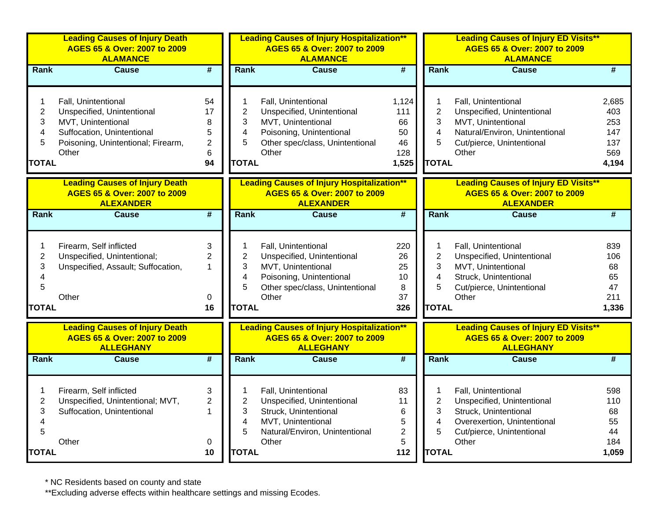|                                                                          | <b>Leading Causes of Injury Death</b><br>AGES 65 & Over: 2007 to 2009<br><b>ALAMANCE</b>                                                             |                                                 |                                                                          | <b>Leading Causes of Injury Hospitalization**</b><br>AGES 65 & Over: 2007 to 2009<br><b>ALAMANCE</b>                                            |                                                  |                                                                          | <b>Leading Causes of Injury ED Visits**</b><br>AGES 65 & Over: 2007 to 2009<br><b>ALAMANCE</b>                                                  |                                                   |
|--------------------------------------------------------------------------|------------------------------------------------------------------------------------------------------------------------------------------------------|-------------------------------------------------|--------------------------------------------------------------------------|-------------------------------------------------------------------------------------------------------------------------------------------------|--------------------------------------------------|--------------------------------------------------------------------------|-------------------------------------------------------------------------------------------------------------------------------------------------|---------------------------------------------------|
| Rank                                                                     | <b>Cause</b>                                                                                                                                         | $\overline{\boldsymbol{r}}$                     | <b>Rank</b>                                                              | <b>Cause</b>                                                                                                                                    | $\overline{\boldsymbol{t}}$                      | Rank                                                                     | <b>Cause</b>                                                                                                                                    | #                                                 |
| 1<br>$\mathbf 2$<br>3<br>4<br>5<br>TOTAL                                 | Fall, Unintentional<br>Unspecified, Unintentional<br>MVT, Unintentional<br>Suffocation, Unintentional<br>Poisoning, Unintentional; Firearm,<br>Other | 54<br>17<br>8<br>5<br>$\overline{2}$<br>6<br>94 | 1<br>$\overline{2}$<br>3<br>$\overline{\mathbf{4}}$<br>5<br><b>TOTAL</b> | Fall, Unintentional<br>Unspecified, Unintentional<br>MVT, Unintentional<br>Poisoning, Unintentional<br>Other spec/class, Unintentional<br>Other | 1,124<br>111<br>66<br>50<br>46<br>128<br>1,525   | 1<br>$\overline{2}$<br>3<br>4<br>5<br><b>TOTAL</b>                       | Fall, Unintentional<br>Unspecified, Unintentional<br>MVT, Unintentional<br>Natural/Environ, Unintentional<br>Cut/pierce, Unintentional<br>Other | 2,685<br>403<br>253<br>147<br>137<br>569<br>4,194 |
|                                                                          | <b>Leading Causes of Injury Death</b><br>AGES 65 & Over: 2007 to 2009<br><b>ALEXANDER</b>                                                            |                                                 |                                                                          | <b>Leading Causes of Injury Hospitalization**</b><br>AGES 65 & Over: 2007 to 2009<br><b>ALEXANDER</b>                                           |                                                  |                                                                          | <b>Leading Causes of Injury ED Visits**</b><br>AGES 65 & Over: 2007 to 2009<br><b>ALEXANDER</b>                                                 |                                                   |
| Rank                                                                     | <b>Cause</b>                                                                                                                                         | $\overline{\boldsymbol{r}}$                     | <b>Rank</b>                                                              | <b>Cause</b>                                                                                                                                    | $\overline{\boldsymbol{t}}$                      | <b>Rank</b>                                                              | <b>Cause</b>                                                                                                                                    | $\overline{\#}$                                   |
| 1<br>$\overline{2}$<br>3<br>$\overline{\mathbf{4}}$<br>5<br><b>TOTAL</b> | Firearm, Self inflicted<br>Unspecified, Unintentional;<br>Unspecified, Assault; Suffocation,<br>Other                                                | 3<br>$\overline{2}$<br>$\mathbf{1}$<br>0<br>16  | 1<br>$\overline{2}$<br>3<br>$\overline{\mathbf{4}}$<br>5<br><b>TOTAL</b> | Fall, Unintentional<br>Unspecified, Unintentional<br>MVT, Unintentional<br>Poisoning, Unintentional<br>Other spec/class, Unintentional<br>Other | 220<br>26<br>25<br>10<br>8<br>37<br>326          | 1<br>$\overline{2}$<br>3<br>4<br>5<br><b>TOTAL</b>                       | Fall, Unintentional<br>Unspecified, Unintentional<br>MVT, Unintentional<br>Struck, Unintentional<br>Cut/pierce, Unintentional<br>Other          | 839<br>106<br>68<br>65<br>47<br>211<br>1,336      |
|                                                                          | <b>Leading Causes of Injury Death</b><br>AGES 65 & Over: 2007 to 2009<br><b>ALLEGHANY</b>                                                            |                                                 |                                                                          | <b>Leading Causes of Injury Hospitalization**</b><br>AGES 65 & Over: 2007 to 2009<br><b>ALLEGHANY</b>                                           |                                                  |                                                                          | <b>Leading Causes of Injury ED Visits**</b><br>AGES 65 & Over: 2007 to 2009<br><b>ALLEGHANY</b>                                                 |                                                   |
| Rank                                                                     | <b>Cause</b>                                                                                                                                         | #                                               | <b>Rank</b>                                                              | Cause                                                                                                                                           | #                                                | Rank                                                                     | Cause                                                                                                                                           | #                                                 |
| 1<br>$\mathbf 2$<br>3<br>$\overline{\mathbf{4}}$<br>5<br><b>TOTAL</b>    | Firearm, Self inflicted<br>Unspecified, Unintentional; MVT,<br>Suffocation, Unintentional<br>Other                                                   | 3<br>$\overline{2}$<br>$\mathbf{1}$<br>0<br>10  | 1<br>$\overline{c}$<br>3<br>4<br>5<br><b>TOTAL</b>                       | Fall, Unintentional<br>Unspecified, Unintentional<br>Struck, Unintentional<br>MVT, Unintentional<br>Natural/Environ, Unintentional<br>Other     | 83<br>11<br>6<br>5<br>$\overline{2}$<br>5<br>112 | 1<br>$\overline{c}$<br>3<br>$\overline{\mathbf{4}}$<br>5<br><b>TOTAL</b> | Fall, Unintentional<br>Unspecified, Unintentional<br>Struck, Unintentional<br>Overexertion, Unintentional<br>Cut/pierce, Unintentional<br>Other | 598<br>110<br>68<br>55<br>44<br>184<br>1,059      |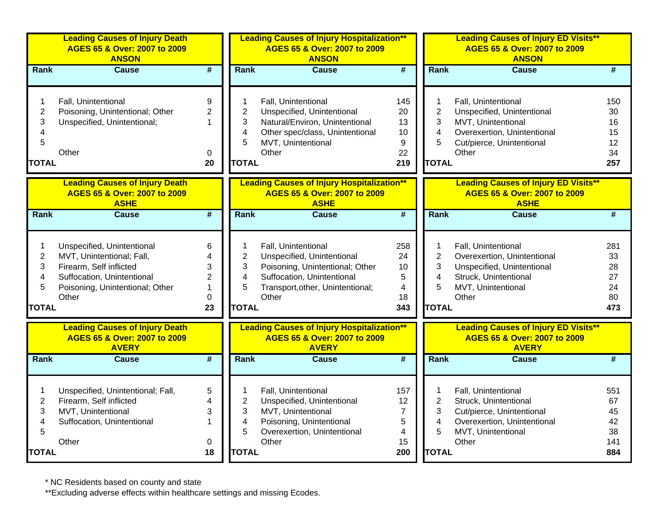|                                                    | <b>Leading Causes of Injury Death</b><br>AGES 65 & Over: 2007 to 2009<br><b>ANSON</b>                                                                        |                                                    |                                                                          | <b>Leading Causes of Injury Hospitalization**</b><br>AGES 65 & Over: 2007 to 2009<br><b>ANSON</b>                                                               |                                                    |                                                                 | <b>Leading Causes of Injury ED Visits**</b><br>AGES 65 & Over: 2007 to 2009<br><b>ANSON</b>                                                  |                                           |
|----------------------------------------------------|--------------------------------------------------------------------------------------------------------------------------------------------------------------|----------------------------------------------------|--------------------------------------------------------------------------|-----------------------------------------------------------------------------------------------------------------------------------------------------------------|----------------------------------------------------|-----------------------------------------------------------------|----------------------------------------------------------------------------------------------------------------------------------------------|-------------------------------------------|
| Rank                                               | <b>Cause</b>                                                                                                                                                 | $\overline{\#}$                                    | Rank                                                                     | <b>Cause</b>                                                                                                                                                    | $\overline{\boldsymbol{t}}$                        | Rank                                                            | <b>Cause</b>                                                                                                                                 | #                                         |
| 1<br>$\overline{c}$<br>3<br>4<br>5<br><b>TOTAL</b> | Fall, Unintentional<br>Poisoning, Unintentional; Other<br>Unspecified, Unintentional;<br>Other                                                               | 9<br>$\mathbf{2}$<br>$\mathbf{1}$<br>0<br>20       | 1<br>$\overline{2}$<br>3<br>$\overline{\mathbf{4}}$<br>5<br><b>TOTAL</b> | Fall, Unintentional<br>Unspecified, Unintentional<br>Natural/Environ, Unintentional<br>Other spec/class, Unintentional<br>MVT, Unintentional<br>Other           | 145<br>20<br>13<br>10<br>9<br>22<br>219            | 1<br>$\overline{2}$<br>3<br>4<br>5<br><b>TOTAL</b>              | Fall, Unintentional<br>Unspecified, Unintentional<br>MVT, Unintentional<br>Overexertion, Unintentional<br>Cut/pierce, Unintentional<br>Other | 150<br>30<br>16<br>15<br>12<br>34<br>257  |
|                                                    | <b>Leading Causes of Injury Death</b><br>AGES 65 & Over: 2007 to 2009<br><b>ASHE</b>                                                                         |                                                    |                                                                          | <b>Leading Causes of Injury Hospitalization**</b><br>AGES 65 & Over: 2007 to 2009<br><b>ASHE</b>                                                                |                                                    |                                                                 | <b>Leading Causes of Injury ED Visits**</b><br>AGES 65 & Over: 2007 to 2009<br><b>ASHE</b>                                                   |                                           |
| Rank                                               | <b>Cause</b>                                                                                                                                                 | $\overline{\boldsymbol{t}}$                        | Rank                                                                     | <b>Cause</b>                                                                                                                                                    | $\overline{\boldsymbol{t}}$                        | Rank                                                            | <b>Cause</b>                                                                                                                                 | #                                         |
| 1<br>$\overline{c}$<br>3<br>4<br>5<br><b>TOTAL</b> | Unspecified, Unintentional<br>MVT, Unintentional; Fall,<br>Firearm, Self inflicted<br>Suffocation, Unintentional<br>Poisoning, Unintentional; Other<br>Other | 6<br>3<br>$\overline{2}$<br>1<br>$\mathbf 0$<br>23 | 1<br>$\overline{2}$<br>3<br>$\overline{\mathbf{4}}$<br>5<br><b>TOTAL</b> | Fall, Unintentional<br>Unspecified, Unintentional<br>Poisoning, Unintentional; Other<br>Suffocation, Unintentional<br>Transport, other, Unintentional;<br>Other | 258<br>24<br>10<br>5<br>4<br>18<br>343             | 1<br>$\overline{2}$<br>3<br>$\overline{4}$<br>5<br><b>TOTAL</b> | Fall, Unintentional<br>Overexertion, Unintentional<br>Unspecified, Unintentional<br>Struck, Unintentional<br>MVT, Unintentional<br>Other     | 281<br>33<br>28<br>27<br>24<br>80<br>473  |
|                                                    | <b>Leading Causes of Injury Death</b><br>AGES 65 & Over: 2007 to 2009<br><b>AVERY</b>                                                                        |                                                    |                                                                          | <b>Leading Causes of Injury Hospitalization**</b><br>AGES 65 & Over: 2007 to 2009<br><b>AVERY</b>                                                               |                                                    |                                                                 | <b>Leading Causes of Injury ED Visits**</b><br>AGES 65 & Over: 2007 to 2009<br><b>AVERY</b>                                                  |                                           |
| Rank                                               | <b>Cause</b>                                                                                                                                                 | $\overline{\boldsymbol{t}}$                        | Rank                                                                     | <b>Cause</b>                                                                                                                                                    | $\overline{\boldsymbol{t}}$                        | Rank                                                            | <b>Cause</b>                                                                                                                                 | #                                         |
| $\overline{2}$<br>3<br>4<br>5<br><b>TOTAL</b>      | Unspecified, Unintentional; Fall,<br>Firearm, Self inflicted<br>MVT, Unintentional<br>Suffocation, Unintentional<br>Other                                    | 5<br>4<br>3<br>$\mathbf{1}$<br>0<br>18             | 1<br>$\overline{2}$<br>3<br>4<br>5<br><b>TOTAL</b>                       | Fall, Unintentional<br>Unspecified, Unintentional<br>MVT, Unintentional<br>Poisoning, Unintentional<br>Overexertion, Unintentional<br>Other                     | 157<br>12<br>$\overline{7}$<br>5<br>4<br>15<br>200 | 1<br>$\overline{2}$<br>3<br>4<br>5<br><b>TOTAL</b>              | Fall, Unintentional<br>Struck, Unintentional<br>Cut/pierce, Unintentional<br>Overexertion, Unintentional<br>MVT, Unintentional<br>Other      | 551<br>67<br>45<br>42<br>38<br>141<br>884 |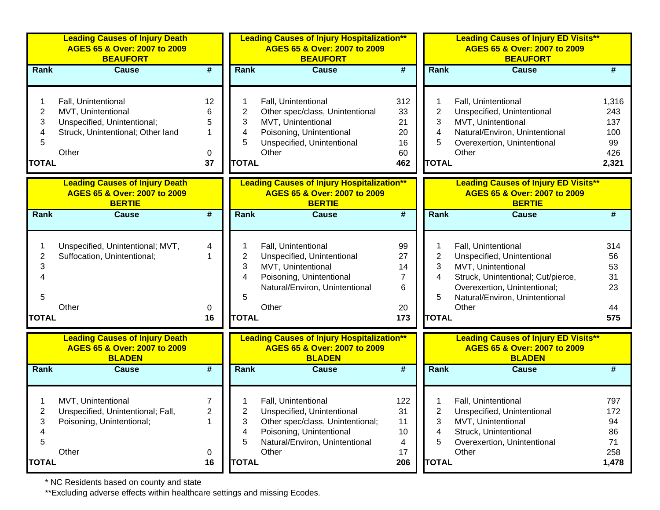|                                               | <b>Leading Causes of Injury Death</b><br>AGES 65 & Over: 2007 to 2009<br><b>BEAUFORT</b>                               |                                     |                                  | <b>Leading Causes of Injury Hospitalization**</b><br>AGES 65 & Over: 2007 to 2009<br><b>BEAUFORT</b>                                                         |                                             | <b>Leading Causes of Injury ED Visits**</b><br>AGES 65 & Over: 2007 to 2009<br><b>BEAUFORT</b> |                                                                                                                                                                                          |                                                  |  |
|-----------------------------------------------|------------------------------------------------------------------------------------------------------------------------|-------------------------------------|----------------------------------|--------------------------------------------------------------------------------------------------------------------------------------------------------------|---------------------------------------------|------------------------------------------------------------------------------------------------|------------------------------------------------------------------------------------------------------------------------------------------------------------------------------------------|--------------------------------------------------|--|
| Rank                                          | <b>Cause</b>                                                                                                           | #                                   | Rank                             | <b>Cause</b>                                                                                                                                                 | $\overline{\boldsymbol{r}}$                 | <b>Rank</b>                                                                                    | <b>Cause</b>                                                                                                                                                                             |                                                  |  |
| $\overline{2}$<br>3<br>4<br>5<br><b>TOTAL</b> | Fall, Unintentional<br>MVT, Unintentional<br>Unspecified, Unintentional;<br>Struck, Unintentional; Other land<br>Other | 12<br>6<br>5<br>1<br>0<br>37        | 2<br>3<br>4<br>5<br><b>TOTAL</b> | Fall, Unintentional<br>Other spec/class, Unintentional<br>MVT, Unintentional<br>Poisoning, Unintentional<br>Unspecified, Unintentional<br>Other              | 312<br>33<br>21<br>20<br>16<br>60<br>462    | 2<br>3<br>4<br>5<br><b>TOTAL</b>                                                               | Fall, Unintentional<br>Unspecified, Unintentional<br>MVT, Unintentional<br>Natural/Environ, Unintentional<br>Overexertion, Unintentional<br>Other                                        | 1,316<br>243<br>137<br>100<br>99<br>426<br>2,321 |  |
|                                               | <b>Leading Causes of Injury Death</b><br>AGES 65 & Over: 2007 to 2009<br><b>BERTIE</b>                                 |                                     |                                  | <b>Leading Causes of Injury Hospitalization**</b><br>AGES 65 & Over: 2007 to 2009<br><b>BERTIE</b>                                                           |                                             |                                                                                                | <b>Leading Causes of Injury ED Visits**</b><br>AGES 65 & Over: 2007 to 2009<br><b>BERTIE</b>                                                                                             |                                                  |  |
| Rank                                          | <b>Cause</b>                                                                                                           | $\overline{\boldsymbol{t}}$         | <b>Rank</b>                      | <b>Cause</b>                                                                                                                                                 | $\overline{\boldsymbol{t}}$                 | <b>Rank</b>                                                                                    | <b>Cause</b>                                                                                                                                                                             | #                                                |  |
| 2<br>3<br>5                                   | Unspecified, Unintentional; MVT,<br>Suffocation, Unintentional;<br>Other                                               | 4<br>0                              | $\overline{2}$<br>3<br>4<br>5    | Fall, Unintentional<br>Unspecified, Unintentional<br>MVT, Unintentional<br>Poisoning, Unintentional<br>Natural/Environ, Unintentional<br>Other               | 99<br>27<br>14<br>$\overline{7}$<br>6<br>20 | $\overline{2}$<br>3<br>4<br>5                                                                  | Fall, Unintentional<br>Unspecified, Unintentional<br>MVT, Unintentional<br>Struck, Unintentional; Cut/pierce,<br>Overexertion, Unintentional;<br>Natural/Environ, Unintentional<br>Other | 314<br>56<br>53<br>31<br>23<br>44                |  |
| <b>TOTAL</b>                                  |                                                                                                                        | 16                                  | <b>TOTAL</b>                     |                                                                                                                                                              | 173                                         | <b>TOTAL</b>                                                                                   |                                                                                                                                                                                          | 575                                              |  |
|                                               | <b>Leading Causes of Injury Death</b><br>AGES 65 & Over: 2007 to 2009<br><b>BLADEN</b>                                 |                                     |                                  | <b>Leading Causes of Injury Hospitalization**</b><br>AGES 65 & Over: 2007 to 2009<br><b>BLADEN</b>                                                           |                                             |                                                                                                | <b>Leading Causes of Injury ED Visits**</b><br>AGES 65 & Over: 2007 to 2009<br><b>BLADEN</b>                                                                                             |                                                  |  |
| Rank                                          | <b>Cause</b>                                                                                                           | $\overline{\boldsymbol{t}}$         | Rank                             | <b>Cause</b>                                                                                                                                                 | $\overline{\boldsymbol{t}}$                 | <b>Rank</b>                                                                                    | <b>Cause</b>                                                                                                                                                                             | #                                                |  |
| $\overline{2}$<br>3<br>4<br>5<br><b>TOTAL</b> | MVT, Unintentional<br>Unspecified, Unintentional; Fall,<br>Poisoning, Unintentional;<br>Other                          | $\overline{7}$<br>2<br>1<br>0<br>16 | 2<br>3<br>4<br>5<br><b>TOTAL</b> | Fall, Unintentional<br>Unspecified, Unintentional<br>Other spec/class, Unintentional;<br>Poisoning, Unintentional<br>Natural/Environ, Unintentional<br>Other | 122<br>31<br>11<br>10<br>4<br>17<br>206     | 2<br>3<br>4<br>5<br><b>TOTAL</b>                                                               | Fall, Unintentional<br>Unspecified, Unintentional<br>MVT, Unintentional<br>Struck, Unintentional<br>Overexertion, Unintentional<br>Other                                                 | 797<br>172<br>94<br>86<br>71<br>258<br>1,478     |  |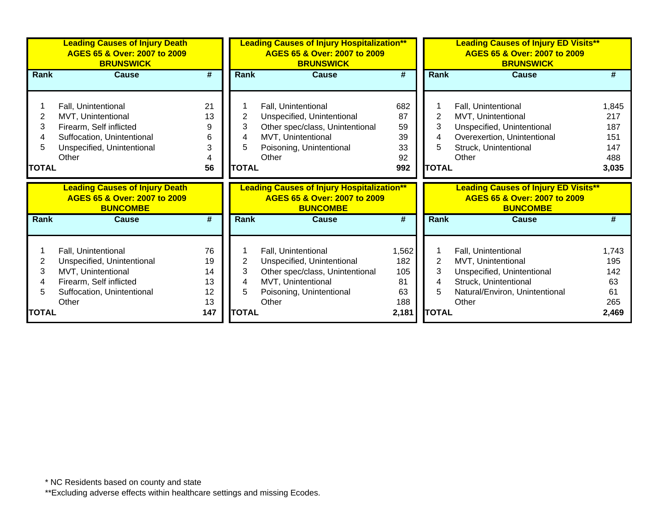|              | <b>Leading Causes of Injury Death</b><br>AGES 65 & Over: 2007 to 2009<br><b>BRUNSWICK</b> |           |                | <b>Leading Causes of Injury Hospitalization**</b><br>AGES 65 & Over: 2007 to 2009<br><b>BRUNSWICK</b> |                 |                | <b>Leading Causes of Injury ED Visits**</b><br>AGES 65 & Over: 2007 to 2009<br><b>BRUNSWICK</b> |              |
|--------------|-------------------------------------------------------------------------------------------|-----------|----------------|-------------------------------------------------------------------------------------------------------|-----------------|----------------|-------------------------------------------------------------------------------------------------|--------------|
| Rank         | <b>Cause</b>                                                                              | #         | Rank           | <b>Cause</b>                                                                                          | #               | Rank           | <b>Cause</b>                                                                                    | #            |
|              |                                                                                           |           |                |                                                                                                       |                 |                |                                                                                                 |              |
|              | Fall, Unintentional                                                                       | 21        |                | Fall, Unintentional                                                                                   | 682             |                | Fall, Unintentional                                                                             | 1,845        |
| 2            | MVT, Unintentional                                                                        | 13        | $\overline{2}$ | Unspecified, Unintentional                                                                            | 87              | $\overline{2}$ | MVT, Unintentional                                                                              | 217          |
| 3            | Firearm, Self inflicted                                                                   | 9         | 3              | Other spec/class, Unintentional                                                                       | 59              | 3              | Unspecified, Unintentional                                                                      | 187          |
|              | Suffocation, Unintentional                                                                | 6         | 4              | MVT, Unintentional                                                                                    | 39              | 4              | Overexertion, Unintentional                                                                     | 151          |
|              | Unspecified, Unintentional                                                                | 3         | 5              | Poisoning, Unintentional                                                                              | 33              | 5              | Struck, Unintentional                                                                           | 147          |
|              | Other                                                                                     |           |                | Other                                                                                                 | 92              |                | Other                                                                                           | 488          |
| <b>TOTAL</b> |                                                                                           | 56        | <b>TOTAL</b>   |                                                                                                       | 992             | <b>TOTAL</b>   |                                                                                                 | 3,035        |
|              |                                                                                           |           |                |                                                                                                       |                 |                |                                                                                                 |              |
|              | <b>Leading Causes of Injury Death</b><br>AGES 65 & Over: 2007 to 2009<br><b>BUNCOMBE</b>  |           |                | <b>Leading Causes of Injury Hospitalization**</b><br>AGES 65 & Over: 2007 to 2009<br><b>BUNCOMBE</b>  |                 |                | <b>Leading Causes of Injury ED Visits**</b><br>AGES 65 & Over: 2007 to 2009<br><b>BUNCOMBE</b>  |              |
| <b>Rank</b>  | <b>Cause</b>                                                                              | #         | <b>Rank</b>    | <b>Cause</b>                                                                                          | $\overline{\#}$ | Rank           | Cause                                                                                           | #            |
|              |                                                                                           |           |                |                                                                                                       |                 |                |                                                                                                 |              |
|              | Fall, Unintentional                                                                       | 76        |                | Fall, Unintentional                                                                                   | 1,562           |                | Fall, Unintentional                                                                             | 1,743        |
| 2            | Unspecified, Unintentional                                                                | 19        | $\mathbf 2$    | Unspecified, Unintentional                                                                            | 182             | $\overline{2}$ | MVT, Unintentional                                                                              | 195          |
| 3            | MVT, Unintentional                                                                        | 14        | 3              | Other spec/class, Unintentional                                                                       | 105             | 3              | Unspecified, Unintentional                                                                      | 142          |
|              | Firearm, Self inflicted                                                                   | 13        | 4              | MVT, Unintentional                                                                                    | 81              | 4              | Struck, Unintentional                                                                           | 63           |
|              | Suffocation, Unintentional                                                                | 12        | 5              | Poisoning, Unintentional                                                                              | 63              | 5              | Natural/Environ, Unintentional                                                                  | 61           |
| <b>TOTAL</b> | Other                                                                                     | 13<br>147 | <b>TOTAL</b>   | Other                                                                                                 | 188<br>2,181    | <b>TOTAL</b>   | Other                                                                                           | 265<br>2,469 |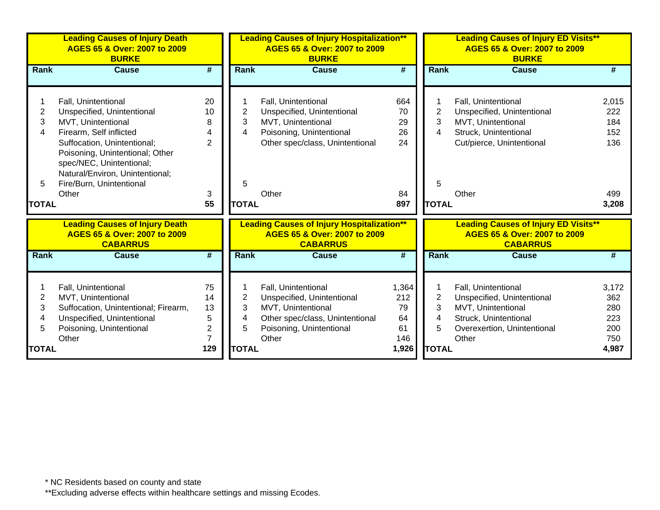|              | <b>Leading Causes of Injury Death</b><br>AGES 65 & Over: 2007 to 2009<br><b>BURKE</b> |                             |                | <b>Leading Causes of Injury Hospitalization**</b><br>AGES 65 & Over: 2007 to 2009<br><b>BURKE</b> |                             |                | <b>Leading Causes of Injury ED Visits**</b><br>AGES 65 & Over: 2007 to 2009<br><b>BURKE</b> |              |
|--------------|---------------------------------------------------------------------------------------|-----------------------------|----------------|---------------------------------------------------------------------------------------------------|-----------------------------|----------------|---------------------------------------------------------------------------------------------|--------------|
| <b>Rank</b>  | <b>Cause</b>                                                                          | #                           | <b>Rank</b>    | <b>Cause</b>                                                                                      | #                           | <b>Rank</b>    | <b>Cause</b>                                                                                | #            |
|              |                                                                                       |                             |                |                                                                                                   |                             |                |                                                                                             |              |
|              | Fall, Unintentional                                                                   | 20                          |                | Fall, Unintentional                                                                               | 664                         |                | Fall, Unintentional                                                                         | 2,015        |
| 2            | Unspecified, Unintentional                                                            | 10                          | $\overline{2}$ | Unspecified, Unintentional                                                                        | 70                          | $\overline{2}$ | Unspecified, Unintentional                                                                  | 222          |
| 3            | MVT, Unintentional                                                                    | 8                           | 3              | MVT, Unintentional                                                                                | 29                          | 3              | MVT, Unintentional                                                                          | 184          |
| 4            | Firearm, Self inflicted                                                               | 4                           | 4              | Poisoning, Unintentional                                                                          | 26                          | 4              | Struck, Unintentional                                                                       | 152          |
|              | Suffocation, Unintentional;                                                           | $\overline{2}$              |                | Other spec/class, Unintentional                                                                   | 24                          |                | Cut/pierce, Unintentional                                                                   | 136          |
|              | Poisoning, Unintentional; Other                                                       |                             |                |                                                                                                   |                             |                |                                                                                             |              |
|              | spec/NEC, Unintentional;                                                              |                             |                |                                                                                                   |                             |                |                                                                                             |              |
|              | Natural/Environ, Unintentional;                                                       |                             |                |                                                                                                   |                             |                |                                                                                             |              |
| 5.           | Fire/Burn, Unintentional                                                              |                             | 5              |                                                                                                   |                             | 5              |                                                                                             |              |
|              | Other                                                                                 | 3<br>55                     | <b>TOTAL</b>   | Other                                                                                             | 84<br>897                   | <b>TOTAL</b>   | Other                                                                                       | 499<br>3,208 |
| <b>TOTAL</b> |                                                                                       |                             |                |                                                                                                   |                             |                |                                                                                             |              |
|              | <b>Leading Causes of Injury Death</b><br>AGES 65 & Over: 2007 to 2009                 |                             |                | <b>Leading Causes of Injury Hospitalization**</b><br>AGES 65 & Over: 2007 to 2009                 |                             |                | <b>Leading Causes of Injury ED Visits**</b><br>AGES 65 & Over: 2007 to 2009                 |              |
|              | <b>CABARRUS</b>                                                                       |                             |                | <b>CABARRUS</b>                                                                                   |                             |                | <b>CABARRUS</b>                                                                             |              |
| <b>Rank</b>  | <b>Cause</b>                                                                          | $\overline{\boldsymbol{t}}$ | Rank           | <b>Cause</b>                                                                                      | $\overline{\boldsymbol{H}}$ | Rank           | Cause                                                                                       | #            |
|              |                                                                                       |                             |                |                                                                                                   |                             |                |                                                                                             |              |
|              | Fall, Unintentional                                                                   | 75                          |                | Fall, Unintentional                                                                               | 1,364                       |                | Fall, Unintentional                                                                         | 3,172        |
| 2            | MVT, Unintentional                                                                    | 14                          | 2              | Unspecified, Unintentional                                                                        | 212                         | $\overline{2}$ | Unspecified, Unintentional                                                                  | 362          |
| 3            | Suffocation, Unintentional; Firearm,                                                  | 13                          | 3              | MVT, Unintentional                                                                                | 79                          | 3              | MVT, Unintentional                                                                          | 280          |
|              | Unspecified, Unintentional                                                            | 5                           | 4              | Other spec/class, Unintentional                                                                   | 64                          | 4              | Struck, Unintentional                                                                       | 223          |
| 5            | Poisoning, Unintentional                                                              | 2                           | 5              | Poisoning, Unintentional                                                                          | 61                          | 5              | Overexertion, Unintentional                                                                 | 200          |
|              | Other                                                                                 | 7                           |                | Other                                                                                             | 146                         |                | Other                                                                                       | 750          |
| <b>TOTAL</b> |                                                                                       | 129                         | <b>TOTAL</b>   |                                                                                                   | 1,926                       | <b>TOTAL</b>   |                                                                                             | 4,987        |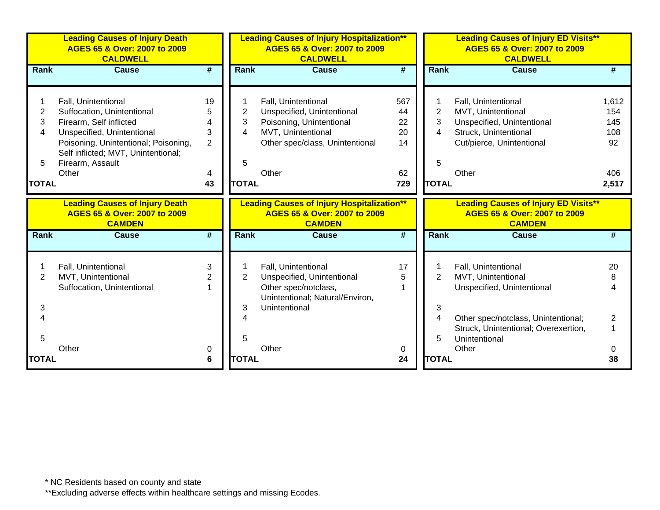|                                               | <b>Leading Causes of Injury Death</b><br>AGES 65 & Over: 2007 to 2009<br><b>CALDWELL</b>                                                                                                                               |                                                | <b>Leading Causes of Injury Hospitalization**</b><br>AGES 65 & Over: 2007 to 2009<br><b>CALDWELL</b> |                                                                                                                                                 |                                          |                                  | <b>Leading Causes of Injury ED Visits**</b><br>AGES 65 & Over: 2007 to 2009<br><b>CALDWELL</b>                                         |                                                  |  |  |
|-----------------------------------------------|------------------------------------------------------------------------------------------------------------------------------------------------------------------------------------------------------------------------|------------------------------------------------|------------------------------------------------------------------------------------------------------|-------------------------------------------------------------------------------------------------------------------------------------------------|------------------------------------------|----------------------------------|----------------------------------------------------------------------------------------------------------------------------------------|--------------------------------------------------|--|--|
| Rank                                          | <b>Cause</b>                                                                                                                                                                                                           | #                                              | Rank                                                                                                 | <b>Cause</b>                                                                                                                                    | #                                        | <b>Rank</b>                      | <b>Cause</b>                                                                                                                           | #                                                |  |  |
| $\overline{2}$<br>3<br>4<br>5<br><b>TOTAL</b> | Fall, Unintentional<br>Suffocation, Unintentional<br>Firearm, Self inflicted<br>Unspecified, Unintentional<br>Poisoning, Unintentional; Poisoning,<br>Self inflicted; MVT, Unintentional;<br>Firearm, Assault<br>Other | 19<br>5<br>4<br>3<br>$\overline{2}$<br>4<br>43 | 2<br>3<br>4<br>5<br><b>TOTAL</b>                                                                     | Fall, Unintentional<br>Unspecified, Unintentional<br>Poisoning, Unintentional<br>MVT, Unintentional<br>Other spec/class, Unintentional<br>Other | 567<br>44<br>22<br>20<br>14<br>62<br>729 | 2<br>3<br>4<br>5<br><b>TOTAL</b> | Fall, Unintentional<br>MVT, Unintentional<br>Unspecified, Unintentional<br>Struck, Unintentional<br>Cut/pierce, Unintentional<br>Other | 1,612<br>154<br>145<br>108<br>92<br>406<br>2,517 |  |  |
|                                               | <b>Leading Causes of Injury Death</b><br>AGES 65 & Over: 2007 to 2009<br><b>CAMDEN</b>                                                                                                                                 |                                                |                                                                                                      | <b>Leading Causes of Injury Hospitalization**</b><br>AGES 65 & Over: 2007 to 2009<br><b>CAMDEN</b>                                              |                                          |                                  | <b>Leading Causes of Injury ED Visits**</b><br>AGES 65 & Over: 2007 to 2009<br><b>CAMDEN</b>                                           |                                                  |  |  |
| <b>Rank</b>                                   | <b>Cause</b>                                                                                                                                                                                                           | #                                              | <b>Rank</b>                                                                                          | <b>Cause</b>                                                                                                                                    | #                                        | Rank                             | <b>Cause</b>                                                                                                                           |                                                  |  |  |
| 2<br>3                                        | Fall, Unintentional<br>MVT, Unintentional<br>Suffocation, Unintentional                                                                                                                                                | 3<br>2                                         | $\overline{2}$<br>3                                                                                  | Fall, Unintentional<br>Unspecified, Unintentional<br>Other spec/notclass,<br>Unintentional; Natural/Environ,<br>Unintentional                   | 17<br>5                                  | 2<br>3                           | Fall, Unintentional<br>MVT, Unintentional<br>Unspecified, Unintentional                                                                | 20<br>8                                          |  |  |
| 4                                             |                                                                                                                                                                                                                        |                                                |                                                                                                      |                                                                                                                                                 |                                          | 4                                | Other spec/notclass, Unintentional;                                                                                                    | $\mathbf{2}^{\prime}$                            |  |  |
| 5                                             |                                                                                                                                                                                                                        |                                                | 5                                                                                                    |                                                                                                                                                 |                                          | 5                                | Struck, Unintentional; Overexertion,<br>Unintentional                                                                                  | 1                                                |  |  |
| <b>TOTAL</b>                                  | Other                                                                                                                                                                                                                  | 0<br>6                                         | <b>TOTAL</b>                                                                                         | Other                                                                                                                                           | 0<br>24                                  | <b>TOTAL</b>                     | Other                                                                                                                                  | $\Omega$<br>38                                   |  |  |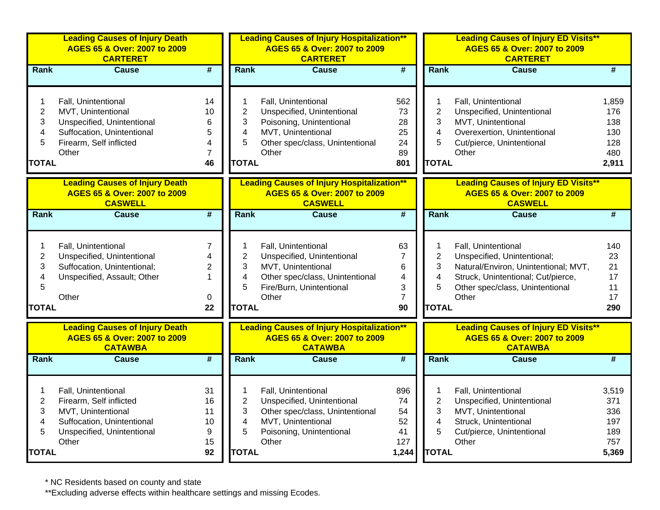|                                                    | <b>Leading Causes of Injury Death</b><br>AGES 65 & Over: 2007 to 2009<br><b>CARTERET</b>                                                  |                                                 |                                                                          | <b>Leading Causes of Injury Hospitalization**</b><br>AGES 65 & Over: 2007 to 2009<br><b>CARTERET</b>                                            |                                                             |                                                    | <b>Leading Causes of Injury ED Visits**</b><br>AGES 65 & Over: 2007 to 2009<br><b>CARTERET</b>                                                                               |                                                   |
|----------------------------------------------------|-------------------------------------------------------------------------------------------------------------------------------------------|-------------------------------------------------|--------------------------------------------------------------------------|-------------------------------------------------------------------------------------------------------------------------------------------------|-------------------------------------------------------------|----------------------------------------------------|------------------------------------------------------------------------------------------------------------------------------------------------------------------------------|---------------------------------------------------|
| Rank                                               | <b>Cause</b>                                                                                                                              | #                                               | Rank                                                                     | <b>Cause</b>                                                                                                                                    | #                                                           | Rank                                               | <b>Cause</b>                                                                                                                                                                 | #                                                 |
| 1<br>$\overline{c}$<br>3<br>4<br>5<br><b>TOTAL</b> | Fall, Unintentional<br>MVT, Unintentional<br>Unspecified, Unintentional<br>Suffocation, Unintentional<br>Firearm, Self inflicted<br>Other | 14<br>10<br>6<br>5<br>4<br>$\overline{7}$<br>46 | 1<br>$\overline{2}$<br>3<br>$\overline{\mathbf{4}}$<br>5<br><b>TOTAL</b> | Fall, Unintentional<br>Unspecified, Unintentional<br>Poisoning, Unintentional<br>MVT, Unintentional<br>Other spec/class, Unintentional<br>Other | 562<br>73<br>28<br>25<br>24<br>89<br>801                    | 1<br>$\overline{2}$<br>3<br>4<br>5<br><b>TOTAL</b> | Fall, Unintentional<br>Unspecified, Unintentional<br>MVT, Unintentional<br>Overexertion, Unintentional<br>Cut/pierce, Unintentional<br>Other                                 | 1,859<br>176<br>138<br>130<br>128<br>480<br>2,911 |
|                                                    | <b>Leading Causes of Injury Death</b><br>AGES 65 & Over: 2007 to 2009<br><b>CASWELL</b>                                                   |                                                 |                                                                          | <b>Leading Causes of Injury Hospitalization**</b><br>AGES 65 & Over: 2007 to 2009<br><b>CASWELL</b>                                             |                                                             |                                                    | <b>Leading Causes of Injury ED Visits**</b><br>AGES 65 & Over: 2007 to 2009<br><b>CASWELL</b>                                                                                |                                                   |
| Rank                                               | <b>Cause</b>                                                                                                                              | $\overline{\boldsymbol{t}}$                     | Rank                                                                     | <b>Cause</b>                                                                                                                                    | #                                                           | Rank                                               | <b>Cause</b>                                                                                                                                                                 | $\overline{\#}$                                   |
| 1<br>$\overline{c}$<br>3<br>4<br>5<br><b>TOTAL</b> | Fall, Unintentional<br>Unspecified, Unintentional<br>Suffocation, Unintentional;<br>Unspecified, Assault; Other<br>Other                  | 7<br>$\overline{2}$<br>$\mathbf{1}$<br>0<br>22  | 1<br>$\overline{c}$<br>3<br>$\overline{4}$<br>5<br><b>TOTAL</b>          | Fall, Unintentional<br>Unspecified, Unintentional<br>MVT, Unintentional<br>Other spec/class, Unintentional<br>Fire/Burn, Unintentional<br>Other | 63<br>$\overline{7}$<br>6<br>4<br>3<br>$\overline{7}$<br>90 | 1<br>$\overline{c}$<br>3<br>4<br>5<br><b>TOTAL</b> | Fall, Unintentional<br>Unspecified, Unintentional;<br>Natural/Environ, Unintentional; MVT,<br>Struck, Unintentional; Cut/pierce,<br>Other spec/class, Unintentional<br>Other | 140<br>23<br>21<br>17<br>11<br>17<br>290          |
|                                                    | <b>Leading Causes of Injury Death</b><br>AGES 65 & Over: 2007 to 2009<br><b>CATAWBA</b>                                                   |                                                 |                                                                          | <b>Leading Causes of Injury Hospitalization**</b><br>AGES 65 & Over: 2007 to 2009<br><b>CATAWBA</b>                                             |                                                             |                                                    | <b>Leading Causes of Injury ED Visits**</b><br>AGES 65 & Over: 2007 to 2009<br><b>CATAWBA</b>                                                                                |                                                   |
| Rank                                               | <b>Cause</b>                                                                                                                              | $\overline{\boldsymbol{t}}$                     | Rank                                                                     | <b>Cause</b>                                                                                                                                    | $\overline{\boldsymbol{t}}$                                 | Rank                                               | <b>Cause</b>                                                                                                                                                                 | #                                                 |
| 1<br>$\overline{2}$<br>3<br>4<br>5<br><b>TOTAL</b> | Fall, Unintentional<br>Firearm, Self inflicted<br>MVT, Unintentional<br>Suffocation, Unintentional<br>Unspecified, Unintentional<br>Other | 31<br>16<br>11<br>10<br>9<br>15<br>92           | 1<br>$\overline{2}$<br>3<br>4<br>5<br><b>TOTAL</b>                       | Fall, Unintentional<br>Unspecified, Unintentional<br>Other spec/class, Unintentional<br>MVT, Unintentional<br>Poisoning, Unintentional<br>Other | 896<br>74<br>54<br>52<br>41<br>127<br>1,244                 | 1<br>$\overline{2}$<br>3<br>4<br>5<br><b>TOTAL</b> | Fall, Unintentional<br>Unspecified, Unintentional<br>MVT, Unintentional<br>Struck, Unintentional<br>Cut/pierce, Unintentional<br>Other                                       | 3,519<br>371<br>336<br>197<br>189<br>757<br>5,369 |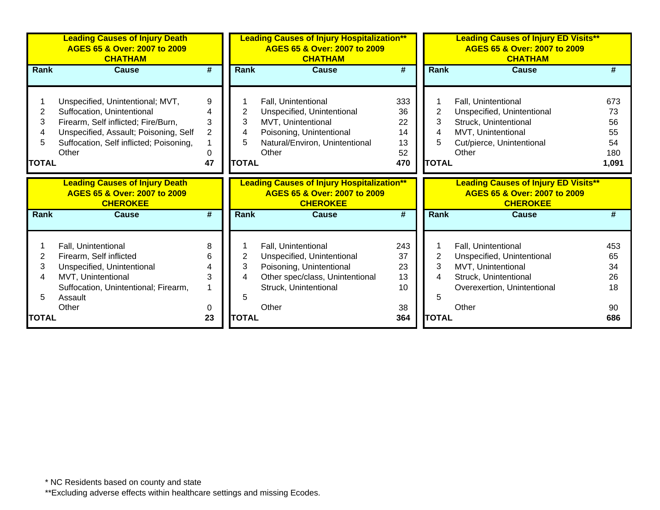|                                  | <b>Leading Causes of Injury Death</b><br>AGES 65 & Over: 2007 to 2009<br><b>CHATHAM</b>                                                                                                            |                                          |                                  | <b>Leading Causes of Injury Hospitalization**</b><br>AGES 65 & Over: 2007 to 2009<br><b>CHATHAM</b>                                                |                                          |                                  | <b>Leading Causes of Injury ED Visits**</b><br>AGES 65 & Over: 2007 to 2009<br><b>CHATHAM</b>                                            |                                             |
|----------------------------------|----------------------------------------------------------------------------------------------------------------------------------------------------------------------------------------------------|------------------------------------------|----------------------------------|----------------------------------------------------------------------------------------------------------------------------------------------------|------------------------------------------|----------------------------------|------------------------------------------------------------------------------------------------------------------------------------------|---------------------------------------------|
| <b>Rank</b>                      | <b>Cause</b>                                                                                                                                                                                       | #                                        | <b>Rank</b>                      | <b>Cause</b>                                                                                                                                       | #                                        | <b>Rank</b>                      | <b>Cause</b>                                                                                                                             | #                                           |
| 2<br>3<br>4<br>5<br><b>TOTAL</b> | Unspecified, Unintentional; MVT,<br>Suffocation, Unintentional<br>Firearm, Self inflicted; Fire/Burn,<br>Unspecified, Assault; Poisoning, Self<br>Suffocation, Self inflicted; Poisoning,<br>Other | 9<br>4<br>3<br>$\overline{2}$<br>0<br>47 | 2<br>3<br>4<br>5<br><b>TOTAL</b> | Fall, Unintentional<br>Unspecified, Unintentional<br>MVT, Unintentional<br>Poisoning, Unintentional<br>Natural/Environ, Unintentional<br>Other     | 333<br>36<br>22<br>14<br>13<br>52<br>470 | 2<br>3<br>4<br>5<br><b>TOTAL</b> | Fall, Unintentional<br>Unspecified, Unintentional<br>Struck, Unintentional<br>MVT, Unintentional<br>Cut/pierce, Unintentional<br>Other   | 673<br>73<br>56<br>55<br>54<br>180<br>1,091 |
|                                  | <b>Leading Causes of Injury Death</b><br>AGES 65 & Over: 2007 to 2009<br><b>CHEROKEE</b>                                                                                                           |                                          |                                  | <b>Leading Causes of Injury Hospitalization**</b><br>AGES 65 & Over: 2007 to 2009<br><b>CHEROKEE</b>                                               |                                          |                                  | <b>Leading Causes of Injury ED Visits**</b><br>AGES 65 & Over: 2007 to 2009<br><b>CHEROKEE</b>                                           |                                             |
| <b>Rank</b>                      | <b>Cause</b>                                                                                                                                                                                       | #                                        | <b>Rank</b>                      | <b>Cause</b>                                                                                                                                       | #                                        | <b>Rank</b>                      | <b>Cause</b>                                                                                                                             | #                                           |
| 2<br>3<br>4<br>5                 | Fall, Unintentional<br>Firearm, Self inflicted<br>Unspecified, Unintentional<br>MVT, Unintentional<br>Suffocation, Unintentional; Firearm,<br>Assault<br>Other                                     | 8<br>6<br>3<br>0                         | 2<br>3<br>4<br>5                 | Fall, Unintentional<br>Unspecified, Unintentional<br>Poisoning, Unintentional<br>Other spec/class, Unintentional<br>Struck, Unintentional<br>Other | 243<br>37<br>23<br>13<br>10<br>38        | $\overline{2}$<br>3<br>4<br>5    | Fall, Unintentional<br>Unspecified, Unintentional<br>MVT, Unintentional<br>Struck, Unintentional<br>Overexertion, Unintentional<br>Other | 453<br>65<br>34<br>26<br>18<br>90           |
| <b>TOTAL</b>                     |                                                                                                                                                                                                    | 23                                       | <b>TOTAL</b>                     |                                                                                                                                                    | 364                                      | <b>TOTAL</b>                     |                                                                                                                                          | 686                                         |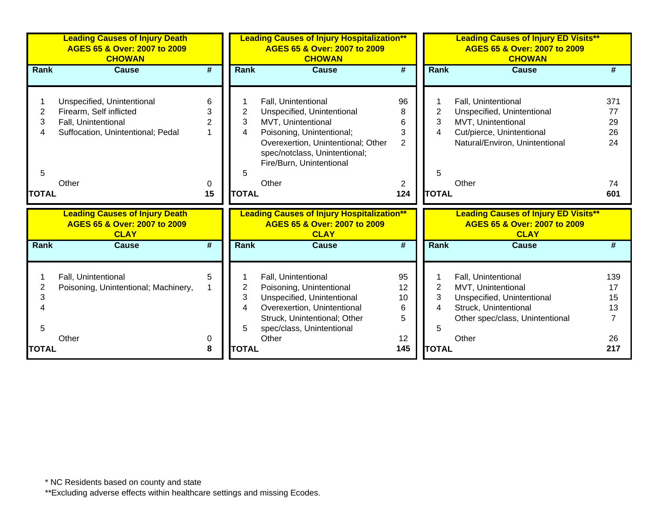|              | <b>Leading Causes of Injury Death</b><br>AGES 65 & Over: 2007 to 2009<br><b>CHOWAN</b> |                |              | <b>Leading Causes of Injury Hospitalization**</b><br>AGES 65 & Over: 2007 to 2009<br><b>CHOWAN</b> |                             |              | <b>Leading Causes of Injury ED Visits**</b><br>AGES 65 & Over: 2007 to 2009<br><b>CHOWAN</b> |     |
|--------------|----------------------------------------------------------------------------------------|----------------|--------------|----------------------------------------------------------------------------------------------------|-----------------------------|--------------|----------------------------------------------------------------------------------------------|-----|
| Rank         | <b>Cause</b>                                                                           | #              | Rank         | <b>Cause</b>                                                                                       | $\overline{\boldsymbol{t}}$ | <b>Rank</b>  | <b>Cause</b>                                                                                 | #   |
|              |                                                                                        |                |              |                                                                                                    |                             |              |                                                                                              |     |
|              | Unspecified, Unintentional                                                             | 6              |              | Fall, Unintentional                                                                                | 96                          |              | Fall, Unintentional                                                                          | 371 |
| 2            | Firearm, Self inflicted                                                                | 3              | 2            | Unspecified, Unintentional                                                                         | 8                           | 2            | Unspecified, Unintentional                                                                   | 77  |
| 3            | Fall, Unintentional                                                                    | $\overline{2}$ | 3            | MVT, Unintentional                                                                                 | 6                           | 3            | MVT, Unintentional                                                                           | 29  |
|              | Suffocation, Unintentional; Pedal                                                      | 1              | 4            | Poisoning, Unintentional;                                                                          | 3                           | 4            | Cut/pierce, Unintentional                                                                    | 26  |
|              |                                                                                        |                |              | Overexertion, Unintentional; Other                                                                 | 2                           |              | Natural/Environ, Unintentional                                                               | 24  |
|              |                                                                                        |                |              | spec/notclass, Unintentional;                                                                      |                             |              |                                                                                              |     |
|              |                                                                                        |                |              | Fire/Burn, Unintentional                                                                           |                             |              |                                                                                              |     |
| 5            |                                                                                        |                | 5            |                                                                                                    |                             | 5            |                                                                                              |     |
|              | Other                                                                                  | 0              |              | Other                                                                                              | 2                           |              | Other                                                                                        | 74  |
| <b>TOTAL</b> |                                                                                        | 15             | <b>TOTAL</b> |                                                                                                    | 124                         | <b>TOTAL</b> |                                                                                              | 601 |
|              | <b>Leading Causes of Injury Death</b><br>AGES 65 & Over: 2007 to 2009<br><b>CLAY</b>   |                |              | <b>Leading Causes of Injury Hospitalization**</b><br>AGES 65 & Over: 2007 to 2009<br><b>CLAY</b>   |                             |              | <b>Leading Causes of Injury ED Visits**</b><br>AGES 65 & Over: 2007 to 2009<br><b>CLAY</b>   |     |
| Rank         | <b>Cause</b>                                                                           | #              | <b>Rank</b>  | <b>Cause</b>                                                                                       | #                           | <b>Rank</b>  | <b>Cause</b>                                                                                 |     |
|              |                                                                                        |                |              |                                                                                                    |                             |              |                                                                                              |     |
|              | Fall, Unintentional                                                                    | 5              |              | Fall, Unintentional                                                                                | 95                          |              | Fall, Unintentional                                                                          | 139 |
| 2            | Poisoning, Unintentional; Machinery,                                                   |                | 2            | Poisoning, Unintentional                                                                           | 12                          | 2            | MVT, Unintentional                                                                           | 17  |
| 3            |                                                                                        |                | 3            | Unspecified, Unintentional                                                                         | 10                          | 3            | Unspecified, Unintentional                                                                   | 15  |
|              |                                                                                        |                | 4            | Overexertion, Unintentional                                                                        | 6                           | 4            | Struck, Unintentional                                                                        | 13  |
|              |                                                                                        |                |              | Struck, Unintentional; Other                                                                       | 5                           |              | Other spec/class, Unintentional                                                              | 7   |
| 5            |                                                                                        |                | 5            | spec/class, Unintentional                                                                          |                             | 5            |                                                                                              |     |
|              | Other                                                                                  | 0              |              | Other                                                                                              | 12                          |              | Other                                                                                        | 26  |
| <b>TOTAL</b> |                                                                                        | 8              | <b>TOTAL</b> |                                                                                                    | 145                         | <b>TOTAL</b> |                                                                                              | 217 |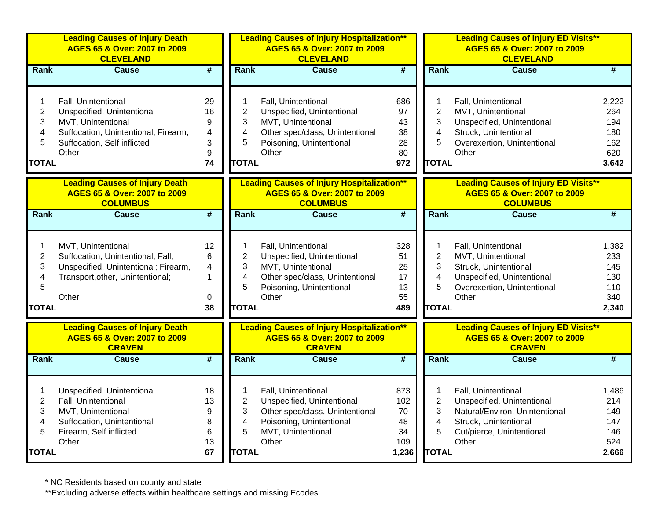|                                                    | <b>Leading Causes of Injury Death</b><br>AGES 65 & Over: 2007 to 2009<br><b>CLEVELAND</b>                                                               |                                     |                                                                          | <b>Leading Causes of Injury Hospitalization**</b><br>AGES 65 & Over: 2007 to 2009<br><b>CLEVELAND</b>                                           |                                              |                                                    | <b>Leading Causes of Injury ED Visits**</b><br>AGES 65 & Over: 2007 to 2009<br><b>CLEVELAND</b>                                                    |                                                   |
|----------------------------------------------------|---------------------------------------------------------------------------------------------------------------------------------------------------------|-------------------------------------|--------------------------------------------------------------------------|-------------------------------------------------------------------------------------------------------------------------------------------------|----------------------------------------------|----------------------------------------------------|----------------------------------------------------------------------------------------------------------------------------------------------------|---------------------------------------------------|
| Rank                                               | <b>Cause</b>                                                                                                                                            | $\overline{\boldsymbol{t}}$         | Rank                                                                     | <b>Cause</b>                                                                                                                                    | #                                            | Rank                                               | <b>Cause</b>                                                                                                                                       | #                                                 |
| 1<br>$\overline{c}$<br>3<br>4<br>5<br><b>TOTAL</b> | Fall, Unintentional<br>Unspecified, Unintentional<br>MVT, Unintentional<br>Suffocation, Unintentional; Firearm,<br>Suffocation, Self inflicted<br>Other | 29<br>16<br>9<br>4<br>3<br>9<br>74  | 1<br>$\overline{2}$<br>3<br>$\overline{\mathbf{4}}$<br>5<br><b>TOTAL</b> | Fall, Unintentional<br>Unspecified, Unintentional<br>MVT, Unintentional<br>Other spec/class, Unintentional<br>Poisoning, Unintentional<br>Other | 686<br>97<br>43<br>38<br>28<br>80<br>972     | 1<br>$\overline{2}$<br>3<br>4<br>5<br><b>TOTAL</b> | Fall, Unintentional<br>MVT, Unintentional<br>Unspecified, Unintentional<br>Struck, Unintentional<br>Overexertion, Unintentional<br>Other           | 2,222<br>264<br>194<br>180<br>162<br>620<br>3,642 |
|                                                    | <b>Leading Causes of Injury Death</b><br>AGES 65 & Over: 2007 to 2009<br><b>COLUMBUS</b>                                                                |                                     |                                                                          | <b>Leading Causes of Injury Hospitalization**</b><br>AGES 65 & Over: 2007 to 2009<br><b>COLUMBUS</b>                                            |                                              |                                                    | <b>Leading Causes of Injury ED Visits**</b><br>AGES 65 & Over: 2007 to 2009<br><b>COLUMBUS</b>                                                     |                                                   |
| Rank                                               | <b>Cause</b>                                                                                                                                            | $\overline{\boldsymbol{t}}$         | Rank                                                                     | <b>Cause</b>                                                                                                                                    | #                                            | Rank                                               | <b>Cause</b>                                                                                                                                       | $\overline{\#}$                                   |
| 1<br>$\overline{c}$<br>3<br>4<br>5<br><b>TOTAL</b> | MVT, Unintentional<br>Suffocation, Unintentional; Fall,<br>Unspecified, Unintentional; Firearm,<br>Transport, other, Unintentional;<br>Other            | 12<br>6<br>4<br>1<br>0<br>38        | 1<br>$\overline{c}$<br>3<br>4<br>5<br><b>TOTAL</b>                       | Fall, Unintentional<br>Unspecified, Unintentional<br>MVT, Unintentional<br>Other spec/class, Unintentional<br>Poisoning, Unintentional<br>Other | 328<br>51<br>25<br>17<br>13<br>55<br>489     | 1<br>$\overline{c}$<br>3<br>4<br>5<br><b>TOTAL</b> | Fall, Unintentional<br>MVT, Unintentional<br>Struck, Unintentional<br>Unspecified, Unintentional<br>Overexertion, Unintentional<br>Other           | 1,382<br>233<br>145<br>130<br>110<br>340<br>2,340 |
|                                                    | <b>Leading Causes of Injury Death</b><br>AGES 65 & Over: 2007 to 2009<br><b>CRAVEN</b>                                                                  |                                     |                                                                          | <b>Leading Causes of Injury Hospitalization**</b><br>AGES 65 & Over: 2007 to 2009<br><b>CRAVEN</b>                                              |                                              |                                                    | <b>Leading Causes of Injury ED Visits**</b><br>AGES 65 & Over: 2007 to 2009<br><b>CRAVEN</b>                                                       |                                                   |
| Rank                                               | <b>Cause</b>                                                                                                                                            | $\overline{\boldsymbol{t}}$         | Rank                                                                     | <b>Cause</b>                                                                                                                                    | $\overline{\boldsymbol{t}}$                  | Rank                                               | <b>Cause</b>                                                                                                                                       | #                                                 |
| $\overline{2}$<br>3<br>4<br>5<br><b>TOTAL</b>      | Unspecified, Unintentional<br>Fall, Unintentional<br>MVT, Unintentional<br>Suffocation, Unintentional<br>Firearm, Self inflicted<br>Other               | 18<br>13<br>9<br>8<br>6<br>13<br>67 | 1<br>$\overline{2}$<br>3<br>4<br>5<br><b>TOTAL</b>                       | Fall, Unintentional<br>Unspecified, Unintentional<br>Other spec/class, Unintentional<br>Poisoning, Unintentional<br>MVT, Unintentional<br>Other | 873<br>102<br>70<br>48<br>34<br>109<br>1,236 | 1<br>$\overline{2}$<br>3<br>4<br>5<br><b>TOTAL</b> | Fall, Unintentional<br>Unspecified, Unintentional<br>Natural/Environ, Unintentional<br>Struck, Unintentional<br>Cut/pierce, Unintentional<br>Other | 1,486<br>214<br>149<br>147<br>146<br>524<br>2,666 |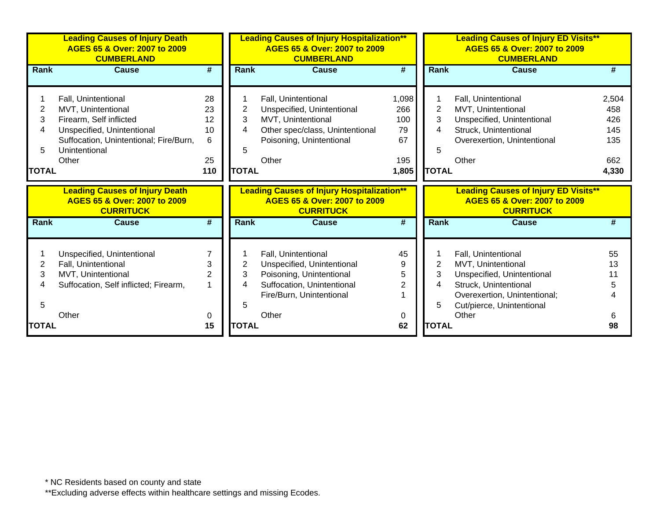|              | <b>Leading Causes of Injury Death</b><br>AGES 65 & Over: 2007 to 2009<br><b>CUMBERLAND</b> |                     | <b>Leading Causes of Injury Hospitalization**</b><br>AGES 65 & Over: 2007 to 2009<br><b>CUMBERLAND</b> |                                                                                                       |              | <b>Leading Causes of Injury ED Visits**</b><br>AGES 65 & Over: 2007 to 2009<br><b>CUMBERLAND</b> |                                                                                                 |            |  |
|--------------|--------------------------------------------------------------------------------------------|---------------------|--------------------------------------------------------------------------------------------------------|-------------------------------------------------------------------------------------------------------|--------------|--------------------------------------------------------------------------------------------------|-------------------------------------------------------------------------------------------------|------------|--|
| <b>Rank</b>  | <b>Cause</b>                                                                               | #                   | <b>Rank</b>                                                                                            | <b>Cause</b>                                                                                          | #            | <b>Rank</b>                                                                                      | <b>Cause</b>                                                                                    | #          |  |
|              |                                                                                            |                     |                                                                                                        |                                                                                                       |              |                                                                                                  |                                                                                                 |            |  |
|              | Fall, Unintentional                                                                        | 28                  |                                                                                                        | Fall, Unintentional                                                                                   | 1,098<br>266 |                                                                                                  | Fall, Unintentional                                                                             | 2,504      |  |
| 2            | MVT, Unintentional                                                                         | 23                  | 2<br>3                                                                                                 | Unspecified, Unintentional                                                                            | 100          | 2<br>3                                                                                           | MVT, Unintentional                                                                              | 458        |  |
| 3<br>4       | Firearm, Self inflicted                                                                    | 12<br>10            | 4                                                                                                      | MVT, Unintentional                                                                                    | 79           | 4                                                                                                | Unspecified, Unintentional<br>Struck, Unintentional                                             | 426<br>145 |  |
|              | Unspecified, Unintentional<br>Suffocation, Unintentional; Fire/Burn,                       | 6                   |                                                                                                        | Other spec/class, Unintentional<br>Poisoning, Unintentional                                           | 67           |                                                                                                  | Overexertion, Unintentional                                                                     | 135        |  |
| 5            | Unintentional                                                                              |                     | 5                                                                                                      |                                                                                                       |              | 5                                                                                                |                                                                                                 |            |  |
|              | Other                                                                                      | 25                  |                                                                                                        | Other                                                                                                 | 195          |                                                                                                  | Other                                                                                           | 662        |  |
| <b>TOTAL</b> |                                                                                            | 110                 | <b>TOTAL</b>                                                                                           |                                                                                                       | 1,805        | <b>TOTAL</b>                                                                                     |                                                                                                 | 4,330      |  |
|              |                                                                                            |                     |                                                                                                        |                                                                                                       |              |                                                                                                  |                                                                                                 |            |  |
|              |                                                                                            |                     |                                                                                                        |                                                                                                       |              |                                                                                                  |                                                                                                 |            |  |
|              | <b>Leading Causes of Injury Death</b><br>AGES 65 & Over: 2007 to 2009<br><b>CURRITUCK</b>  |                     |                                                                                                        | <b>Leading Causes of Injury Hospitalization**</b><br>AGES 65 & Over: 2007 to 2009<br><b>CURRITUCK</b> |              |                                                                                                  | <b>Leading Causes of Injury ED Visits**</b><br>AGES 65 & Over: 2007 to 2009<br><b>CURRITUCK</b> |            |  |
| <b>Rank</b>  | <b>Cause</b>                                                                               | #                   | <b>Rank</b>                                                                                            | <b>Cause</b>                                                                                          | #            | <b>Rank</b>                                                                                      | <b>Cause</b>                                                                                    | #          |  |
|              |                                                                                            |                     |                                                                                                        |                                                                                                       |              |                                                                                                  |                                                                                                 |            |  |
|              |                                                                                            | $\overline{7}$      |                                                                                                        |                                                                                                       |              |                                                                                                  |                                                                                                 |            |  |
|              | Unspecified, Unintentional                                                                 |                     |                                                                                                        | Fall, Unintentional                                                                                   | 45<br>9      |                                                                                                  | Fall, Unintentional                                                                             | 55<br>13   |  |
| 2<br>3       | Fall, Unintentional                                                                        | 3<br>$\overline{2}$ | 2<br>3                                                                                                 | Unspecified, Unintentional                                                                            | 5            | 2<br>3                                                                                           | MVT, Unintentional                                                                              |            |  |
| 4            | MVT, Unintentional                                                                         | 1                   | 4                                                                                                      | Poisoning, Unintentional<br>Suffocation, Unintentional                                                | 2            | 4                                                                                                | Unspecified, Unintentional<br>Struck, Unintentional                                             | 5          |  |
|              | Suffocation, Self inflicted; Firearm,                                                      |                     |                                                                                                        | Fire/Burn, Unintentional                                                                              |              |                                                                                                  | Overexertion, Unintentional;                                                                    |            |  |
| 5            |                                                                                            |                     | 5                                                                                                      |                                                                                                       |              | 5                                                                                                | Cut/pierce, Unintentional                                                                       |            |  |
|              | Other                                                                                      | 0                   |                                                                                                        | Other                                                                                                 | 0            |                                                                                                  | Other                                                                                           |            |  |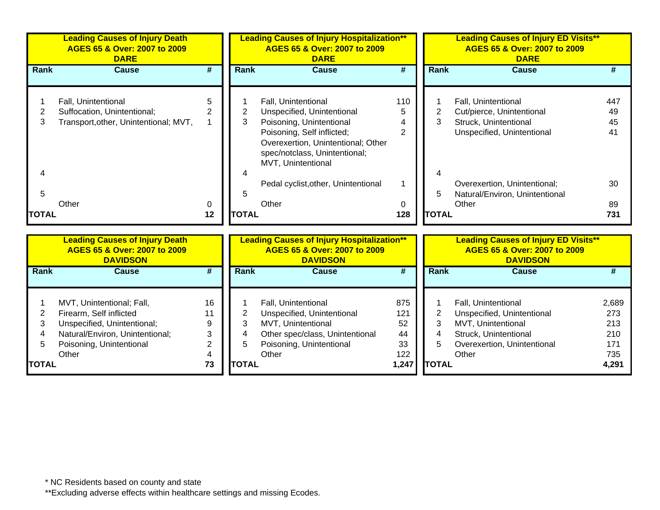|                   | <b>Leading Causes of Injury Death</b><br>AGES 65 & Over: 2007 to 2009<br><b>DARE</b>        |                    |              | <b>Leading Causes of Injury Hospitalization**</b><br>AGES 65 & Over: 2007 to 2009<br><b>DARE</b>                                                                                                         |                 |                   | <b>Leading Causes of Injury ED Visits**</b><br>AGES 65 & Over: 2007 to 2009<br><b>DARE</b>              |                       |  |
|-------------------|---------------------------------------------------------------------------------------------|--------------------|--------------|----------------------------------------------------------------------------------------------------------------------------------------------------------------------------------------------------------|-----------------|-------------------|---------------------------------------------------------------------------------------------------------|-----------------------|--|
| Rank              | Cause                                                                                       | #                  | Rank         | <b>Cause</b>                                                                                                                                                                                             | #               | Rank              | <b>Cause</b>                                                                                            |                       |  |
| 3                 | Fall, Unintentional<br>Suffocation, Unintentional;<br>Transport, other, Unintentional; MVT, | 5<br>$\mathcal{P}$ | 3            | Fall, Unintentional<br>Unspecified, Unintentional<br>Poisoning, Unintentional<br>Poisoning, Self inflicted;<br>Overexertion, Unintentional; Other<br>spec/notclass, Unintentional;<br>MVT, Unintentional | 110<br>5<br>4   | 3                 | Fall, Unintentional<br>Cut/pierce, Unintentional<br>Struck, Unintentional<br>Unspecified, Unintentional | 447<br>49<br>45<br>41 |  |
| 5<br><b>TOTAL</b> | Other                                                                                       | $\Omega$<br>12     | <b>TOTAL</b> | Pedal cyclist, other, Unintentional<br>Other                                                                                                                                                             | $\Omega$<br>128 | 5<br><b>TOTAL</b> | Overexertion, Unintentional;<br>Natural/Environ, Unintentional<br>Other                                 | 30<br>89<br>731       |  |

|               | <b>Leading Causes of Injury Death</b><br>AGES 65 & Over: 2007 to 2009<br><b>DAVIDSON</b> |    |              | <b>Leading Causes of Injury Hospitalization**</b><br>AGES 65 & Over: 2007 to 2009<br><b>DAVIDSON</b> |       |              | <b>Leading Causes of Injury ED Visits**</b><br>AGES 65 & Over: 2007 to 2009<br><b>DAVIDSON</b> |       |  |  |
|---------------|------------------------------------------------------------------------------------------|----|--------------|------------------------------------------------------------------------------------------------------|-------|--------------|------------------------------------------------------------------------------------------------|-------|--|--|
| Rank          | Cause                                                                                    | #  | Rank         | <b>Cause</b>                                                                                         | #     | Rank         | Cause                                                                                          |       |  |  |
|               | MVT, Unintentional; Fall,                                                                | 16 |              | Fall, Unintentional                                                                                  | 875   |              | <b>Fall, Unintentional</b>                                                                     | 2.689 |  |  |
|               | Firearm, Self inflicted                                                                  |    |              | Unspecified, Unintentional                                                                           | 121   |              | Unspecified, Unintentional                                                                     | 273   |  |  |
|               | Unspecified, Unintentional;                                                              | 9  |              | MVT, Unintentional                                                                                   | 52    |              | MVT, Unintentional                                                                             | 213   |  |  |
|               | Natural/Environ, Unintentional;                                                          | 3  |              | Other spec/class, Unintentional                                                                      | 44    |              | Struck, Unintentional                                                                          | 210   |  |  |
|               | Poisoning, Unintentional                                                                 |    | 5            | Poisoning, Unintentional                                                                             | 33    | 5            | Overexertion, Unintentional                                                                    | 171   |  |  |
|               | Other                                                                                    | 4  |              | Other                                                                                                | 122   |              | Other                                                                                          | 735   |  |  |
| <b>ITOTAL</b> |                                                                                          | 73 | <b>TOTAL</b> |                                                                                                      | 1,247 | <b>TOTAL</b> |                                                                                                | 4,291 |  |  |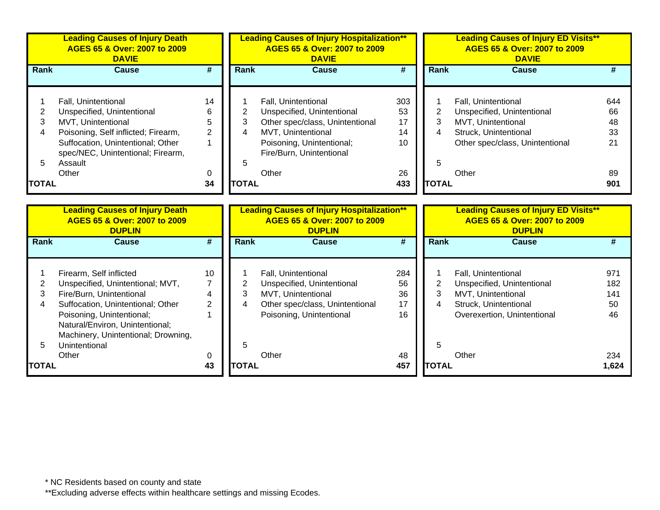|              | <b>Leading Causes of Injury Death</b><br>AGES 65 & Over: 2007 to 2009<br><b>DAVIE</b> |                |                | <b>Leading Causes of Injury Hospitalization**</b><br>AGES 65 & Over: 2007 to 2009<br><b>DAVIE</b> |                             |                | <b>Leading Causes of Injury ED Visits**</b><br>AGES 65 & Over: 2007 to 2009<br><b>DAVIE</b> |       |
|--------------|---------------------------------------------------------------------------------------|----------------|----------------|---------------------------------------------------------------------------------------------------|-----------------------------|----------------|---------------------------------------------------------------------------------------------|-------|
| Rank         | <b>Cause</b>                                                                          | #              | Rank           | <b>Cause</b>                                                                                      | $\overline{\boldsymbol{t}}$ | <b>Rank</b>    | <b>Cause</b>                                                                                | #     |
|              |                                                                                       |                |                |                                                                                                   |                             |                |                                                                                             |       |
|              | Fall, Unintentional                                                                   | 14             |                | Fall, Unintentional                                                                               | 303                         |                | Fall, Unintentional                                                                         | 644   |
| 2            | Unspecified, Unintentional                                                            | 6              | $\overline{2}$ | Unspecified, Unintentional                                                                        | 53                          | $\overline{2}$ | Unspecified, Unintentional                                                                  | 66    |
| 3            | MVT, Unintentional                                                                    | 5              | 3              | Other spec/class, Unintentional                                                                   | 17                          | 3              | MVT, Unintentional                                                                          | 48    |
| 4            | Poisoning, Self inflicted; Firearm,                                                   | $\overline{2}$ | 4              | MVT, Unintentional                                                                                | 14                          | 4              | Struck, Unintentional                                                                       | 33    |
|              | Suffocation, Unintentional; Other                                                     | 1              |                | Poisoning, Unintentional;                                                                         | 10                          |                | Other spec/class, Unintentional                                                             | 21    |
|              | spec/NEC, Unintentional; Firearm,                                                     |                |                | Fire/Burn, Unintentional                                                                          |                             |                |                                                                                             |       |
| 5            | Assault<br>Other                                                                      | 0              | 5              | Other                                                                                             | 26                          | 5              | Other                                                                                       | 89    |
| <b>TOTAL</b> |                                                                                       | 34             | <b>TOTAL</b>   |                                                                                                   | 433                         | <b>TOTAL</b>   |                                                                                             | 901   |
|              |                                                                                       |                |                |                                                                                                   |                             |                |                                                                                             |       |
|              |                                                                                       |                |                |                                                                                                   |                             |                |                                                                                             |       |
|              | <b>Leading Causes of Injury Death</b><br>AGES 65 & Over: 2007 to 2009                 |                |                | <b>Leading Causes of Injury Hospitalization**</b><br>AGES 65 & Over: 2007 to 2009                 |                             |                | <b>Leading Causes of Injury ED Visits**</b><br>AGES 65 & Over: 2007 to 2009                 |       |
|              | <b>DUPLIN</b>                                                                         |                |                | <b>DUPLIN</b>                                                                                     |                             |                | <b>DUPLIN</b>                                                                               |       |
| <b>Rank</b>  | Cause                                                                                 | #              | <b>Rank</b>    | Cause                                                                                             | #                           | <b>Rank</b>    | <b>Cause</b>                                                                                | #     |
|              |                                                                                       |                |                |                                                                                                   |                             |                |                                                                                             |       |
|              | Firearm, Self inflicted                                                               | 10             |                | Fall, Unintentional                                                                               | 284                         |                | Fall, Unintentional                                                                         | 971   |
| 2            | Unspecified, Unintentional; MVT,                                                      | $\overline{7}$ | 2              | Unspecified, Unintentional                                                                        | 56                          | $\overline{2}$ | Unspecified, Unintentional                                                                  | 182   |
| 3            | Fire/Burn, Unintentional                                                              | 4              | 3              | MVT, Unintentional                                                                                | 36                          | 3              | MVT, Unintentional                                                                          | 141   |
| 4            | Suffocation, Unintentional; Other                                                     | $\overline{2}$ | 4              | Other spec/class, Unintentional                                                                   | 17                          | 4              | Struck, Unintentional                                                                       | 50    |
|              | Poisoning, Unintentional;                                                             |                |                | Poisoning, Unintentional                                                                          | 16                          |                | Overexertion, Unintentional                                                                 | 46    |
|              | Natural/Environ, Unintentional;                                                       |                |                |                                                                                                   |                             |                |                                                                                             |       |
|              | Machinery, Unintentional; Drowning,                                                   |                |                |                                                                                                   |                             |                |                                                                                             |       |
| 5            | Unintentional                                                                         |                | 5              |                                                                                                   |                             | 5              |                                                                                             |       |
|              | Other                                                                                 | 0              |                | Other                                                                                             | 48                          |                | Other                                                                                       | 234   |
| <b>TOTAL</b> |                                                                                       | 43             | <b>TOTAL</b>   |                                                                                                   | 457                         | <b>TOTAL</b>   |                                                                                             | 1,624 |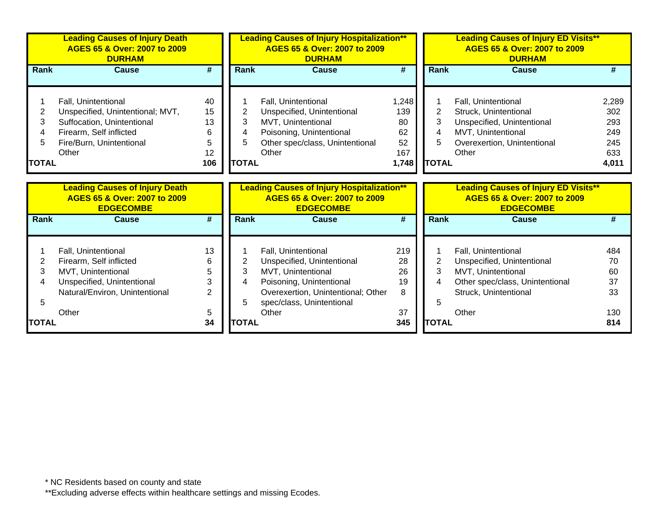|                                  | <b>Leading Causes of Injury Death</b><br>AGES 65 & Over: 2007 to 2009<br><b>DURHAM</b>                                                                |                                          |                                  | <b>Leading Causes of Injury Hospitalization**</b><br>AGES 65 & Over: 2007 to 2009<br><b>DURHAM</b>                                                                              |                                                |                               | <b>Leading Causes of Injury ED Visits**</b><br>AGES 65 & Over: 2007 to 2009<br><b>DURHAM</b>                                                 |                                                   |  |
|----------------------------------|-------------------------------------------------------------------------------------------------------------------------------------------------------|------------------------------------------|----------------------------------|---------------------------------------------------------------------------------------------------------------------------------------------------------------------------------|------------------------------------------------|-------------------------------|----------------------------------------------------------------------------------------------------------------------------------------------|---------------------------------------------------|--|
| Rank                             | Cause                                                                                                                                                 | #                                        | <b>Rank</b>                      | <b>Cause</b>                                                                                                                                                                    | #                                              | <b>Rank</b>                   | Cause                                                                                                                                        |                                                   |  |
| 2<br>3<br>4<br>5<br><b>TOTAL</b> | Fall, Unintentional<br>Unspecified, Unintentional; MVT,<br>Suffocation, Unintentional<br>Firearm, Self inflicted<br>Fire/Burn, Unintentional<br>Other | 40<br>15<br>13<br>6<br>5<br>12<br>106    | 2<br>3<br>4<br>5<br><b>TOTAL</b> | Fall, Unintentional<br>Unspecified, Unintentional<br>MVT, Unintentional<br>Poisoning, Unintentional<br>Other spec/class, Unintentional<br>Other                                 | 1,248<br>139<br>80<br>62<br>52<br>167<br>1,748 | 2<br>3<br>5<br><b>TOTAL</b>   | Fall, Unintentional<br>Struck, Unintentional<br>Unspecified, Unintentional<br>MVT, Unintentional<br>Overexertion, Unintentional<br>Other     | 2,289<br>302<br>293<br>249<br>245<br>633<br>4,011 |  |
|                                  | <b>Leading Causes of Injury Death</b><br>AGES 65 & Over: 2007 to 2009<br><b>EDGECOMBE</b>                                                             |                                          |                                  | <b>Leading Causes of Injury Hospitalization**</b><br>AGES 65 & Over: 2007 to 2009<br><b>EDGECOMBE</b>                                                                           |                                                |                               | <b>Leading Causes of Injury ED Visits**</b><br>AGES 65 & Over: 2007 to 2009<br><b>EDGECOMBE</b>                                              |                                                   |  |
| Rank                             | <b>Cause</b>                                                                                                                                          | #                                        | Rank                             | <b>Cause</b>                                                                                                                                                                    | #                                              | <b>Rank</b>                   | <b>Cause</b>                                                                                                                                 | #                                                 |  |
| $\overline{2}$<br>3<br>4<br>5    | Fall, Unintentional<br>Firearm, Self inflicted<br>MVT, Unintentional<br>Unspecified, Unintentional<br>Natural/Environ, Unintentional<br>Other         | 13<br>6<br>5<br>3<br>$\overline{2}$<br>5 | 2<br>3<br>4<br>5                 | Fall, Unintentional<br>Unspecified, Unintentional<br>MVT, Unintentional<br>Poisoning, Unintentional<br>Overexertion, Unintentional; Other<br>spec/class, Unintentional<br>Other | 219<br>28<br>26<br>19<br>8<br>37               | $\overline{2}$<br>3<br>4<br>5 | Fall, Unintentional<br>Unspecified, Unintentional<br>MVT, Unintentional<br>Other spec/class, Unintentional<br>Struck, Unintentional<br>Other | 484<br>70<br>60<br>37<br>33<br>130                |  |
| <b>TOTAL</b>                     |                                                                                                                                                       | 34                                       | <b>TOTAL</b>                     |                                                                                                                                                                                 | 345                                            | <b>TOTAL</b>                  |                                                                                                                                              | 814                                               |  |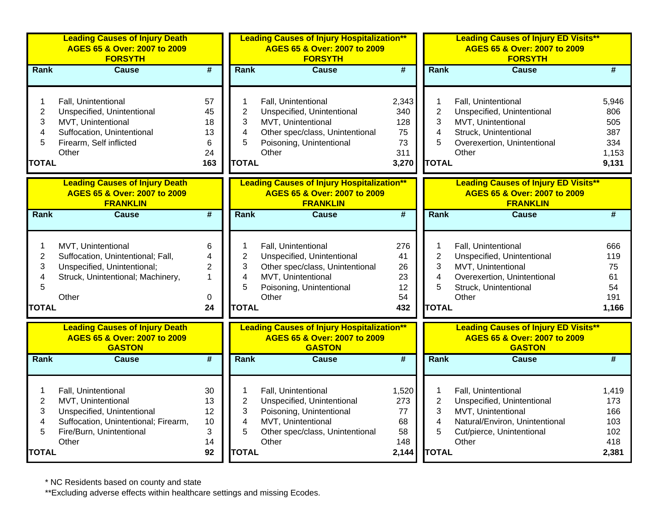|                                                    | <b>Leading Causes of Injury Death</b><br>AGES 65 & Over: 2007 to 2009<br><b>FORSYTH</b>                                                              |                                                     |                                                                          | <b>Leading Causes of Injury Hospitalization**</b><br>AGES 65 & Over: 2007 to 2009<br><b>FORSYTH</b>                                             |                                                 |                                                    | <b>Leading Causes of Injury ED Visits**</b><br>AGES 65 & Over: 2007 to 2009<br><b>FORSYTH</b>                                                   |                                                     |
|----------------------------------------------------|------------------------------------------------------------------------------------------------------------------------------------------------------|-----------------------------------------------------|--------------------------------------------------------------------------|-------------------------------------------------------------------------------------------------------------------------------------------------|-------------------------------------------------|----------------------------------------------------|-------------------------------------------------------------------------------------------------------------------------------------------------|-----------------------------------------------------|
| Rank                                               | <b>Cause</b>                                                                                                                                         | $\overline{\boldsymbol{t}}$                         | Rank                                                                     | <b>Cause</b>                                                                                                                                    | #                                               | Rank                                               | <b>Cause</b>                                                                                                                                    | #                                                   |
| 1<br>$\overline{c}$<br>3<br>4<br>5<br><b>TOTAL</b> | Fall, Unintentional<br>Unspecified, Unintentional<br>MVT, Unintentional<br>Suffocation, Unintentional<br>Firearm, Self inflicted<br>Other            | 57<br>45<br>18<br>13<br>6<br>24<br>163              | 1<br>$\overline{2}$<br>3<br>$\overline{\mathbf{4}}$<br>5<br><b>TOTAL</b> | Fall, Unintentional<br>Unspecified, Unintentional<br>MVT, Unintentional<br>Other spec/class, Unintentional<br>Poisoning, Unintentional<br>Other | 2,343<br>340<br>128<br>75<br>73<br>311<br>3,270 | 1<br>$\overline{2}$<br>3<br>4<br>5<br><b>TOTAL</b> | Fall, Unintentional<br>Unspecified, Unintentional<br>MVT, Unintentional<br>Struck, Unintentional<br>Overexertion, Unintentional<br>Other        | 5,946<br>806<br>505<br>387<br>334<br>1,153<br>9,131 |
|                                                    | <b>Leading Causes of Injury Death</b><br>AGES 65 & Over: 2007 to 2009<br><b>FRANKLIN</b>                                                             |                                                     |                                                                          | <b>Leading Causes of Injury Hospitalization**</b><br>AGES 65 & Over: 2007 to 2009<br><b>FRANKLIN</b>                                            |                                                 |                                                    | <b>Leading Causes of Injury ED Visits**</b><br>AGES 65 & Over: 2007 to 2009<br><b>FRANKLIN</b>                                                  |                                                     |
| Rank                                               | <b>Cause</b>                                                                                                                                         | $\overline{\boldsymbol{t}}$                         | Rank                                                                     | <b>Cause</b>                                                                                                                                    | #                                               | Rank                                               | <b>Cause</b>                                                                                                                                    | $\overline{\#}$                                     |
| 1<br>$\overline{c}$<br>3<br>4<br>5<br><b>TOTAL</b> | MVT, Unintentional<br>Suffocation, Unintentional; Fall,<br>Unspecified, Unintentional;<br>Struck, Unintentional; Machinery,<br>Other                 | 6<br>4<br>$\overline{c}$<br>$\mathbf{1}$<br>0<br>24 | 1<br>$\overline{c}$<br>3<br>4<br>5<br><b>TOTAL</b>                       | Fall, Unintentional<br>Unspecified, Unintentional<br>Other spec/class, Unintentional<br>MVT, Unintentional<br>Poisoning, Unintentional<br>Other | 276<br>41<br>26<br>23<br>12<br>54<br>432        | 1<br>$\overline{2}$<br>3<br>4<br>5<br><b>TOTAL</b> | Fall, Unintentional<br>Unspecified, Unintentional<br>MVT, Unintentional<br>Overexertion, Unintentional<br>Struck, Unintentional<br>Other        | 666<br>119<br>75<br>61<br>54<br>191<br>1,166        |
|                                                    | <b>Leading Causes of Injury Death</b><br>AGES 65 & Over: 2007 to 2009<br><b>GASTON</b>                                                               |                                                     |                                                                          | <b>Leading Causes of Injury Hospitalization**</b><br>AGES 65 & Over: 2007 to 2009<br><b>GASTON</b>                                              |                                                 |                                                    | <b>Leading Causes of Injury ED Visits**</b><br>AGES 65 & Over: 2007 to 2009<br><b>GASTON</b>                                                    |                                                     |
| Rank                                               | <b>Cause</b>                                                                                                                                         | $\overline{\boldsymbol{t}}$                         | Rank                                                                     | <b>Cause</b>                                                                                                                                    | $\overline{\boldsymbol{t}}$                     | Rank                                               | <b>Cause</b>                                                                                                                                    | #                                                   |
| 1<br>$\overline{2}$<br>3<br>4<br>5<br><b>TOTAL</b> | Fall, Unintentional<br>MVT, Unintentional<br>Unspecified, Unintentional<br>Suffocation, Unintentional; Firearm,<br>Fire/Burn, Unintentional<br>Other | 30<br>13<br>12<br>10<br>3<br>14<br>92               | 1<br>$\overline{2}$<br>3<br>4<br>5<br><b>TOTAL</b>                       | Fall, Unintentional<br>Unspecified, Unintentional<br>Poisoning, Unintentional<br>MVT, Unintentional<br>Other spec/class, Unintentional<br>Other | 1,520<br>273<br>77<br>68<br>58<br>148<br>2,144  | 1<br>$\overline{2}$<br>3<br>4<br>5<br><b>TOTAL</b> | Fall, Unintentional<br>Unspecified, Unintentional<br>MVT, Unintentional<br>Natural/Environ, Unintentional<br>Cut/pierce, Unintentional<br>Other | 1,419<br>173<br>166<br>103<br>102<br>418<br>2,381   |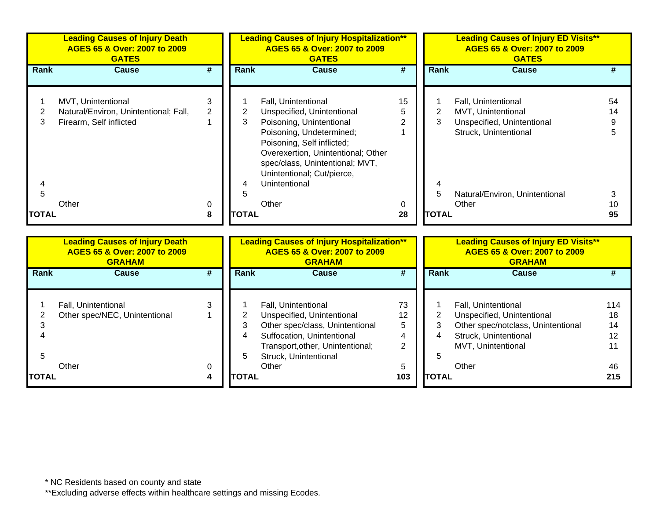|                   | <b>Leading Causes of Injury Death</b><br>AGES 65 & Over: 2007 to 2009<br><b>GATES</b>  |                     |              | <b>Leading Causes of Injury Hospitalization**</b><br>AGES 65 & Over: 2007 to 2009<br><b>GATES</b>                                                                              |                |                   | <b>Leading Causes of Injury ED Visits**</b><br>AGES 65 & Over: 2007 to 2009<br><b>GATES</b> |          |
|-------------------|----------------------------------------------------------------------------------------|---------------------|--------------|--------------------------------------------------------------------------------------------------------------------------------------------------------------------------------|----------------|-------------------|---------------------------------------------------------------------------------------------|----------|
| Rank              | Cause                                                                                  | #                   | Rank         | <b>Cause</b>                                                                                                                                                                   | #              | Rank              | <b>Cause</b>                                                                                |          |
| 3.                | MVT, Unintentional<br>Natural/Environ, Unintentional; Fall,<br>Firearm, Self inflicted | 3<br>$\overline{2}$ | 3            | Fall, Unintentional<br>Unspecified, Unintentional<br>Poisoning, Unintentional                                                                                                  | 15<br>5        | 3                 | Fall, Unintentional<br>MVT, Unintentional<br>Unspecified, Unintentional                     | 54<br>14 |
|                   |                                                                                        |                     |              | Poisoning, Undetermined;<br>Poisoning, Self inflicted;<br>Overexertion, Unintentional; Other<br>spec/class, Unintentional; MVT,<br>Unintentional; Cut/pierce,<br>Unintentional |                |                   | Struck, Unintentional                                                                       |          |
| 5<br><b>TOTAL</b> | Other                                                                                  | $\Omega$<br>8       | <b>TOTAL</b> | Other                                                                                                                                                                          | $\Omega$<br>28 | 5<br><b>TOTAL</b> | Natural/Environ, Unintentional<br>Other                                                     | 10<br>95 |

|        | <b>Leading Causes of Injury Death</b><br>AGES 65 & Over: 2007 to 2009<br><b>GRAHAM</b> |   |              | <b>Leading Causes of Injury Hospitalization**</b><br>AGES 65 & Over: 2007 to 2009<br><b>GRAHAM</b> |     |               | <b>Leading Causes of Injury ED Visits**</b><br>AGES 65 & Over: 2007 to 2009<br><b>GRAHAM</b> |     |  |
|--------|----------------------------------------------------------------------------------------|---|--------------|----------------------------------------------------------------------------------------------------|-----|---------------|----------------------------------------------------------------------------------------------|-----|--|
| Rank   | <b>Cause</b>                                                                           | # | Rank         | <b>Cause</b>                                                                                       | #   | Rank          | Cause                                                                                        | #   |  |
|        |                                                                                        |   |              |                                                                                                    |     |               |                                                                                              |     |  |
|        | Fall, Unintentional                                                                    |   |              | Fall, Unintentional                                                                                | 73  |               | Fall, Unintentional                                                                          | 114 |  |
|        | Other spec/NEC, Unintentional                                                          |   |              | Unspecified, Unintentional                                                                         | 12  |               | Unspecified, Unintentional                                                                   | 18  |  |
|        |                                                                                        |   |              | Other spec/class, Unintentional                                                                    | 5   | 3             | Other spec/notclass, Unintentional                                                           | 14  |  |
|        |                                                                                        |   | 4            | Suffocation, Unintentional                                                                         | 4   | 4             | Struck, Unintentional                                                                        | 12  |  |
|        |                                                                                        |   |              | Transport, other, Unintentional;                                                                   | 2   |               | MVT, Unintentional                                                                           | 11  |  |
|        |                                                                                        |   | 5            | Struck, Unintentional                                                                              |     |               |                                                                                              |     |  |
|        | Other                                                                                  | 0 |              | Other                                                                                              | 5   |               | Other                                                                                        | 46  |  |
| ΙΤΟΤΑL |                                                                                        | 4 | <b>TOTAL</b> |                                                                                                    | 103 | <b>ITOTAL</b> |                                                                                              | 215 |  |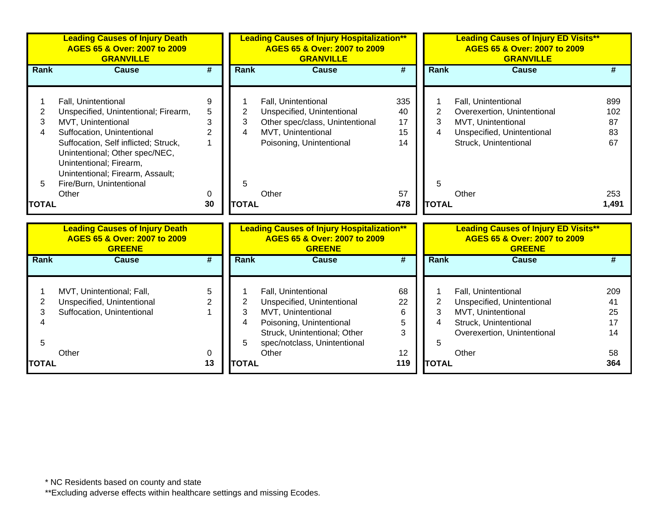|                | <b>Leading Causes of Injury Death</b><br>AGES 65 & Over: 2007 to 2009<br><b>GRANVILLE</b>                                             |                |              | <b>Leading Causes of Injury Hospitalization**</b><br>AGES 65 & Over: 2007 to 2009<br><b>GRANVILLE</b> |     |                | <b>Leading Causes of Injury ED Visits**</b><br>AGES 65 & Over: 2007 to 2009<br><b>GRANVILLE</b> |       |
|----------------|---------------------------------------------------------------------------------------------------------------------------------------|----------------|--------------|-------------------------------------------------------------------------------------------------------|-----|----------------|-------------------------------------------------------------------------------------------------|-------|
| Rank           | <b>Cause</b>                                                                                                                          | #              | Rank         | <b>Cause</b>                                                                                          | #   | <b>Rank</b>    | <b>Cause</b>                                                                                    | #     |
|                |                                                                                                                                       |                |              |                                                                                                       |     |                |                                                                                                 |       |
|                | Fall, Unintentional                                                                                                                   | 9              |              | Fall, Unintentional                                                                                   | 335 |                | Fall, Unintentional                                                                             | 899   |
| $\overline{c}$ | Unspecified, Unintentional; Firearm,                                                                                                  | 5              | 2            | Unspecified, Unintentional                                                                            | 40  | $\overline{2}$ | Overexertion, Unintentional                                                                     | 102   |
| 3              | MVT, Unintentional                                                                                                                    | 3              | 3            | Other spec/class, Unintentional                                                                       | 17  | 3              | MVT, Unintentional                                                                              | 87    |
| 4              | Suffocation, Unintentional                                                                                                            | $\overline{2}$ | 4            | MVT, Unintentional                                                                                    | 15  | 4              | Unspecified, Unintentional                                                                      | 83    |
|                | Suffocation, Self inflicted; Struck,<br>Unintentional; Other spec/NEC,<br>Unintentional; Firearm,<br>Unintentional; Firearm, Assault; |                |              | Poisoning, Unintentional                                                                              | 14  |                | Struck, Unintentional                                                                           | 67    |
| 5              | Fire/Burn, Unintentional                                                                                                              |                | 5            |                                                                                                       |     | 5              |                                                                                                 |       |
|                | Other                                                                                                                                 | 0              |              | Other                                                                                                 | 57  |                | Other                                                                                           | 253   |
| <b>TOTAL</b>   |                                                                                                                                       | 30             | <b>TOTAL</b> |                                                                                                       | 478 | <b>TOTAL</b>   |                                                                                                 | 1,491 |
|                |                                                                                                                                       |                |              |                                                                                                       |     |                |                                                                                                 |       |
|                | <b>Leading Causes of Injury Death</b><br>AGES 65 & Over: 2007 to 2009<br><b>GREENE</b>                                                |                |              | <b>Leading Causes of Injury Hospitalization**</b><br>AGES 65 & Over: 2007 to 2009<br><b>GREENE</b>    |     |                | <b>Leading Causes of Injury ED Visits**</b><br>AGES 65 & Over: 2007 to 2009<br><b>GREENE</b>    |       |
| <b>Rank</b>    | <b>Cause</b>                                                                                                                          | #              | <b>Rank</b>  | <b>Cause</b>                                                                                          | #   | <b>Rank</b>    | <b>Cause</b>                                                                                    | #     |
|                | MVT, Unintentional; Fall,                                                                                                             | 5              |              | Fall, Unintentional                                                                                   | 68  |                | Fall, Unintentional                                                                             | 209   |
| $\overline{2}$ | Unspecified, Unintentional                                                                                                            | $\overline{2}$ | 2            | Unspecified, Unintentional                                                                            | 22  | $\overline{2}$ | Unspecified, Unintentional                                                                      | 41    |
| 3              | Suffocation, Unintentional                                                                                                            |                | 3            | MVT, Unintentional                                                                                    | 6   | 3              | MVT, Unintentional                                                                              | 25    |
| 4              |                                                                                                                                       |                | 4            | Poisoning, Unintentional                                                                              | 5   | 4              | Struck, Unintentional                                                                           | 17    |
|                |                                                                                                                                       |                |              | Struck, Unintentional; Other                                                                          | 3   |                | Overexertion, Unintentional                                                                     | 14    |
| 5              |                                                                                                                                       |                | 5            | spec/notclass, Unintentional                                                                          |     | 5              |                                                                                                 |       |
|                | Other                                                                                                                                 | 0              |              | Other                                                                                                 | 12  |                | Other                                                                                           | 58    |
| <b>TOTAL</b>   |                                                                                                                                       | 13             | <b>TOTAL</b> |                                                                                                       | 119 | <b>TOTAL</b>   |                                                                                                 | 364   |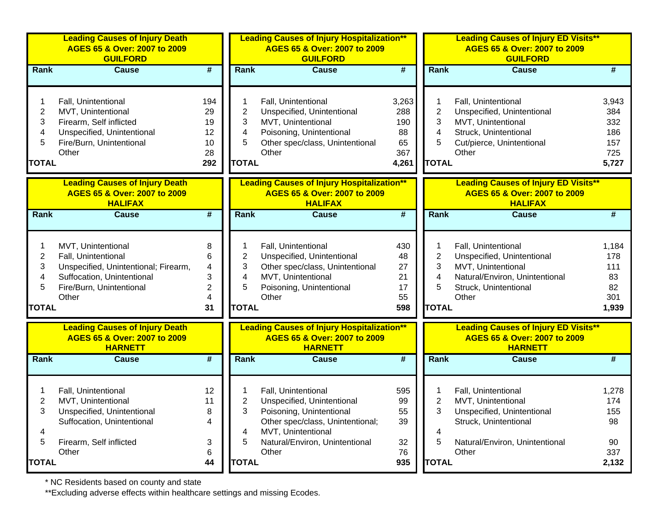| <b>Leading Causes of Injury Death</b><br>AGES 65 & Over: 2007 to 2009<br><b>GUILFORD</b>                                                             |                                                                      |                               | <b>Leading Causes of Injury Hospitalization**</b><br>AGES 65 & Over: 2007 to 2009<br><b>GUILFORD</b>                                                                               |                                                 |                                                                                                               | <b>Leading Causes of Injury ED Visits**</b><br>AGES 65 & Over: 2007 to 2009<br><b>GUILFORD</b>                                              |                                                                                                                                                                           |
|------------------------------------------------------------------------------------------------------------------------------------------------------|----------------------------------------------------------------------|-------------------------------|------------------------------------------------------------------------------------------------------------------------------------------------------------------------------------|-------------------------------------------------|---------------------------------------------------------------------------------------------------------------|---------------------------------------------------------------------------------------------------------------------------------------------|---------------------------------------------------------------------------------------------------------------------------------------------------------------------------|
| <b>Cause</b>                                                                                                                                         | $\overline{\boldsymbol{H}}$                                          | Rank                          | <b>Cause</b>                                                                                                                                                                       | $\overline{\boldsymbol{H}}$                     |                                                                                                               | <b>Cause</b>                                                                                                                                | #                                                                                                                                                                         |
| Fall, Unintentional<br>MVT, Unintentional<br>Firearm, Self inflicted<br>Unspecified, Unintentional<br>Fire/Burn, Unintentional<br>Other              | 194<br>29<br>19<br>12<br>10<br>28<br>292                             | $\overline{2}$<br>3<br>4<br>5 | Fall, Unintentional<br>Unspecified, Unintentional<br>MVT, Unintentional<br>Poisoning, Unintentional<br>Other spec/class, Unintentional<br>Other                                    | 3,263<br>288<br>190<br>88<br>65<br>367<br>4,261 | $\overline{2}$<br>3<br>4<br>5                                                                                 | Fall, Unintentional<br>Unspecified, Unintentional<br>MVT, Unintentional<br>Struck, Unintentional<br>Cut/pierce, Unintentional<br>Other      | 3,943<br>384<br>332<br>186<br>157<br>725<br>5,727                                                                                                                         |
| <b>Leading Causes of Injury Death</b><br>AGES 65 & Over: 2007 to 2009<br><b>HALIFAX</b>                                                              |                                                                      |                               | AGES 65 & Over: 2007 to 2009<br><b>HALIFAX</b>                                                                                                                                     |                                                 |                                                                                                               | AGES 65 & Over: 2007 to 2009<br><b>HALIFAX</b>                                                                                              |                                                                                                                                                                           |
| <b>Cause</b>                                                                                                                                         | #                                                                    | Rank                          | <b>Cause</b>                                                                                                                                                                       | $\overline{\boldsymbol{t}}$                     |                                                                                                               | <b>Cause</b>                                                                                                                                | #                                                                                                                                                                         |
| MVT, Unintentional<br>Fall, Unintentional<br>Unspecified, Unintentional; Firearm,<br>Suffocation, Unintentional<br>Fire/Burn, Unintentional<br>Other | 8<br>6<br>$\overline{\mathbf{4}}$<br>3<br>2<br>4<br>31               | 2<br>3<br>4<br>5              | Fall, Unintentional<br>Unspecified, Unintentional<br>Other spec/class, Unintentional<br>MVT, Unintentional<br>Poisoning, Unintentional<br>Other                                    | 430<br>48<br>27<br>21<br>17<br>55<br>598        | 2<br>3<br>4<br>5                                                                                              | Fall, Unintentional<br>Unspecified, Unintentional<br>MVT, Unintentional<br>Natural/Environ, Unintentional<br>Struck, Unintentional<br>Other | 1,184<br>178<br>111<br>83<br>82<br>301<br>1,939                                                                                                                           |
| <b>Leading Causes of Injury Death</b><br>AGES 65 & Over: 2007 to 2009<br><b>HARNETT</b>                                                              |                                                                      |                               | AGES 65 & Over: 2007 to 2009<br><b>HARNETT</b>                                                                                                                                     |                                                 |                                                                                                               | AGES 65 & Over: 2007 to 2009<br><b>HARNETT</b>                                                                                              |                                                                                                                                                                           |
| <b>Cause</b>                                                                                                                                         | #                                                                    | Rank                          | <b>Cause</b>                                                                                                                                                                       | $\overline{\boldsymbol{t}}$                     |                                                                                                               | <b>Cause</b>                                                                                                                                | #                                                                                                                                                                         |
| Fall, Unintentional<br>MVT, Unintentional<br>Unspecified, Unintentional<br>Suffocation, Unintentional<br>Firearm, Self inflicted<br>Other            | 12<br>11<br>8<br>4<br>3<br>6                                         | 2<br>3<br>4<br>5              | Fall, Unintentional<br>Unspecified, Unintentional<br>Poisoning, Unintentional<br>Other spec/class, Unintentional;<br>MVT, Unintentional<br>Natural/Environ, Unintentional<br>Other | 595<br>99<br>55<br>39<br>32<br>76               | 2<br>3<br>4<br>5                                                                                              | Fall, Unintentional<br>MVT, Unintentional<br>Unspecified, Unintentional<br>Struck, Unintentional<br>Natural/Environ, Unintentional<br>Other | 1,278<br>174<br>155<br>98<br>90<br>337<br>2,132                                                                                                                           |
|                                                                                                                                                      | Rank<br><b>TOTAL</b><br>Rank<br><b>TOTAL</b><br>Rank<br><b>TOTAL</b> | 44                            |                                                                                                                                                                                    | <b>TOTAL</b><br><b>TOTAL</b><br><b>TOTAL</b>    | <b>Leading Causes of Injury Hospitalization**</b><br><b>Leading Causes of Injury Hospitalization**</b><br>935 |                                                                                                                                             | <b>Rank</b><br><b>TOTAL</b><br><b>Leading Causes of Injury ED Visits**</b><br>Rank<br><b>TOTAL</b><br><b>Leading Causes of Injury ED Visits**</b><br>Rank<br><b>TOTAL</b> |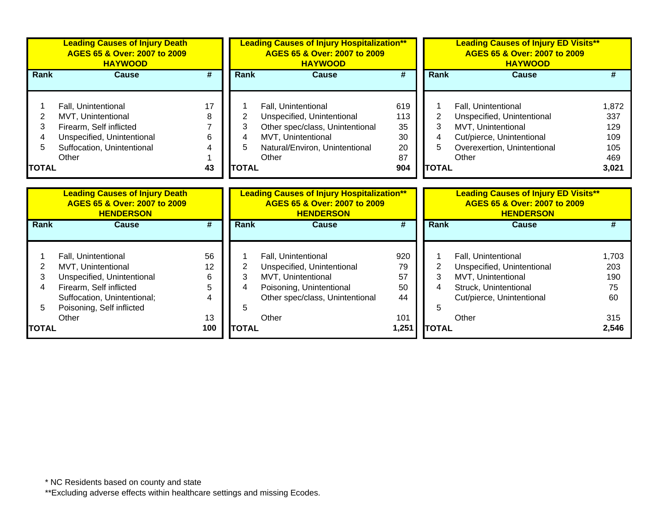|                                  | <b>Leading Causes of Injury Death</b><br>AGES 65 & Over: 2007 to 2009<br><b>HAYWOOD</b>                                                                                 |                               |                               | <b>Leading Causes of Injury Hospitalization**</b><br>AGES 65 & Over: 2007 to 2009<br><b>HAYWOOD</b>                                                   |                                           | <b>Leading Causes of Injury ED Visits**</b><br>AGES 65 & Over: 2007 to 2009<br><b>HAYWOOD</b> |                                                                                                                                              |                                                   |
|----------------------------------|-------------------------------------------------------------------------------------------------------------------------------------------------------------------------|-------------------------------|-------------------------------|-------------------------------------------------------------------------------------------------------------------------------------------------------|-------------------------------------------|-----------------------------------------------------------------------------------------------|----------------------------------------------------------------------------------------------------------------------------------------------|---------------------------------------------------|
| <b>Rank</b>                      | <b>Cause</b>                                                                                                                                                            | #                             | <b>Rank</b>                   | <b>Cause</b>                                                                                                                                          | #                                         | Rank                                                                                          | <b>Cause</b>                                                                                                                                 | #                                                 |
| 2<br>3<br>4<br>5<br><b>TOTAL</b> | Fall, Unintentional<br>MVT, Unintentional<br>Firearm, Self inflicted<br>Unspecified, Unintentional<br>Suffocation, Unintentional<br>Other                               | 17<br>8<br>6<br>43            | 3<br>5<br><b>TOTAL</b>        | Fall, Unintentional<br>Unspecified, Unintentional<br>Other spec/class, Unintentional<br>MVT, Unintentional<br>Natural/Environ, Unintentional<br>Other | 619<br>113<br>35<br>30<br>20<br>87<br>904 | 3<br>4<br>5<br><b>TOTAL</b>                                                                   | Fall, Unintentional<br>Unspecified, Unintentional<br>MVT, Unintentional<br>Cut/pierce, Unintentional<br>Overexertion, Unintentional<br>Other | 1,872<br>337<br>129<br>109<br>105<br>469<br>3,021 |
|                                  | <b>Leading Causes of Injury Death</b><br>AGES 65 & Over: 2007 to 2009<br><b>HENDERSON</b>                                                                               |                               |                               | <b>Leading Causes of Injury Hospitalization**</b><br>AGES 65 & Over: 2007 to 2009<br><b>HENDERSON</b>                                                 |                                           |                                                                                               | <b>Leading Causes of Injury ED Visits**</b><br>AGES 65 & Over: 2007 to 2009<br><b>HENDERSON</b>                                              |                                                   |
| <b>Rank</b>                      | <b>Cause</b>                                                                                                                                                            | #                             | <b>Rank</b>                   | <b>Cause</b>                                                                                                                                          | #                                         | Rank                                                                                          | <b>Cause</b>                                                                                                                                 | #                                                 |
| 2<br>3<br>4<br>5                 | Fall, Unintentional<br>MVT, Unintentional<br>Unspecified, Unintentional<br>Firearm, Self inflicted<br>Suffocation, Unintentional;<br>Poisoning, Self inflicted<br>Other | 56<br>12<br>6<br>5<br>4<br>13 | $\overline{2}$<br>3<br>4<br>5 | Fall, Unintentional<br>Unspecified, Unintentional<br>MVT, Unintentional<br>Poisoning, Unintentional<br>Other spec/class, Unintentional<br>Other       | 920<br>79<br>57<br>50<br>44<br>101        | 2<br>3<br>4<br>5                                                                              | Fall, Unintentional<br>Unspecified, Unintentional<br>MVT, Unintentional<br>Struck, Unintentional<br>Cut/pierce, Unintentional<br>Other       | 1,703<br>203<br>190<br>75<br>60<br>315            |
| <b>TOTAL</b>                     |                                                                                                                                                                         | 100                           | <b>TOTAL</b>                  |                                                                                                                                                       | 1,251                                     | <b>TOTAL</b>                                                                                  |                                                                                                                                              | 2,546                                             |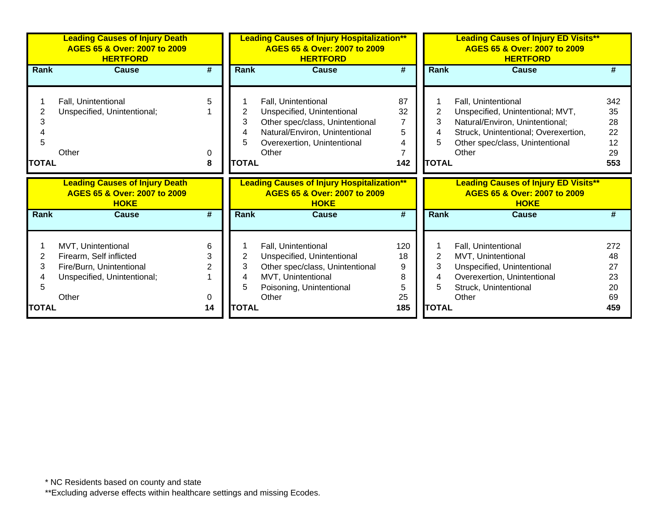|                   | <b>Leading Causes of Injury Death</b><br>AGES 65 & Over: 2007 to 2009<br><b>HERTFORD</b>                          |                  |                                  | <b>Leading Causes of Injury Hospitalization**</b><br>AGES 65 & Over: 2007 to 2009<br><b>HERTFORD</b>                                                           |                                             |                                  | <b>Leading Causes of Injury ED Visits**</b><br>AGES 65 & Over: 2007 to 2009<br><b>HERTFORD</b>                                                                                 |                                          |  |
|-------------------|-------------------------------------------------------------------------------------------------------------------|------------------|----------------------------------|----------------------------------------------------------------------------------------------------------------------------------------------------------------|---------------------------------------------|----------------------------------|--------------------------------------------------------------------------------------------------------------------------------------------------------------------------------|------------------------------------------|--|
| <b>Rank</b>       | <b>Cause</b>                                                                                                      | #                | Rank                             | <b>Cause</b>                                                                                                                                                   | #                                           | Rank                             | <b>Cause</b>                                                                                                                                                                   | #                                        |  |
| 3<br><b>TOTAL</b> | Fall, Unintentional<br>Unspecified, Unintentional;<br>Other                                                       | 5<br>0<br>8      | 2<br>3<br>4<br>5<br><b>TOTAL</b> | Fall, Unintentional<br>Unspecified, Unintentional<br>Other spec/class, Unintentional<br>Natural/Environ, Unintentional<br>Overexertion, Unintentional<br>Other | 87<br>32<br>$\overline{7}$<br>5<br>4<br>142 | 2<br>3<br>4<br>5<br><b>TOTAL</b> | Fall, Unintentional<br>Unspecified, Unintentional; MVT,<br>Natural/Environ, Unintentional;<br>Struck, Unintentional; Overexertion,<br>Other spec/class, Unintentional<br>Other | 342<br>35<br>28<br>22<br>12<br>29<br>553 |  |
|                   |                                                                                                                   |                  |                                  |                                                                                                                                                                |                                             |                                  |                                                                                                                                                                                |                                          |  |
|                   | <b>Leading Causes of Injury Death</b><br>AGES 65 & Over: 2007 to 2009<br><b>HOKE</b>                              |                  |                                  | <b>Leading Causes of Injury Hospitalization**</b><br>AGES 65 & Over: 2007 to 2009<br><b>HOKE</b>                                                               |                                             |                                  | <b>Leading Causes of Injury ED Visits**</b><br>AGES 65 & Over: 2007 to 2009<br><b>HOKE</b>                                                                                     |                                          |  |
| <b>Rank</b>       | <b>Cause</b>                                                                                                      | #                | Rank                             | <b>Cause</b>                                                                                                                                                   | #                                           | <b>Rank</b>                      | <b>Cause</b>                                                                                                                                                                   | #                                        |  |
| 2<br>3            | MVT, Unintentional<br>Firearm, Self inflicted<br>Fire/Burn, Unintentional<br>Unspecified, Unintentional;<br>Other | 6<br>3<br>2<br>0 | 2<br>3<br>4<br>5                 | Fall, Unintentional<br>Unspecified, Unintentional<br>Other spec/class, Unintentional<br>MVT, Unintentional<br>Poisoning, Unintentional<br>Other                | 120<br>18<br>9<br>8<br>5<br>25              | 2<br>3<br>4<br>5                 | Fall, Unintentional<br>MVT, Unintentional<br>Unspecified, Unintentional<br>Overexertion, Unintentional<br>Struck, Unintentional<br>Other                                       | 272<br>48<br>27<br>23<br>20<br>69        |  |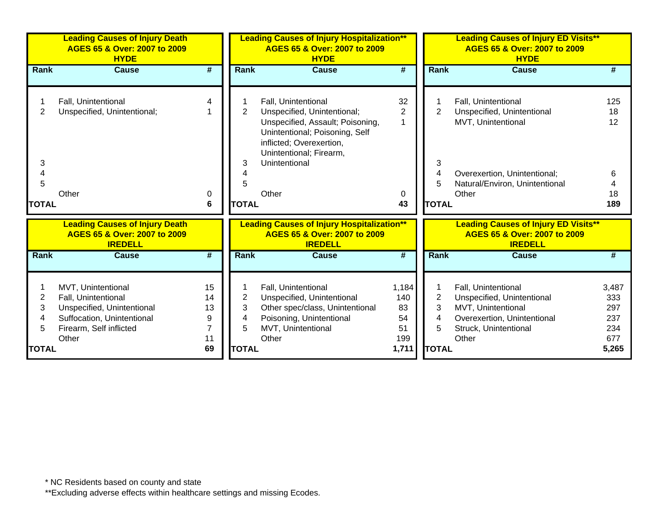|                                               | <b>Leading Causes of Injury Death</b><br>AGES 65 & Over: 2007 to 2009<br><b>HYDE</b>                                                      |                                                   |                                               | <b>Leading Causes of Injury Hospitalization**</b><br>AGES 65 & Over: 2007 to 2009<br><b>HYDE</b>                                                                                                          |                                                |                                                    | <b>Leading Causes of Injury ED Visits**</b><br>AGES 65 & Over: 2007 to 2009<br><b>HYDE</b>                                                         |                                                   |
|-----------------------------------------------|-------------------------------------------------------------------------------------------------------------------------------------------|---------------------------------------------------|-----------------------------------------------|-----------------------------------------------------------------------------------------------------------------------------------------------------------------------------------------------------------|------------------------------------------------|----------------------------------------------------|----------------------------------------------------------------------------------------------------------------------------------------------------|---------------------------------------------------|
| Rank                                          | <b>Cause</b>                                                                                                                              | $\overline{\#}$                                   | <b>Rank</b>                                   | <b>Cause</b>                                                                                                                                                                                              | $\overline{\boldsymbol{t}}$                    | <b>Rank</b>                                        | <b>Cause</b>                                                                                                                                       |                                                   |
| 2<br>3<br>4<br>5<br><b>TOTAL</b>              | Fall, Unintentional<br>Unspecified, Unintentional;<br>Other                                                                               | 4<br>0                                            | $\overline{2}$<br>3<br><b>TOTAL</b>           | Fall, Unintentional<br>Unspecified, Unintentional;<br>Unspecified, Assault; Poisoning,<br>Unintentional; Poisoning, Self<br>inflicted; Overexertion,<br>Unintentional; Firearm,<br>Unintentional<br>Other | 32<br>2<br>0<br>43                             | $\overline{2}$<br>3<br>4<br>5<br><b>TOTAL</b>      | Fall, Unintentional<br>Unspecified, Unintentional<br>MVT, Unintentional<br>Overexertion, Unintentional;<br>Natural/Environ, Unintentional<br>Other | 125<br>18<br>12<br>6<br>18                        |
|                                               |                                                                                                                                           | 6                                                 |                                               |                                                                                                                                                                                                           |                                                |                                                    |                                                                                                                                                    | 189                                               |
|                                               | <b>Leading Causes of Injury Death</b><br>AGES 65 & Over: 2007 to 2009<br><b>IREDELL</b>                                                   |                                                   |                                               | <b>Leading Causes of Injury Hospitalization**</b><br>AGES 65 & Over: 2007 to 2009<br><b>IREDELL</b>                                                                                                       |                                                |                                                    | <b>Leading Causes of Injury ED Visits**</b><br>AGES 65 & Over: 2007 to 2009<br><b>IREDELL</b>                                                      |                                                   |
| <b>Rank</b>                                   | <b>Cause</b>                                                                                                                              | $\overline{\boldsymbol{r}}$                       | <b>Rank</b>                                   | <b>Cause</b>                                                                                                                                                                                              | $\overline{\boldsymbol{H}}$                    | <b>Rank</b>                                        | <b>Cause</b>                                                                                                                                       |                                                   |
| $\overline{2}$<br>3<br>4<br>5<br><b>TOTAL</b> | MVT, Unintentional<br>Fall, Unintentional<br>Unspecified, Unintentional<br>Suffocation, Unintentional<br>Firearm, Self inflicted<br>Other | 15<br>14<br>13<br>9<br>$\overline{7}$<br>11<br>69 | $\overline{2}$<br>3<br>4<br>5<br><b>TOTAL</b> | Fall, Unintentional<br>Unspecified, Unintentional<br>Other spec/class, Unintentional<br>Poisoning, Unintentional<br>MVT, Unintentional<br>Other                                                           | 1,184<br>140<br>83<br>54<br>51<br>199<br>1,711 | 1<br>$\overline{2}$<br>3<br>4<br>5<br><b>TOTAL</b> | Fall, Unintentional<br>Unspecified, Unintentional<br>MVT, Unintentional<br>Overexertion, Unintentional<br>Struck, Unintentional<br>Other           | 3,487<br>333<br>297<br>237<br>234<br>677<br>5,265 |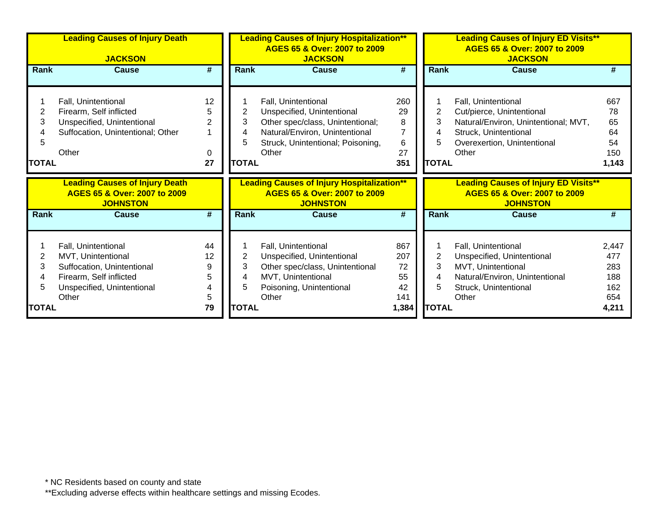|                        | <b>Leading Causes of Injury Death</b><br><b>JACKSON</b>                                                                    |                                      |                                  | <b>Leading Causes of Injury Hospitalization**</b><br>AGES 65 & Over: 2007 to 2009<br><b>JACKSON</b>                                                                   |                                       |                                  | <b>Leading Causes of Injury ED Visits**</b><br>AGES 65 & Over: 2007 to 2009<br><b>JACKSON</b>                                                             |                                             |
|------------------------|----------------------------------------------------------------------------------------------------------------------------|--------------------------------------|----------------------------------|-----------------------------------------------------------------------------------------------------------------------------------------------------------------------|---------------------------------------|----------------------------------|-----------------------------------------------------------------------------------------------------------------------------------------------------------|---------------------------------------------|
| Rank                   | <b>Cause</b>                                                                                                               | #                                    | Rank                             | <b>Cause</b>                                                                                                                                                          | #                                     | Rank                             | <b>Cause</b>                                                                                                                                              | #                                           |
| 2<br>3<br><b>TOTAL</b> | Fall, Unintentional<br>Firearm, Self inflicted<br>Unspecified, Unintentional<br>Suffocation, Unintentional; Other<br>Other | 12<br>5<br>$\overline{2}$<br>0<br>27 | 2<br>3<br>4<br>5<br><b>TOTAL</b> | Fall, Unintentional<br>Unspecified, Unintentional<br>Other spec/class, Unintentional;<br>Natural/Environ, Unintentional<br>Struck, Unintentional; Poisoning,<br>Other | 260<br>29<br>8<br>7<br>6<br>27<br>351 | 2<br>3<br>4<br>5<br><b>TOTAL</b> | Fall, Unintentional<br>Cut/pierce, Unintentional<br>Natural/Environ, Unintentional; MVT,<br>Struck, Unintentional<br>Overexertion, Unintentional<br>Other | 667<br>78<br>65<br>64<br>54<br>150<br>1,143 |
|                        | <b>Leading Causes of Injury Death</b><br>AGES 65 & Over: 2007 to 2009                                                      |                                      |                                  | <b>Leading Causes of Injury Hospitalization**</b>                                                                                                                     |                                       |                                  | <b>Leading Causes of Injury ED Visits**</b>                                                                                                               |                                             |
|                        | <b>JOHNSTON</b>                                                                                                            |                                      |                                  | AGES 65 & Over: 2007 to 2009<br><b>JOHNSTON</b>                                                                                                                       |                                       |                                  | AGES 65 & Over: 2007 to 2009<br><b>JOHNSTON</b>                                                                                                           |                                             |
| <b>Rank</b>            | <b>Cause</b>                                                                                                               | #                                    | Rank                             | <b>Cause</b>                                                                                                                                                          | #                                     | Rank                             | <b>Cause</b>                                                                                                                                              | #                                           |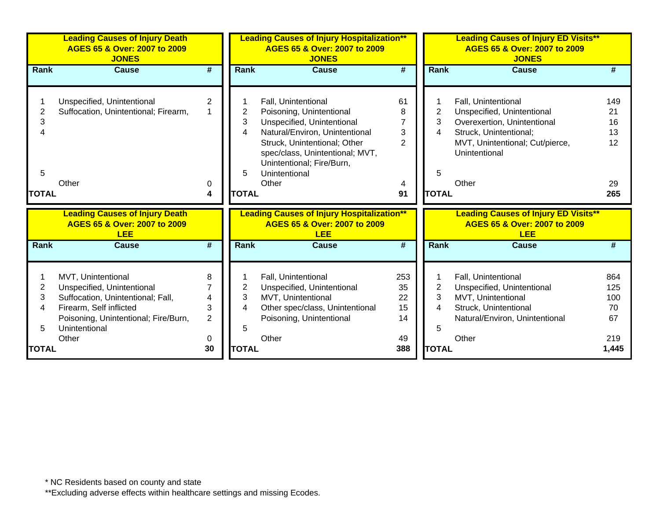|              | <b>Leading Causes of Injury Death</b><br>AGES 65 & Over: 2007 to 2009<br><b>JONES</b> |                             |              | <b>Leading Causes of Injury Hospitalization**</b><br>AGES 65 & Over: 2007 to 2009<br><b>JONES</b> |                             |                | <b>Leading Causes of Injury ED Visits**</b><br>AGES 65 & Over: 2007 to 2009<br><b>JONES</b> |       |
|--------------|---------------------------------------------------------------------------------------|-----------------------------|--------------|---------------------------------------------------------------------------------------------------|-----------------------------|----------------|---------------------------------------------------------------------------------------------|-------|
| Rank         | <b>Cause</b>                                                                          | $\overline{\boldsymbol{r}}$ | Rank         | <b>Cause</b>                                                                                      | $\overline{\boldsymbol{t}}$ | Rank           | Cause                                                                                       | #     |
|              |                                                                                       |                             |              |                                                                                                   |                             |                |                                                                                             |       |
|              | Unspecified, Unintentional                                                            | $\overline{2}$              |              | Fall, Unintentional                                                                               | 61                          |                | Fall, Unintentional                                                                         | 149   |
| 2            | Suffocation, Unintentional; Firearm,                                                  |                             | 2            | Poisoning, Unintentional                                                                          | 8                           | $\overline{2}$ | Unspecified, Unintentional                                                                  | 21    |
| 3            |                                                                                       |                             | 3            | Unspecified, Unintentional                                                                        |                             | 3              | Overexertion, Unintentional                                                                 | 16    |
| 4            |                                                                                       |                             | 4            | Natural/Environ, Unintentional                                                                    | 3                           | 4              | Struck, Unintentional;                                                                      | 13    |
|              |                                                                                       |                             |              | Struck, Unintentional; Other                                                                      | $\overline{2}$              |                | MVT, Unintentional; Cut/pierce,                                                             | 12    |
|              |                                                                                       |                             |              | spec/class, Unintentional; MVT,                                                                   |                             |                | Unintentional                                                                               |       |
|              |                                                                                       |                             |              | Unintentional; Fire/Burn,                                                                         |                             |                |                                                                                             |       |
| 5            |                                                                                       |                             | 5            | Unintentional                                                                                     |                             | 5              |                                                                                             |       |
|              | Other                                                                                 | 0                           |              | Other                                                                                             | 4                           |                | Other                                                                                       | 29    |
| <b>TOTAL</b> |                                                                                       | 4                           | <b>TOTAL</b> |                                                                                                   | 91                          | <b>TOTAL</b>   |                                                                                             | 265   |
|              | <b>Leading Causes of Injury Death</b><br>AGES 65 & Over: 2007 to 2009<br><b>LEE</b>   |                             |              | <b>Leading Causes of Injury Hospitalization**</b><br>AGES 65 & Over: 2007 to 2009<br><b>LEE</b>   |                             |                | <b>Leading Causes of Injury ED Visits**</b><br>AGES 65 & Over: 2007 to 2009<br><b>LEE</b>   |       |
| <b>Rank</b>  | <b>Cause</b>                                                                          | #                           | <b>Rank</b>  | <b>Cause</b>                                                                                      | #                           | <b>Rank</b>    | Cause                                                                                       | #     |
|              |                                                                                       |                             |              |                                                                                                   |                             |                |                                                                                             |       |
|              | MVT, Unintentional                                                                    | 8                           |              | Fall, Unintentional                                                                               | 253                         |                | Fall, Unintentional                                                                         | 864   |
| 2            | Unspecified, Unintentional                                                            |                             | 2            | Unspecified, Unintentional                                                                        | 35                          | $\overline{2}$ | Unspecified, Unintentional                                                                  | 125   |
| 3            | Suffocation, Unintentional; Fall,                                                     | 4                           | 3            | MVT, Unintentional                                                                                | 22                          | 3              | MVT, Unintentional                                                                          | 100   |
| 4            | Firearm, Self inflicted                                                               | 3                           | 4            | Other spec/class, Unintentional                                                                   | 15                          | 4              | Struck, Unintentional                                                                       | 70    |
|              | Poisoning, Unintentional; Fire/Burn,                                                  | $\overline{2}$              |              | Poisoning, Unintentional                                                                          | 14                          |                | Natural/Environ, Unintentional                                                              | 67    |
| 5            | Unintentional                                                                         |                             | 5            |                                                                                                   |                             | 5              |                                                                                             |       |
|              | Other                                                                                 | 0                           |              | Other                                                                                             | 49                          |                | Other                                                                                       | 219   |
| <b>TOTAL</b> |                                                                                       | 30                          | <b>TOTAL</b> |                                                                                                   | 388                         | <b>TOTAL</b>   |                                                                                             | 1,445 |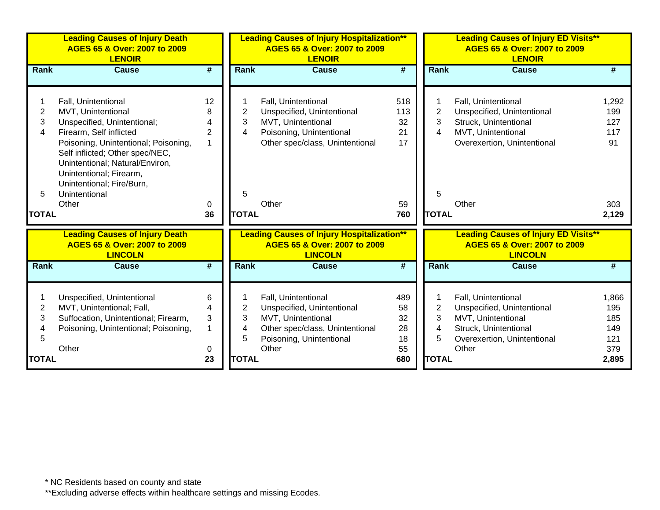|                                  | <b>Leading Causes of Injury Death</b><br>AGES 65 & Over: 2007 to 2009<br><b>LENOIR</b>                                                                                                                                                                                                              |                                           |                                  | <b>Leading Causes of Injury Hospitalization**</b><br>AGES 65 & Over: 2007 to 2009<br><b>LENOIR</b>                                              |                                           |                                  | <b>Leading Causes of Injury ED Visits**</b><br>AGES 65 & Over: 2007 to 2009<br><b>LENOIR</b>                                             |                                                  |
|----------------------------------|-----------------------------------------------------------------------------------------------------------------------------------------------------------------------------------------------------------------------------------------------------------------------------------------------------|-------------------------------------------|----------------------------------|-------------------------------------------------------------------------------------------------------------------------------------------------|-------------------------------------------|----------------------------------|------------------------------------------------------------------------------------------------------------------------------------------|--------------------------------------------------|
| <b>Rank</b>                      | <b>Cause</b>                                                                                                                                                                                                                                                                                        | #                                         | <b>Rank</b>                      | <b>Cause</b>                                                                                                                                    | $\overline{\boldsymbol{t}}$               | <b>Rank</b>                      | Cause                                                                                                                                    | #                                                |
| 2<br>3<br>4<br>5<br><b>TOTAL</b> | Fall, Unintentional<br>MVT, Unintentional<br>Unspecified, Unintentional;<br>Firearm, Self inflicted<br>Poisoning, Unintentional; Poisoning,<br>Self inflicted; Other spec/NEC,<br>Unintentional; Natural/Environ,<br>Unintentional; Firearm,<br>Unintentional; Fire/Burn,<br>Unintentional<br>Other | 12<br>8<br>4<br>$\overline{2}$<br>0<br>36 | 2<br>3<br>4<br>5<br><b>TOTAL</b> | Fall, Unintentional<br>Unspecified, Unintentional<br>MVT, Unintentional<br>Poisoning, Unintentional<br>Other spec/class, Unintentional<br>Other | 518<br>113<br>32<br>21<br>17<br>59<br>760 | 2<br>3<br>4<br>5<br><b>TOTAL</b> | Fall, Unintentional<br>Unspecified, Unintentional<br>Struck, Unintentional<br>MVT, Unintentional<br>Overexertion, Unintentional<br>Other | 1,292<br>199<br>127<br>117<br>91<br>303<br>2,129 |
|                                  | <b>Leading Causes of Injury Death</b><br>AGES 65 & Over: 2007 to 2009<br><b>LINCOLN</b>                                                                                                                                                                                                             |                                           |                                  | <b>Leading Causes of Injury Hospitalization**</b><br>AGES 65 & Over: 2007 to 2009<br><b>LINCOLN</b>                                             |                                           |                                  | <b>Leading Causes of Injury ED Visits**</b><br>AGES 65 & Over: 2007 to 2009<br><b>LINCOLN</b>                                            |                                                  |
| <b>Rank</b>                      | <b>Cause</b>                                                                                                                                                                                                                                                                                        | $\overline{\boldsymbol{t}}$               | Rank                             | <b>Cause</b>                                                                                                                                    | $\overline{\boldsymbol{t}}$               | <b>Rank</b>                      | <b>Cause</b>                                                                                                                             | #                                                |
| 2<br>3<br>4<br>5                 | Unspecified, Unintentional<br>MVT, Unintentional; Fall,<br>Suffocation, Unintentional; Firearm,<br>Poisoning, Unintentional; Poisoning,<br>Other                                                                                                                                                    | 6<br>4<br>3<br>$\mathbf 1$<br>0           | 2<br>3<br>4<br>5                 | Fall, Unintentional<br>Unspecified, Unintentional<br>MVT, Unintentional<br>Other spec/class, Unintentional<br>Poisoning, Unintentional<br>Other | 489<br>58<br>32<br>28<br>18<br>55         | $\overline{2}$<br>3<br>4<br>5    | Fall, Unintentional<br>Unspecified, Unintentional<br>MVT, Unintentional<br>Struck, Unintentional<br>Overexertion, Unintentional<br>Other | 1,866<br>195<br>185<br>149<br>121<br>379         |
| <b>TOTAL</b>                     |                                                                                                                                                                                                                                                                                                     | 23                                        | <b>TOTAL</b>                     |                                                                                                                                                 | 680                                       | <b>TOTAL</b>                     |                                                                                                                                          | 2,895                                            |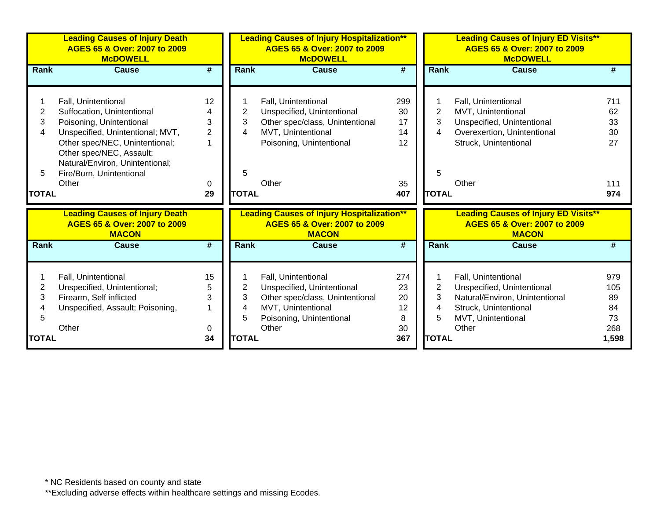|              | <b>Leading Causes of Injury Death</b><br>AGES 65 & Over: 2007 to 2009<br><b>McDOWELL</b> |                |              | <b>Leading Causes of Injury Hospitalization**</b><br>AGES 65 & Over: 2007 to 2009<br><b>McDOWELL</b> |     |                | <b>Leading Causes of Injury ED Visits**</b>                                                 |       |
|--------------|------------------------------------------------------------------------------------------|----------------|--------------|------------------------------------------------------------------------------------------------------|-----|----------------|---------------------------------------------------------------------------------------------|-------|
| <b>Rank</b>  | <b>Cause</b>                                                                             | #              | <b>Rank</b>  | <b>Cause</b>                                                                                         | #   | <b>Rank</b>    | Cause                                                                                       | #     |
|              |                                                                                          |                |              |                                                                                                      |     |                |                                                                                             |       |
|              | Fall, Unintentional                                                                      | 12             |              | Fall, Unintentional                                                                                  | 299 |                | Fall, Unintentional                                                                         | 711   |
| 2            | Suffocation, Unintentional                                                               | 4              | 2            | Unspecified, Unintentional                                                                           | 30  | $\overline{2}$ | MVT, Unintentional                                                                          | 62    |
| 3            | Poisoning, Unintentional                                                                 | 3              | 3            | Other spec/class, Unintentional                                                                      | 17  | 3              | Unspecified, Unintentional                                                                  | 33    |
| 4            | Unspecified, Unintentional; MVT,                                                         | $\overline{2}$ | 4            | MVT, Unintentional                                                                                   | 14  | 4              | Overexertion, Unintentional                                                                 | 30    |
|              | Other spec/NEC, Unintentional;                                                           | 1              |              | Poisoning, Unintentional                                                                             | 12  |                | Struck, Unintentional                                                                       | 27    |
|              | Other spec/NEC, Assault;                                                                 |                |              |                                                                                                      |     |                |                                                                                             |       |
|              | Natural/Environ, Unintentional;                                                          |                |              |                                                                                                      |     |                |                                                                                             |       |
| 5            | Fire/Burn, Unintentional                                                                 |                | 5            |                                                                                                      |     | 5              |                                                                                             |       |
|              | Other                                                                                    | 0              |              | Other                                                                                                | 35  |                | Other                                                                                       | 111   |
| <b>TOTAL</b> |                                                                                          | 29             | <b>TOTAL</b> |                                                                                                      | 407 | <b>TOTAL</b>   |                                                                                             | 974   |
|              | <b>Leading Causes of Injury Death</b><br>AGES 65 & Over: 2007 to 2009<br><b>MACON</b>    |                |              | <b>Leading Causes of Injury Hospitalization**</b><br>AGES 65 & Over: 2007 to 2009<br><b>MACON</b>    |     |                | <b>Leading Causes of Injury ED Visits**</b><br>AGES 65 & Over: 2007 to 2009<br><b>MACON</b> |       |
| <b>Rank</b>  | <b>Cause</b>                                                                             | #              | <b>Rank</b>  | <b>Cause</b>                                                                                         | #   | Rank           | <b>Cause</b>                                                                                | #     |
|              |                                                                                          |                |              |                                                                                                      |     |                |                                                                                             |       |
|              | Fall, Unintentional                                                                      | 15             |              | Fall, Unintentional                                                                                  | 274 |                | Fall, Unintentional                                                                         | 979   |
| 2            | Unspecified, Unintentional;                                                              | 5              | 2            | Unspecified, Unintentional                                                                           | 23  | 2              | Unspecified, Unintentional                                                                  | 105   |
| 3            | Firearm, Self inflicted                                                                  | 3              | 3            | Other spec/class, Unintentional                                                                      | 20  | 3              | Natural/Environ, Unintentional                                                              | 89    |
|              | Unspecified, Assault; Poisoning,                                                         |                | 4            | MVT, Unintentional                                                                                   | 12  | 4              | Struck, Unintentional                                                                       | 84    |
| 5            |                                                                                          |                | 5            | Poisoning, Unintentional                                                                             | 8   | 5              | MVT, Unintentional                                                                          | 73    |
|              | Other                                                                                    | 0              |              | Other                                                                                                | 30  |                | Other                                                                                       | 268   |
| <b>TOTAL</b> |                                                                                          | 34             | <b>TOTAL</b> |                                                                                                      | 367 | <b>TOTAL</b>   |                                                                                             | 1,598 |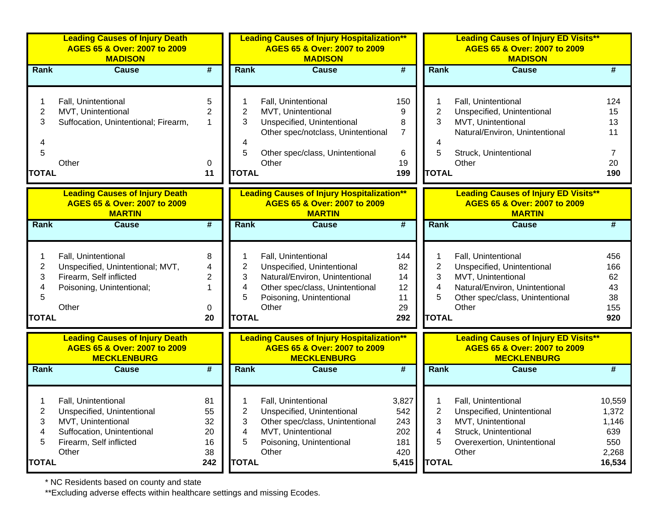|                | <b>Leading Causes of Injury Death</b><br>AGES 65 & Over: 2007 to 2009<br><b>MADISON</b><br>$\overline{\boldsymbol{r}}$<br><b>Cause</b> |                             |              | <b>Leading Causes of Injury Hospitalization**</b><br>AGES 65 & Over: 2007 to 2009<br><b>MADISON</b>     |                             |                | <b>Leading Causes of Injury ED Visits**</b><br>AGES 65 & Over: 2007 to 2009<br><b>MADISON</b>     |          |  |
|----------------|----------------------------------------------------------------------------------------------------------------------------------------|-----------------------------|--------------|---------------------------------------------------------------------------------------------------------|-----------------------------|----------------|---------------------------------------------------------------------------------------------------|----------|--|
| Rank           |                                                                                                                                        |                             | <b>Rank</b>  | <b>Cause</b>                                                                                            | #                           | <b>Rank</b>    | <b>Cause</b>                                                                                      |          |  |
|                |                                                                                                                                        |                             |              |                                                                                                         |                             |                |                                                                                                   |          |  |
|                | Fall, Unintentional                                                                                                                    | 5                           |              | Fall, Unintentional                                                                                     | 150                         | 1              | Fall, Unintentional                                                                               | 124      |  |
| 2              | MVT, Unintentional                                                                                                                     | $\overline{c}$              | 2            | MVT, Unintentional                                                                                      | 9                           | 2              | Unspecified, Unintentional                                                                        | 15       |  |
| 3              | Suffocation, Unintentional; Firearm,                                                                                                   | $\mathbf 1$                 | 3            | Unspecified, Unintentional                                                                              | 8                           | 3              | MVT, Unintentional                                                                                | 13       |  |
|                |                                                                                                                                        |                             |              | Other spec/notclass, Unintentional                                                                      | $\overline{7}$              |                | Natural/Environ, Unintentional                                                                    | 11       |  |
| 4<br>5         |                                                                                                                                        |                             | 4<br>5       | Other spec/class, Unintentional                                                                         |                             | 4<br>5         |                                                                                                   |          |  |
|                | Other                                                                                                                                  |                             |              | Other                                                                                                   | 6<br>19                     |                | Struck, Unintentional<br>Other                                                                    | 20       |  |
| <b>TOTAL</b>   |                                                                                                                                        | 0<br>11                     | <b>TOTAL</b> |                                                                                                         | 199                         | <b>TOTAL</b>   |                                                                                                   | 190      |  |
|                |                                                                                                                                        |                             |              |                                                                                                         |                             |                |                                                                                                   |          |  |
|                | <b>Leading Causes of Injury Death</b>                                                                                                  |                             |              | <b>Leading Causes of Injury Hospitalization**</b>                                                       |                             |                | <b>Leading Causes of Injury ED Visits**</b>                                                       |          |  |
|                | AGES 65 & Over: 2007 to 2009                                                                                                           |                             |              | AGES 65 & Over: 2007 to 2009                                                                            |                             |                | AGES 65 & Over: 2007 to 2009                                                                      |          |  |
|                | <b>MARTIN</b>                                                                                                                          |                             |              | <b>MARTIN</b>                                                                                           |                             |                | <b>MARTIN</b>                                                                                     |          |  |
| Rank           | <b>Cause</b>                                                                                                                           | $\overline{\boldsymbol{r}}$ | <b>Rank</b>  | <b>Cause</b>                                                                                            | $\overline{\boldsymbol{t}}$ | <b>Rank</b>    | <b>Cause</b>                                                                                      | #        |  |
|                |                                                                                                                                        |                             |              |                                                                                                         |                             |                |                                                                                                   |          |  |
|                |                                                                                                                                        |                             |              |                                                                                                         |                             |                |                                                                                                   |          |  |
|                | Fall, Unintentional                                                                                                                    | 8                           |              | Fall, Unintentional                                                                                     | 144                         | 1              | Fall, Unintentional                                                                               | 456      |  |
| $\overline{c}$ | Unspecified, Unintentional; MVT,                                                                                                       | 4                           | 2            | Unspecified, Unintentional                                                                              | 82                          | $\overline{2}$ | Unspecified, Unintentional                                                                        | 166      |  |
| 3              | Firearm, Self inflicted                                                                                                                | $\overline{2}$<br>1         | 3            | Natural/Environ, Unintentional                                                                          | 14                          | 3              | MVT, Unintentional                                                                                | 62       |  |
| 4<br>5         | Poisoning, Unintentional;                                                                                                              |                             | 4<br>5       | Other spec/class, Unintentional<br>Poisoning, Unintentional                                             | 12<br>11                    | 4<br>5         | Natural/Environ, Unintentional                                                                    | 43<br>38 |  |
|                | Other                                                                                                                                  | 0                           |              | Other                                                                                                   | 29                          |                | Other spec/class, Unintentional<br>Other                                                          | 155      |  |
| <b>TOTAL</b>   |                                                                                                                                        | 20                          | <b>TOTAL</b> |                                                                                                         | 292                         | <b>TOTAL</b>   |                                                                                                   | 920      |  |
|                |                                                                                                                                        |                             |              |                                                                                                         |                             |                |                                                                                                   |          |  |
|                | <b>Leading Causes of Injury Death</b><br>AGES 65 & Over: 2007 to 2009<br><b>MECKLENBURG</b>                                            |                             |              | <b>Leading Causes of Injury Hospitalization**</b><br>AGES 65 & Over: 2007 to 2009<br><b>MECKLENBURG</b> |                             |                | <b>Leading Causes of Injury ED Visits**</b><br>AGES 65 & Over: 2007 to 2009<br><b>MECKLENBURG</b> |          |  |
| Rank           | <b>Cause</b>                                                                                                                           | $\overline{\boldsymbol{t}}$ | <b>Rank</b>  | <b>Cause</b>                                                                                            | $\overline{\boldsymbol{t}}$ | <b>Rank</b>    | <b>Cause</b>                                                                                      | #        |  |
|                |                                                                                                                                        |                             |              |                                                                                                         |                             |                |                                                                                                   |          |  |
|                |                                                                                                                                        |                             |              |                                                                                                         |                             |                |                                                                                                   |          |  |
|                | Fall, Unintentional                                                                                                                    | 81                          |              | Fall, Unintentional                                                                                     | 3,827                       |                | Fall, Unintentional                                                                               | 10,559   |  |
| $\overline{2}$ | Unspecified, Unintentional                                                                                                             | 55                          | 2            | Unspecified, Unintentional                                                                              | 542                         | $\overline{2}$ | Unspecified, Unintentional                                                                        | 1,372    |  |
| 3              | MVT, Unintentional                                                                                                                     | 32                          | 3            | Other spec/class, Unintentional                                                                         | 243                         | 3              | MVT, Unintentional                                                                                | 1,146    |  |
| 4              | Suffocation, Unintentional                                                                                                             | 20                          | 4            | MVT, Unintentional                                                                                      | 202                         | 4              | Struck, Unintentional                                                                             | 639      |  |
| 5              | Firearm, Self inflicted                                                                                                                | 16                          | 5            | Poisoning, Unintentional                                                                                | 181                         | 5              | Overexertion, Unintentional                                                                       | 550      |  |
|                | Other                                                                                                                                  | 38                          |              | Other                                                                                                   | 420                         |                | Other                                                                                             | 2,268    |  |
| <b>TOTAL</b>   |                                                                                                                                        | 242                         | <b>TOTAL</b> |                                                                                                         | 5,415                       | <b>TOTAL</b>   |                                                                                                   | 16,534   |  |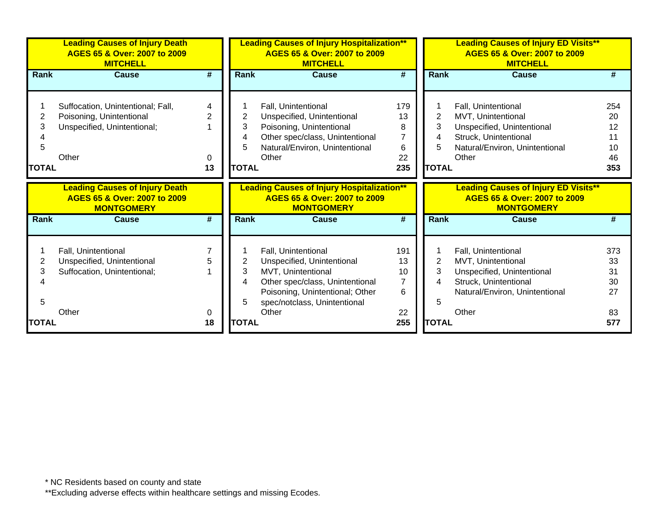|                        | <b>Leading Causes of Injury Death</b><br>AGES 65 & Over: 2007 to 2009<br><b>MITCHELL</b>              |                                |                                               | <b>Leading Causes of Injury Hospitalization**</b><br>AGES 65 & Over: 2007 to 2009<br><b>MITCHELL</b>                                                                          |                                                    |                                               | <b>Leading Causes of Injury ED Visits**</b><br>AGES 65 & Over: 2007 to 2009<br><b>MITCHELL</b>                                              |                                          |
|------------------------|-------------------------------------------------------------------------------------------------------|--------------------------------|-----------------------------------------------|-------------------------------------------------------------------------------------------------------------------------------------------------------------------------------|----------------------------------------------------|-----------------------------------------------|---------------------------------------------------------------------------------------------------------------------------------------------|------------------------------------------|
| <b>Rank</b>            | <b>Cause</b>                                                                                          | $\overline{\boldsymbol{r}}$    | <b>Rank</b>                                   | <b>Cause</b>                                                                                                                                                                  | #                                                  | <b>Rank</b>                                   | <b>Cause</b>                                                                                                                                | #                                        |
| 2<br>3<br><b>TOTAL</b> | Suffocation, Unintentional; Fall,<br>Poisoning, Unintentional<br>Unspecified, Unintentional;<br>Other | 4<br>$\overline{2}$<br>0<br>13 | $\overline{2}$<br>3<br>4<br>5<br><b>TOTAL</b> | Fall, Unintentional<br>Unspecified, Unintentional<br>Poisoning, Unintentional<br>Other spec/class, Unintentional<br>Natural/Environ, Unintentional<br>Other                   | 179<br>13<br>8<br>$\overline{7}$<br>6<br>22<br>235 | $\overline{2}$<br>3<br>4<br>5<br><b>TOTAL</b> | Fall, Unintentional<br>MVT, Unintentional<br>Unspecified, Unintentional<br>Struck, Unintentional<br>Natural/Environ, Unintentional<br>Other | 254<br>20<br>12<br>11<br>10<br>46<br>353 |
|                        | <b>Leading Causes of Injury Death</b><br>AGES 65 & Over: 2007 to 2009<br><b>MONTGOMERY</b>            |                                |                                               | <b>Leading Causes of Injury Hospitalization**</b><br>AGES 65 & Over: 2007 to 2009<br><b>MONTGOMERY</b>                                                                        |                                                    |                                               | <b>Leading Causes of Injury ED Visits**</b><br>AGES 65 & Over: 2007 to 2009<br><b>MONTGOMERY</b>                                            |                                          |
| Rank                   | <b>Cause</b>                                                                                          | #                              | <b>Rank</b>                                   | <b>Cause</b>                                                                                                                                                                  | #                                                  | <b>Rank</b>                                   | <b>Cause</b>                                                                                                                                | #                                        |
| 2<br>3                 | Fall, Unintentional<br>Unspecified, Unintentional<br>Suffocation, Unintentional;                      |                                | $\overline{2}$<br>3<br>4<br>5                 | Fall, Unintentional<br>Unspecified, Unintentional<br>MVT, Unintentional<br>Other spec/class, Unintentional<br>Poisoning, Unintentional; Other<br>spec/notclass, Unintentional | 191<br>13<br>10<br>$\overline{7}$<br>6             | $\overline{2}$<br>3<br>4<br>5                 | Fall, Unintentional<br>MVT, Unintentional<br>Unspecified, Unintentional<br>Struck, Unintentional<br>Natural/Environ, Unintentional          | 373<br>33<br>31<br>30<br>27              |
| <b>TOTAL</b>           | Other                                                                                                 | 0<br>18                        | <b>TOTAL</b>                                  | Other                                                                                                                                                                         | 22<br>255                                          | <b>TOTAL</b>                                  | Other                                                                                                                                       | 83<br>577                                |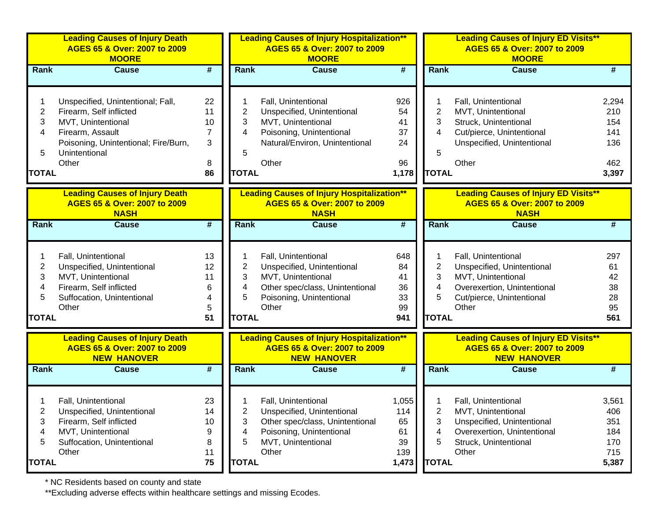|              | <b>Leading Causes of Injury Death</b><br>AGES 65 & Over: 2007 to 2009<br><b>MOORE</b>       |                             |                | <b>Leading Causes of Injury Hospitalization**</b><br>AGES 65 & Over: 2007 to 2009<br><b>MOORE</b>       |                             |                | <b>Leading Causes of Injury ED Visits**</b><br>AGES 65 & Over: 2007 to 2009<br><b>MOORE</b>       |       |
|--------------|---------------------------------------------------------------------------------------------|-----------------------------|----------------|---------------------------------------------------------------------------------------------------------|-----------------------------|----------------|---------------------------------------------------------------------------------------------------|-------|
| Rank         | <b>Cause</b>                                                                                | #                           | Rank           | <b>Cause</b>                                                                                            | #                           | <b>Rank</b>    | <b>Cause</b>                                                                                      | #     |
|              | Unspecified, Unintentional; Fall,                                                           | 22                          |                | Fall, Unintentional                                                                                     | 926                         |                | Fall, Unintentional                                                                               | 2,294 |
| 2            | Firearm, Self inflicted                                                                     | 11                          | 2              | Unspecified, Unintentional                                                                              | 54                          | 2              | MVT, Unintentional                                                                                | 210   |
| 3            | MVT, Unintentional                                                                          | 10                          | 3              | MVT, Unintentional                                                                                      | 41                          | 3              | Struck, Unintentional                                                                             | 154   |
| 4            | Firearm, Assault                                                                            | 7                           | 4              | Poisoning, Unintentional                                                                                | 37                          | 4              | Cut/pierce, Unintentional                                                                         | 141   |
|              | Poisoning, Unintentional; Fire/Burn,                                                        | 3                           |                | Natural/Environ, Unintentional                                                                          | 24                          |                | Unspecified, Unintentional                                                                        | 136   |
| 5            | Unintentional                                                                               |                             | 5              |                                                                                                         |                             | 5              |                                                                                                   |       |
|              | Other                                                                                       | 8                           |                | Other                                                                                                   | 96                          |                | Other                                                                                             | 462   |
| <b>TOTAL</b> |                                                                                             | 86                          | <b>TOTAL</b>   |                                                                                                         | 1,178                       | <b>TOTAL</b>   |                                                                                                   | 3,397 |
|              | <b>Leading Causes of Injury Death</b><br>AGES 65 & Over: 2007 to 2009<br><b>NASH</b>        |                             |                | <b>Leading Causes of Injury Hospitalization**</b><br>AGES 65 & Over: 2007 to 2009<br><b>NASH</b>        |                             |                | <b>Leading Causes of Injury ED Visits**</b><br>AGES 65 & Over: 2007 to 2009<br><b>NASH</b>        |       |
| <b>Rank</b>  | <b>Cause</b>                                                                                | $\overline{\boldsymbol{H}}$ | Rank           | <b>Cause</b>                                                                                            | $\overline{\boldsymbol{t}}$ | <b>Rank</b>    | <b>Cause</b>                                                                                      | #     |
|              |                                                                                             |                             |                |                                                                                                         |                             |                |                                                                                                   |       |
|              | Fall, Unintentional                                                                         | 13                          |                | Fall, Unintentional                                                                                     | 648                         |                | Fall, Unintentional                                                                               | 297   |
| 2            | Unspecified, Unintentional                                                                  | 12                          | $\overline{2}$ | Unspecified, Unintentional                                                                              | 84                          | $\overline{2}$ | Unspecified, Unintentional                                                                        | 61    |
| 3            | MVT, Unintentional                                                                          | 11                          | 3              | MVT, Unintentional                                                                                      | 41                          | 3              | MVT, Unintentional                                                                                | 42    |
| 4            | Firearm, Self inflicted                                                                     | 6                           | 4              | Other spec/class, Unintentional                                                                         | 36                          | 4              | Overexertion, Unintentional                                                                       | 38    |
| 5            | Suffocation, Unintentional                                                                  | 4                           | 5              | Poisoning, Unintentional                                                                                | 33                          | 5              | Cut/pierce, Unintentional                                                                         | 28    |
|              | Other                                                                                       | 5                           |                | Other                                                                                                   | 99                          |                | Other                                                                                             | 95    |
| <b>TOTAL</b> |                                                                                             | 51                          | <b>TOTAL</b>   |                                                                                                         | 941                         | <b>TOTAL</b>   |                                                                                                   | 561   |
|              | <b>Leading Causes of Injury Death</b><br>AGES 65 & Over: 2007 to 2009<br><b>NEW HANOVER</b> |                             |                | <b>Leading Causes of Injury Hospitalization**</b><br>AGES 65 & Over: 2007 to 2009<br><b>NEW HANOVER</b> |                             |                | <b>Leading Causes of Injury ED Visits**</b><br>AGES 65 & Over: 2007 to 2009<br><b>NEW HANOVER</b> |       |
| <b>Rank</b>  | <b>Cause</b>                                                                                | $\overline{\boldsymbol{t}}$ | Rank           | <b>Cause</b>                                                                                            | #                           | Rank           | <b>Cause</b>                                                                                      | #     |
|              |                                                                                             |                             |                |                                                                                                         |                             |                |                                                                                                   |       |
|              | Fall, Unintentional                                                                         | 23                          |                | Fall, Unintentional                                                                                     | 1,055                       |                | Fall, Unintentional                                                                               | 3,561 |
| 2            | Unspecified, Unintentional                                                                  | 14                          | 2              | Unspecified, Unintentional                                                                              | 114                         | 2              | MVT, Unintentional                                                                                | 406   |
| 3            | Firearm, Self inflicted                                                                     | 10                          | 3              | Other spec/class, Unintentional                                                                         | 65                          | 3              | Unspecified, Unintentional                                                                        | 351   |
| 4            | MVT, Unintentional                                                                          | 9                           | 4              | Poisoning, Unintentional                                                                                | 61                          | 4              | Overexertion, Unintentional                                                                       | 184   |
| 5            | Suffocation, Unintentional                                                                  | 8                           | 5              | MVT, Unintentional                                                                                      | 39                          | 5              | Struck, Unintentional                                                                             | 170   |
|              | Other                                                                                       | 11                          |                | Other                                                                                                   | 139                         |                | Other                                                                                             | 715   |
| <b>TOTAL</b> |                                                                                             | 75                          | <b>TOTAL</b>   |                                                                                                         | 1,473                       | <b>TOTAL</b>   |                                                                                                   | 5,387 |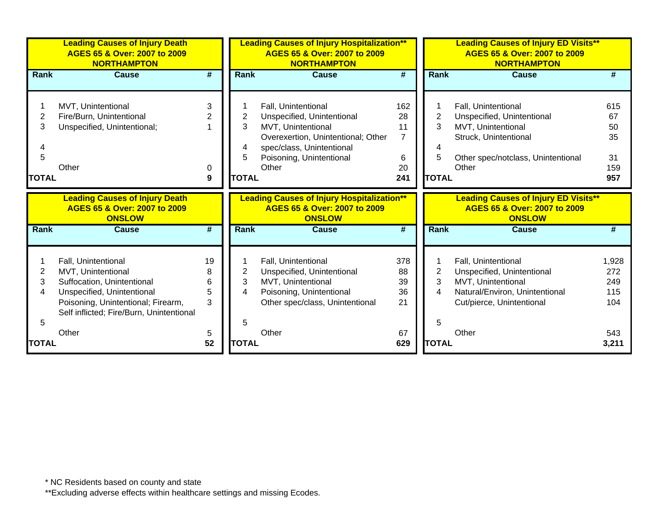|              | <b>Leading Causes of Injury Death</b><br>AGES 65 & Over: 2007 to 2009<br><b>NORTHAMPTON</b> |                             |                | <b>Leading Causes of Injury Hospitalization**</b><br>AGES 65 & Over: 2007 to 2009<br><b>NORTHAMPTON</b> |                |                | <b>Leading Causes of Injury ED Visits**</b><br>AGES 65 & Over: 2007 to 2009<br><b>NORTHAMPTON</b> |       |
|--------------|---------------------------------------------------------------------------------------------|-----------------------------|----------------|---------------------------------------------------------------------------------------------------------|----------------|----------------|---------------------------------------------------------------------------------------------------|-------|
| Rank         | <b>Cause</b>                                                                                | #                           | Rank           | <b>Cause</b>                                                                                            | #              | <b>Rank</b>    | <b>Cause</b>                                                                                      | #     |
|              |                                                                                             |                             |                |                                                                                                         |                |                |                                                                                                   |       |
|              | MVT, Unintentional                                                                          | 3                           |                | Fall, Unintentional                                                                                     | 162            | 1              | Fall, Unintentional                                                                               | 615   |
| 2            | Fire/Burn, Unintentional                                                                    | 2                           | 2              | Unspecified, Unintentional                                                                              | 28             | $\overline{2}$ | Unspecified, Unintentional                                                                        | 67    |
| 3            | Unspecified, Unintentional;                                                                 |                             | 3              | MVT, Unintentional                                                                                      | 11             | 3              | MVT, Unintentional                                                                                | 50    |
|              |                                                                                             |                             |                | Overexertion, Unintentional; Other                                                                      | $\overline{7}$ |                | Struck, Unintentional                                                                             | 35    |
|              |                                                                                             |                             | 4              | spec/class, Unintentional                                                                               |                | 4              |                                                                                                   |       |
| 5            |                                                                                             |                             | 5              | Poisoning, Unintentional                                                                                | 6              | 5              | Other spec/notclass, Unintentional                                                                | 31    |
|              | Other                                                                                       | 0                           |                | Other                                                                                                   | 20             |                | Other                                                                                             | 159   |
| <b>TOTAL</b> |                                                                                             | 9                           | <b>TOTAL</b>   |                                                                                                         | 241            | <b>TOTAL</b>   |                                                                                                   | 957   |
|              | <b>Leading Causes of Injury Death</b><br>AGES 65 & Over: 2007 to 2009<br><b>ONSLOW</b>      |                             |                | <b>Leading Causes of Injury Hospitalization**</b><br>AGES 65 & Over: 2007 to 2009<br><b>ONSLOW</b>      |                |                | <b>Leading Causes of Injury ED Visits**</b><br>AGES 65 & Over: 2007 to 2009<br><b>ONSLOW</b>      |       |
| Rank         | <b>Cause</b>                                                                                | $\overline{\boldsymbol{r}}$ | Rank           | <b>Cause</b>                                                                                            | #              | Rank           | <b>Cause</b>                                                                                      | #     |
|              |                                                                                             |                             |                |                                                                                                         |                |                |                                                                                                   |       |
|              | Fall, Unintentional                                                                         | 19                          |                | Fall, Unintentional                                                                                     | 378            | 1              | Fall, Unintentional                                                                               | 1,928 |
| 2            | MVT, Unintentional                                                                          | 8                           | $\overline{2}$ | Unspecified, Unintentional                                                                              | 88             | $\overline{2}$ | Unspecified, Unintentional                                                                        | 272   |
| 3            | Suffocation, Unintentional                                                                  | 6                           | 3              | MVT, Unintentional                                                                                      | 39             | 3              | MVT, Unintentional                                                                                | 249   |
| 4            | Unspecified, Unintentional                                                                  | 5                           | 4              | Poisoning, Unintentional                                                                                | 36             | $\overline{4}$ | Natural/Environ, Unintentional                                                                    | 115   |
|              | Poisoning, Unintentional; Firearm,<br>Self inflicted; Fire/Burn, Unintentional              | 3                           |                | Other spec/class, Unintentional                                                                         | 21             |                | Cut/pierce, Unintentional                                                                         | 104   |
| 5            |                                                                                             |                             | 5              |                                                                                                         |                | 5              |                                                                                                   |       |
|              | Other                                                                                       | 5                           |                | Other                                                                                                   | 67             |                | Other                                                                                             | 543   |
| <b>TOTAL</b> |                                                                                             | 52                          | <b>TOTAL</b>   |                                                                                                         | 629            | <b>TOTAL</b>   |                                                                                                   | 3,211 |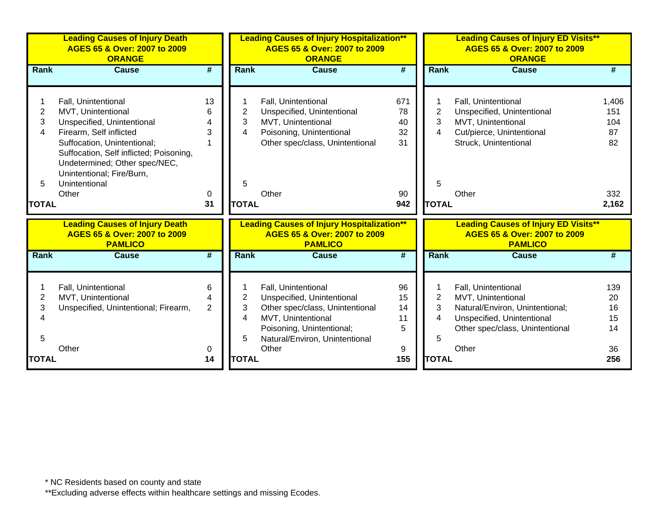|                                               | <b>Leading Causes of Injury Death</b><br>AGES 65 & Over: 2007 to 2009<br><b>ORANGE</b>                                                                                                                                                                               |                                     |                                  | <b>Leading Causes of Injury Hospitalization**</b><br>AGES 65 & Over: 2007 to 2009<br><b>ORANGE</b>                                                                                 |                                          | <b>Leading Causes of Injury ED Visits**</b><br>AGES 65 & Over: 2007 to 2009<br><b>ORANGE</b> |                                                                                                                                                        |                                                 |  |
|-----------------------------------------------|----------------------------------------------------------------------------------------------------------------------------------------------------------------------------------------------------------------------------------------------------------------------|-------------------------------------|----------------------------------|------------------------------------------------------------------------------------------------------------------------------------------------------------------------------------|------------------------------------------|----------------------------------------------------------------------------------------------|--------------------------------------------------------------------------------------------------------------------------------------------------------|-------------------------------------------------|--|
| <b>Rank</b>                                   | <b>Cause</b>                                                                                                                                                                                                                                                         | #                                   | Rank                             | <b>Cause</b>                                                                                                                                                                       | $\overline{\boldsymbol{t}}$              | Rank                                                                                         | <b>Cause</b>                                                                                                                                           | #                                               |  |
| $\overline{2}$<br>3<br>4<br>5<br><b>TOTAL</b> | Fall, Unintentional<br>MVT, Unintentional<br>Unspecified, Unintentional<br>Firearm, Self inflicted<br>Suffocation, Unintentional;<br>Suffocation, Self inflicted; Poisoning,<br>Undetermined; Other spec/NEC,<br>Unintentional; Fire/Burn,<br>Unintentional<br>Other | 13<br>6<br>3<br>0<br>31             | 2<br>3<br>4<br>5<br><b>TOTAL</b> | Fall, Unintentional<br>Unspecified, Unintentional<br>MVT, Unintentional<br>Poisoning, Unintentional<br>Other spec/class, Unintentional<br>Other                                    | 671<br>78<br>40<br>32<br>31<br>90<br>942 | 2<br>3<br>4<br>5<br><b>TOTAL</b>                                                             | Fall, Unintentional<br>Unspecified, Unintentional<br>MVT, Unintentional<br>Cut/pierce, Unintentional<br>Struck, Unintentional<br>Other                 | 1,406<br>151<br>104<br>87<br>82<br>332<br>2,162 |  |
|                                               | <b>Leading Causes of Injury Death</b><br>AGES 65 & Over: 2007 to 2009<br><b>PAMLICO</b>                                                                                                                                                                              |                                     |                                  | <b>Leading Causes of Injury Hospitalization**</b><br>AGES 65 & Over: 2007 to 2009<br><b>PAMLICO</b>                                                                                |                                          |                                                                                              | <b>Leading Causes of Injury ED Visits**</b><br>AGES 65 & Over: 2007 to 2009<br><b>PAMLICO</b>                                                          |                                                 |  |
| <b>Rank</b>                                   | <b>Cause</b>                                                                                                                                                                                                                                                         | $\overline{\boldsymbol{t}}$         | Rank                             | <b>Cause</b>                                                                                                                                                                       | $\overline{\boldsymbol{t}}$              | Rank                                                                                         | <b>Cause</b>                                                                                                                                           | #                                               |  |
| 2<br>3<br>5<br><b>TOTAL</b>                   | Fall, Unintentional<br>MVT, Unintentional<br>Unspecified, Unintentional; Firearm,<br>Other                                                                                                                                                                           | 6<br>4<br>$\overline{2}$<br>0<br>14 | 2<br>3<br>4<br>5<br><b>TOTAL</b> | Fall, Unintentional<br>Unspecified, Unintentional<br>Other spec/class, Unintentional<br>MVT, Unintentional<br>Poisoning, Unintentional;<br>Natural/Environ, Unintentional<br>Other | 96<br>15<br>14<br>11<br>5<br>9<br>155    | $\overline{2}$<br>3<br>4<br>5<br><b>TOTAL</b>                                                | Fall, Unintentional<br>MVT, Unintentional<br>Natural/Environ, Unintentional;<br>Unspecified, Unintentional<br>Other spec/class, Unintentional<br>Other | 139<br>20<br>16<br>15<br>14<br>36<br>256        |  |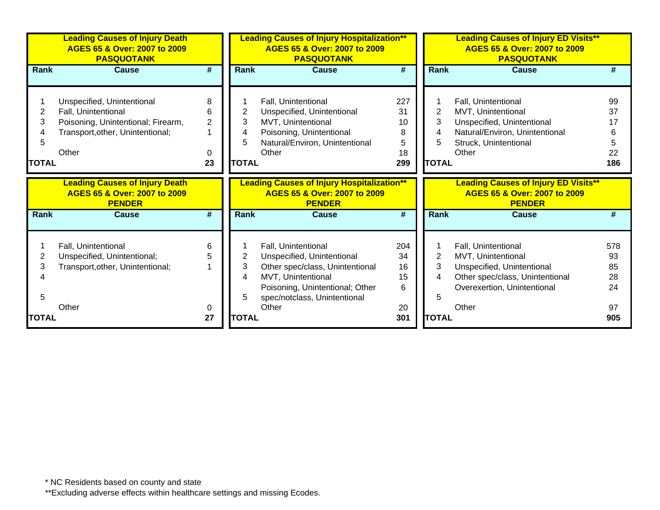|                             | <b>Leading Causes of Injury Death</b><br>AGES 65 & Over: 2007 to 2009<br><b>PASQUOTANK</b>                                           |                                     |                                  | <b>Leading Causes of Injury Hospitalization**</b><br>AGES 65 & Over: 2007 to 2009<br><b>PASQUOTANK</b>                                                                                 |                                        | <b>Leading Causes of Injury ED Visits**</b><br>AGES 65 & Over: 2007 to 2009<br><b>PASQUOTANK</b> |                                                                                                                                                    |                                   |
|-----------------------------|--------------------------------------------------------------------------------------------------------------------------------------|-------------------------------------|----------------------------------|----------------------------------------------------------------------------------------------------------------------------------------------------------------------------------------|----------------------------------------|--------------------------------------------------------------------------------------------------|----------------------------------------------------------------------------------------------------------------------------------------------------|-----------------------------------|
| Rank                        | <b>Cause</b>                                                                                                                         | #                                   | Rank                             | <b>Cause</b>                                                                                                                                                                           | $\overline{\boldsymbol{t}}$            | Rank                                                                                             | <b>Cause</b>                                                                                                                                       | #                                 |
| 2<br>3<br>5<br><b>TOTAL</b> | Unspecified, Unintentional<br>Fall, Unintentional<br>Poisoning, Unintentional; Firearm,<br>Transport, other, Unintentional;<br>Other | 8<br>6<br>$\overline{2}$<br>0<br>23 | 2<br>3<br>4<br>5<br><b>TOTAL</b> | Fall, Unintentional<br>Unspecified, Unintentional<br>MVT, Unintentional<br>Poisoning, Unintentional<br>Natural/Environ, Unintentional<br>Other                                         | 227<br>31<br>10<br>8<br>5<br>18<br>299 | 2<br>3<br>4<br>5<br><b>TOTAL</b>                                                                 | Fall, Unintentional<br>MVT, Unintentional<br>Unspecified, Unintentional<br>Natural/Environ, Unintentional<br>Struck, Unintentional<br>Other        | 99<br>37<br>22<br>186             |
|                             | <b>Leading Causes of Injury Death</b><br>AGES 65 & Over: 2007 to 2009<br><b>PENDER</b>                                               |                                     |                                  | <b>Leading Causes of Injury Hospitalization**</b><br>AGES 65 & Over: 2007 to 2009<br><b>PENDER</b>                                                                                     |                                        |                                                                                                  | <b>Leading Causes of Injury ED Visits**</b><br>AGES 65 & Over: 2007 to 2009<br><b>PENDER</b>                                                       |                                   |
| Rank                        | <b>Cause</b>                                                                                                                         | #                                   | <b>Rank</b>                      | <b>Cause</b>                                                                                                                                                                           | #                                      | <b>Rank</b>                                                                                      | <b>Cause</b>                                                                                                                                       | #                                 |
|                             |                                                                                                                                      |                                     |                                  |                                                                                                                                                                                        |                                        |                                                                                                  |                                                                                                                                                    |                                   |
| 2<br>3<br>5                 | Fall, Unintentional<br>Unspecified, Unintentional;<br>Transport, other, Unintentional;<br>Other                                      | 6<br>0                              | 2<br>3<br>4<br>5                 | Fall, Unintentional<br>Unspecified, Unintentional<br>Other spec/class, Unintentional<br>MVT, Unintentional<br>Poisoning, Unintentional; Other<br>spec/notclass, Unintentional<br>Other | 204<br>34<br>16<br>15<br>6<br>20       | 2<br>3<br>4<br>5                                                                                 | Fall, Unintentional<br>MVT, Unintentional<br>Unspecified, Unintentional<br>Other spec/class, Unintentional<br>Overexertion, Unintentional<br>Other | 578<br>93<br>85<br>28<br>24<br>97 |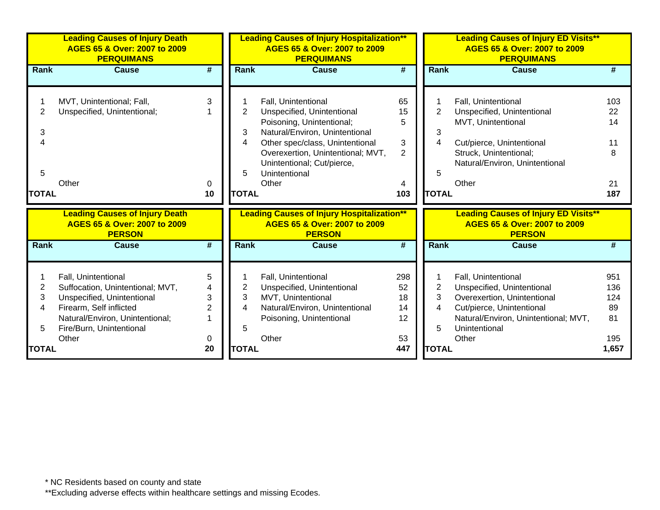|              | <b>Leading Causes of Injury Death</b><br>AGES 65 & Over: 2007 to 2009<br><b>PERQUIMANS</b><br>#<br>Cause |                 |                | <b>Leading Causes of Injury Hospitalization**</b><br>AGES 65 & Over: 2007 to 2009<br><b>PERQUIMANS</b> |                |                | <b>Leading Causes of Injury ED Visits**</b><br>AGES 65 & Over: 2007 to 2009<br><b>PERQUIMANS</b> |       |  |
|--------------|----------------------------------------------------------------------------------------------------------|-----------------|----------------|--------------------------------------------------------------------------------------------------------|----------------|----------------|--------------------------------------------------------------------------------------------------|-------|--|
| Rank         |                                                                                                          |                 | Rank           | Cause                                                                                                  | #              | <b>Rank</b>    | <b>Cause</b>                                                                                     |       |  |
|              |                                                                                                          |                 |                |                                                                                                        |                |                |                                                                                                  |       |  |
|              | MVT, Unintentional; Fall,                                                                                | 3               |                | Fall, Unintentional                                                                                    | 65             |                | Fall, Unintentional                                                                              | 103   |  |
| 2            | Unspecified, Unintentional;                                                                              |                 | $\overline{2}$ | Unspecified, Unintentional                                                                             | 15             | $\overline{2}$ | Unspecified, Unintentional                                                                       | 22    |  |
|              |                                                                                                          |                 |                | Poisoning, Unintentional;                                                                              | 5              |                | MVT, Unintentional                                                                               | 14    |  |
| 3            |                                                                                                          |                 | 3              | Natural/Environ, Unintentional                                                                         |                | 3              |                                                                                                  |       |  |
| 4            |                                                                                                          |                 | 4              | Other spec/class, Unintentional                                                                        | 3              | 4              | Cut/pierce, Unintentional                                                                        | 11    |  |
|              |                                                                                                          |                 |                | Overexertion, Unintentional; MVT,                                                                      | $\overline{2}$ |                | Struck, Unintentional;                                                                           | 8     |  |
|              |                                                                                                          |                 |                | Unintentional; Cut/pierce,                                                                             |                |                | Natural/Environ, Unintentional                                                                   |       |  |
| 5            |                                                                                                          |                 | 5              | Unintentional                                                                                          |                | 5              |                                                                                                  |       |  |
|              | Other                                                                                                    | $\Omega$        |                | Other                                                                                                  |                |                | Other                                                                                            | 21    |  |
| <b>TOTAL</b> |                                                                                                          | 10              | <b>TOTAL</b>   |                                                                                                        | 103            | <b>TOTAL</b>   |                                                                                                  | 187   |  |
|              | <b>Leading Causes of Injury Death</b><br>AGES 65 & Over: 2007 to 2009<br><b>PERSON</b>                   |                 |                | <b>Leading Causes of Injury Hospitalization**</b><br>AGES 65 & Over: 2007 to 2009<br><b>PERSON</b>     |                |                | <b>Leading Causes of Injury ED Visits**</b><br>AGES 65 & Over: 2007 to 2009<br><b>PERSON</b>     |       |  |
| <b>Rank</b>  | <b>Cause</b>                                                                                             | $\overline{\#}$ | <b>Rank</b>    | <b>Cause</b>                                                                                           | #              | <b>Rank</b>    | <b>Cause</b>                                                                                     | #     |  |
|              |                                                                                                          |                 |                |                                                                                                        |                |                |                                                                                                  |       |  |
|              |                                                                                                          | 5               |                |                                                                                                        | 298            |                |                                                                                                  | 951   |  |
| 2            | Fall, Unintentional<br>Suffocation, Unintentional; MVT,                                                  | 4               | 2              | Fall, Unintentional<br>Unspecified, Unintentional                                                      | 52             | $\overline{2}$ | Fall, Unintentional<br>Unspecified, Unintentional                                                | 136   |  |
| 3            | Unspecified, Unintentional                                                                               | 3               | 3              | MVT, Unintentional                                                                                     | 18             | 3              | Overexertion, Unintentional                                                                      | 124   |  |
| 4            | Firearm, Self inflicted                                                                                  | $\overline{2}$  | 4              | Natural/Environ, Unintentional                                                                         | 14             | 4              | Cut/pierce, Unintentional                                                                        | 89    |  |
|              | Natural/Environ, Unintentional;                                                                          |                 |                | Poisoning, Unintentional                                                                               | 12             |                | Natural/Environ, Unintentional; MVT,                                                             | 81    |  |
| 5            | Fire/Burn, Unintentional                                                                                 |                 | 5              |                                                                                                        |                | 5              | Unintentional                                                                                    |       |  |
|              | Other                                                                                                    | 0               |                | Other                                                                                                  | 53             |                | Other                                                                                            | 195   |  |
| <b>TOTAL</b> |                                                                                                          | 20              | <b>TOTAL</b>   |                                                                                                        | 447            | <b>TOTAL</b>   |                                                                                                  | 1,657 |  |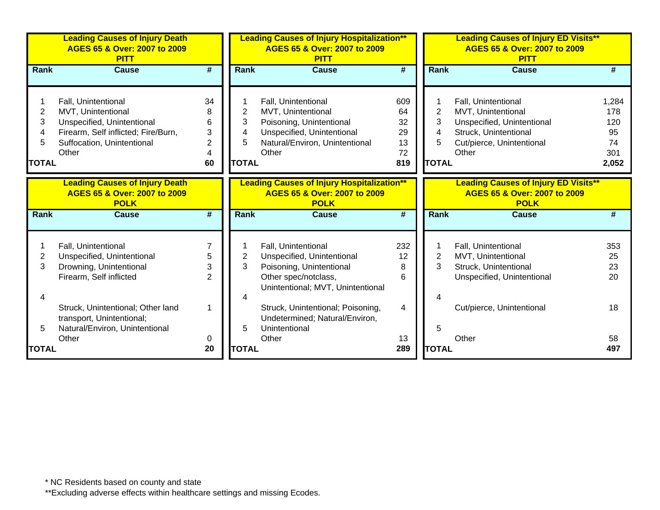|              | <b>Leading Causes of Injury Death</b><br>AGES 65 & Over: 2007 to 2009<br><b>PITT</b> |                             |                     | <b>Leading Causes of Injury Hospitalization**</b><br>AGES 65 & Over: 2007 to 2009<br><b>PITT</b> |                             |                     | <b>Leading Causes of Injury ED Visits**</b><br>AGES 65 & Over: 2007 to 2009<br><b>PITT</b> |          |
|--------------|--------------------------------------------------------------------------------------|-----------------------------|---------------------|--------------------------------------------------------------------------------------------------|-----------------------------|---------------------|--------------------------------------------------------------------------------------------|----------|
| <b>Rank</b>  | <b>Cause</b>                                                                         | $\overline{\boldsymbol{r}}$ | <b>Rank</b>         | <b>Cause</b>                                                                                     | $\overline{\boldsymbol{t}}$ | Rank                | <b>Cause</b>                                                                               | #        |
|              |                                                                                      |                             |                     |                                                                                                  |                             |                     |                                                                                            |          |
|              | Fall, Unintentional                                                                  | 34                          |                     | Fall, Unintentional                                                                              | 609                         | 1                   | Fall, Unintentional                                                                        | 1,284    |
| 2            | MVT, Unintentional                                                                   | 8                           | $\overline{2}$      | MVT, Unintentional                                                                               | 64                          | $\overline{2}$      | MVT, Unintentional                                                                         | 178      |
| 3            | Unspecified, Unintentional                                                           | 6                           | 3                   | Poisoning, Unintentional                                                                         | 32                          | 3                   | Unspecified, Unintentional                                                                 | 120      |
| 4            | Firearm, Self inflicted; Fire/Burn,                                                  | 3                           | 4                   | Unspecified, Unintentional                                                                       | 29                          | $\overline{4}$      | Struck, Unintentional                                                                      | 95       |
|              | Suffocation, Unintentional                                                           | $\overline{2}$              | 5                   | Natural/Environ, Unintentional                                                                   | 13                          | 5                   | Cut/pierce, Unintentional                                                                  | 74       |
|              | Other                                                                                | 4                           |                     | Other                                                                                            | 72                          |                     | Other                                                                                      | 301      |
| <b>TOTAL</b> |                                                                                      | 60                          | <b>TOTAL</b>        |                                                                                                  | 819                         | <b>TOTAL</b>        |                                                                                            | 2,052    |
|              | <b>Leading Causes of Injury Death</b><br>AGES 65 & Over: 2007 to 2009<br><b>POLK</b> |                             |                     | <b>Leading Causes of Injury Hospitalization**</b><br>AGES 65 & Over: 2007 to 2009<br><b>POLK</b> |                             |                     | <b>Leading Causes of Injury ED Visits**</b><br>AGES 65 & Over: 2007 to 2009<br><b>POLK</b> |          |
| <b>Rank</b>  | Cause                                                                                | $\overline{\boldsymbol{r}}$ | <b>Rank</b>         | Cause                                                                                            | #                           | <b>Rank</b>         | Cause                                                                                      | #        |
|              |                                                                                      |                             |                     |                                                                                                  |                             |                     |                                                                                            |          |
|              | Fall, Unintentional                                                                  | $\overline{7}$              |                     | Fall, Unintentional                                                                              | 232                         | 1                   | Fall, Unintentional                                                                        | 353      |
| 2<br>3       | Unspecified, Unintentional<br>Drowning, Unintentional                                | 5                           | $\overline{2}$<br>3 | Unspecified, Unintentional                                                                       | 12                          | $\overline{2}$<br>3 | MVT, Unintentional<br>Struck, Unintentional                                                | 25<br>23 |
|              | Firearm, Self inflicted                                                              | 3<br>$\overline{2}$         |                     | Poisoning, Unintentional<br>Other spec/notclass,                                                 | 8<br>6                      |                     | Unspecified, Unintentional                                                                 | 20       |
|              |                                                                                      |                             |                     | Unintentional; MVT, Unintentional                                                                |                             |                     |                                                                                            |          |
|              |                                                                                      |                             | Δ                   |                                                                                                  |                             | 4                   |                                                                                            |          |
|              | Struck, Unintentional; Other land                                                    | 1                           |                     | Struck, Unintentional; Poisoning,                                                                | 4                           |                     | Cut/pierce, Unintentional                                                                  | 18       |
|              | transport, Unintentional;                                                            |                             |                     | Undetermined; Natural/Environ,                                                                   |                             |                     |                                                                                            |          |
| 5            | Natural/Environ, Unintentional                                                       |                             | 5                   | Unintentional                                                                                    |                             | 5                   |                                                                                            |          |
|              | Other                                                                                | 0                           |                     | Other                                                                                            | 13                          |                     | Other                                                                                      | 58       |
| <b>TOTAL</b> |                                                                                      | 20                          | <b>TOTAL</b>        |                                                                                                  | 289                         | <b>TOTAL</b>        |                                                                                            | 497      |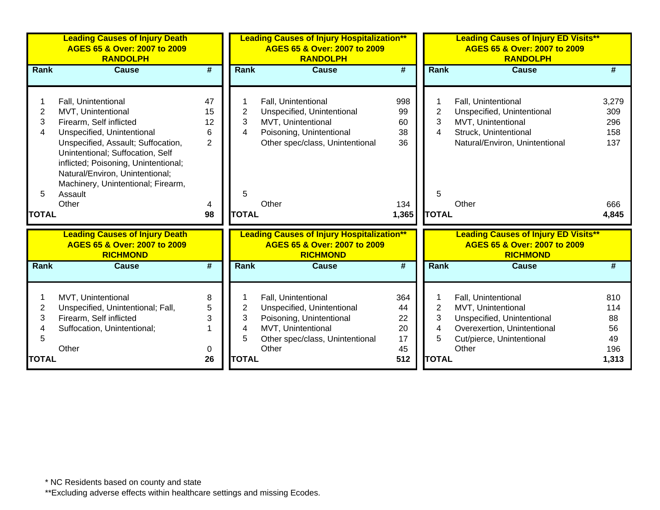|              | <b>Leading Causes of Injury Death</b><br>AGES 65 & Over: 2007 to 2009<br><b>RANDOLPH</b>                                                                                                |                             |                | <b>Leading Causes of Injury Hospitalization**</b><br>AGES 65 & Over: 2007 to 2009<br><b>RANDOLPH</b> |                             |                | <b>Leading Causes of Injury ED Visits**</b><br>AGES 65 & Over: 2007 to 2009<br><b>RANDOLPH</b> |                 |  |
|--------------|-----------------------------------------------------------------------------------------------------------------------------------------------------------------------------------------|-----------------------------|----------------|------------------------------------------------------------------------------------------------------|-----------------------------|----------------|------------------------------------------------------------------------------------------------|-----------------|--|
| <b>Rank</b>  | <b>Cause</b>                                                                                                                                                                            | #                           | <b>Rank</b>    | <b>Cause</b>                                                                                         | $\overline{\boldsymbol{r}}$ | <b>Rank</b>    | <b>Cause</b>                                                                                   | #               |  |
|              |                                                                                                                                                                                         |                             |                |                                                                                                      |                             |                |                                                                                                |                 |  |
|              | Fall, Unintentional                                                                                                                                                                     | 47                          |                | Fall, Unintentional                                                                                  | 998                         |                | Fall, Unintentional                                                                            | 3,279           |  |
| 2            | MVT, Unintentional                                                                                                                                                                      | 15                          | $\overline{2}$ | Unspecified, Unintentional                                                                           | 99                          | $\overline{c}$ | Unspecified, Unintentional                                                                     | 309             |  |
| 3            | Firearm, Self inflicted                                                                                                                                                                 | 12                          | 3              | MVT, Unintentional                                                                                   | 60                          | 3              | MVT, Unintentional                                                                             | 296             |  |
| 4            | Unspecified, Unintentional                                                                                                                                                              | 6                           | 4              | Poisoning, Unintentional                                                                             | 38                          | $\overline{4}$ | Struck, Unintentional                                                                          | 158             |  |
|              | Unspecified, Assault; Suffocation,<br>Unintentional; Suffocation, Self<br>inflicted; Poisoning, Unintentional;<br>Natural/Environ, Unintentional;<br>Machinery, Unintentional; Firearm, | $\overline{2}$              |                | Other spec/class, Unintentional                                                                      | 36                          |                | Natural/Environ, Unintentional                                                                 | 137             |  |
| 5            | Assault                                                                                                                                                                                 |                             | 5              |                                                                                                      |                             | 5              |                                                                                                |                 |  |
|              | Other                                                                                                                                                                                   | 4<br>98                     | <b>TOTAL</b>   | Other                                                                                                | 134                         | <b>TOTAL</b>   | Other                                                                                          | 666             |  |
| <b>TOTAL</b> |                                                                                                                                                                                         |                             |                |                                                                                                      | 1,365                       |                |                                                                                                | 4,845           |  |
|              | <b>Leading Causes of Injury Death</b><br>AGES 65 & Over: 2007 to 2009<br><b>RICHMOND</b>                                                                                                |                             |                | <b>Leading Causes of Injury Hospitalization**</b><br>AGES 65 & Over: 2007 to 2009<br><b>RICHMOND</b> |                             |                | <b>Leading Causes of Injury ED Visits**</b><br>AGES 65 & Over: 2007 to 2009<br><b>RICHMOND</b> |                 |  |
| <b>Rank</b>  | <b>Cause</b>                                                                                                                                                                            | $\overline{\boldsymbol{t}}$ | <b>Rank</b>    | <b>Cause</b>                                                                                         | #                           | Rank           | <b>Cause</b>                                                                                   | $\overline{\#}$ |  |
|              |                                                                                                                                                                                         |                             |                |                                                                                                      |                             |                |                                                                                                |                 |  |
|              | MVT, Unintentional                                                                                                                                                                      | 8                           |                | Fall, Unintentional                                                                                  | 364                         |                | Fall, Unintentional                                                                            | 810             |  |
| 2            | Unspecified, Unintentional; Fall,                                                                                                                                                       | 5                           | $\overline{2}$ | Unspecified, Unintentional                                                                           | 44                          | $\overline{2}$ | MVT, Unintentional                                                                             | 114             |  |
| 3            | Firearm, Self inflicted                                                                                                                                                                 | 3                           | 3              | Poisoning, Unintentional                                                                             | 22                          | 3              | Unspecified, Unintentional                                                                     | 88              |  |
|              | Suffocation, Unintentional;                                                                                                                                                             |                             | 4              | MVT, Unintentional                                                                                   | 20                          | $\overline{4}$ | Overexertion, Unintentional                                                                    | 56              |  |
| 5            |                                                                                                                                                                                         |                             | 5              | Other spec/class, Unintentional                                                                      | 17                          | 5              | Cut/pierce, Unintentional                                                                      | 49              |  |
|              | Other                                                                                                                                                                                   | 0                           |                | Other                                                                                                | 45                          |                | Other                                                                                          | 196             |  |
| <b>TOTAL</b> |                                                                                                                                                                                         | 26                          | <b>TOTAL</b>   |                                                                                                      | 512                         | <b>TOTAL</b>   |                                                                                                | 1,313           |  |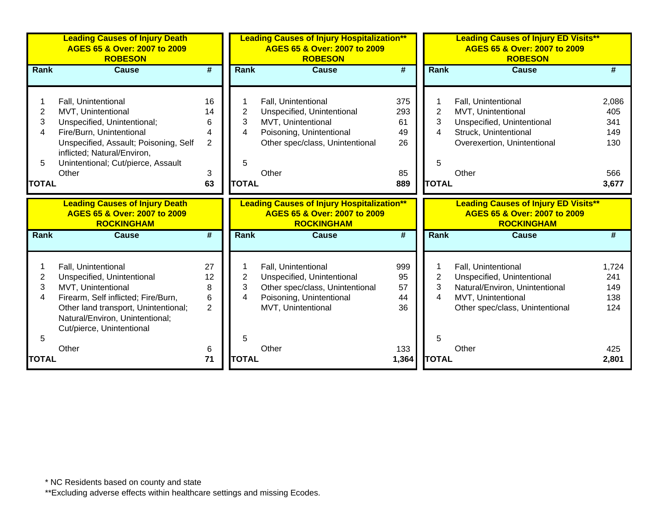|                                               | <b>Leading Causes of Injury Death</b><br>AGES 65 & Over: 2007 to 2009<br><b>ROBESON</b>                                                                                                                                     |                                                 | <b>Leading Causes of Injury Hospitalization**</b><br>AGES 65 & Over: 2007 to 2009<br><b>ROBESON</b> |                                                                                                                                                 |                                           | <b>Leading Causes of Injury ED Visits**</b><br>AGES 65 & Over: 2007 to 2009<br><b>ROBESON</b> |                                                                                                                                              |                                                   |  |
|-----------------------------------------------|-----------------------------------------------------------------------------------------------------------------------------------------------------------------------------------------------------------------------------|-------------------------------------------------|-----------------------------------------------------------------------------------------------------|-------------------------------------------------------------------------------------------------------------------------------------------------|-------------------------------------------|-----------------------------------------------------------------------------------------------|----------------------------------------------------------------------------------------------------------------------------------------------|---------------------------------------------------|--|
| Rank                                          | <b>Cause</b>                                                                                                                                                                                                                | $\overline{\boldsymbol{H}}$                     | Rank                                                                                                | <b>Cause</b>                                                                                                                                    | #                                         | Rank                                                                                          | <b>Cause</b>                                                                                                                                 | #                                                 |  |
| $\overline{c}$<br>3<br>4<br>5<br><b>TOTAL</b> | Fall, Unintentional<br>MVT, Unintentional<br>Unspecified, Unintentional;<br>Fire/Burn, Unintentional<br>Unspecified, Assault; Poisoning, Self<br>inflicted; Natural/Environ,<br>Unintentional; Cut/pierce, Assault<br>Other | 16<br>14<br>6<br>4<br>$\overline{2}$<br>3<br>63 | $\overline{2}$<br>3<br>4<br>5<br><b>TOTAL</b>                                                       | Fall, Unintentional<br>Unspecified, Unintentional<br>MVT, Unintentional<br>Poisoning, Unintentional<br>Other spec/class, Unintentional<br>Other | 375<br>293<br>61<br>49<br>26<br>85<br>889 | $\overline{2}$<br>3<br>4<br>5<br><b>TOTAL</b>                                                 | Fall, Unintentional<br>MVT, Unintentional<br>Unspecified, Unintentional<br>Struck, Unintentional<br>Overexertion, Unintentional<br>Other     | 2,086<br>405<br>341<br>149<br>130<br>566<br>3,677 |  |
|                                               | <b>Leading Causes of Injury Death</b><br>AGES 65 & Over: 2007 to 2009<br><b>ROCKINGHAM</b>                                                                                                                                  |                                                 |                                                                                                     | <b>Leading Causes of Injury Hospitalization**</b><br>AGES 65 & Over: 2007 to 2009<br><b>ROCKINGHAM</b>                                          |                                           |                                                                                               | <b>Leading Causes of Injury ED Visits**</b><br>AGES 65 & Over: 2007 to 2009<br><b>ROCKINGHAM</b>                                             |                                                   |  |
| <b>Rank</b>                                   | <b>Cause</b>                                                                                                                                                                                                                | $\overline{\boldsymbol{t}}$                     | Rank                                                                                                | <b>Cause</b>                                                                                                                                    | $\overline{\boldsymbol{t}}$               | <b>Rank</b>                                                                                   | <b>Cause</b>                                                                                                                                 | #                                                 |  |
| 2<br>3<br>4<br>5                              | Fall, Unintentional<br>Unspecified, Unintentional<br>MVT, Unintentional<br>Firearm, Self inflicted; Fire/Burn,<br>Other land transport, Unintentional;<br>Natural/Environ, Unintentional;<br>Cut/pierce, Unintentional      | 27<br>12<br>8<br>6<br>$\overline{2}$            | 2<br>3<br>4<br>5                                                                                    | Fall, Unintentional<br>Unspecified, Unintentional<br>Other spec/class, Unintentional<br>Poisoning, Unintentional<br>MVT, Unintentional          | 999<br>95<br>57<br>44<br>36               | $\overline{2}$<br>3<br>4<br>5                                                                 | Fall, Unintentional<br>Unspecified, Unintentional<br>Natural/Environ, Unintentional<br>MVT, Unintentional<br>Other spec/class, Unintentional | 1,724<br>241<br>149<br>138<br>124                 |  |
| <b>TOTAL</b>                                  | Other                                                                                                                                                                                                                       | 6<br>71                                         | <b>TOTAL</b>                                                                                        | Other                                                                                                                                           | 133<br>1,364                              | <b>TOTAL</b>                                                                                  | Other                                                                                                                                        | 425<br>2,801                                      |  |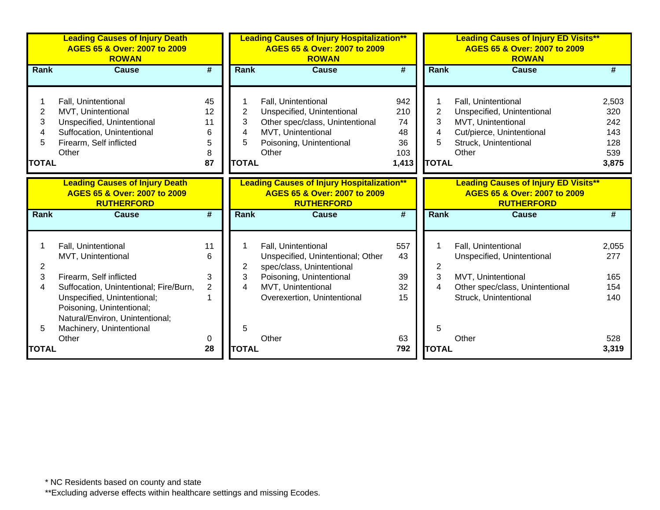|                                               | <b>Leading Causes of Injury Death</b><br>AGES 65 & Over: 2007 to 2009<br><b>ROWAN</b>                                                                            |                                     |                                               | <b>Leading Causes of Injury Hospitalization**</b><br>AGES 65 & Over: 2007 to 2009<br><b>ROWAN</b>                                               |                                              | <b>Leading Causes of Injury ED Visits**</b><br>AGES 65 & Over: 2007 to 2009<br><b>ROWAN</b>                                                                                                  |                                                   |
|-----------------------------------------------|------------------------------------------------------------------------------------------------------------------------------------------------------------------|-------------------------------------|-----------------------------------------------|-------------------------------------------------------------------------------------------------------------------------------------------------|----------------------------------------------|----------------------------------------------------------------------------------------------------------------------------------------------------------------------------------------------|---------------------------------------------------|
| <b>Rank</b>                                   | <b>Cause</b>                                                                                                                                                     | #                                   | <b>Rank</b>                                   | <b>Cause</b>                                                                                                                                    | #                                            | Rank<br><b>Cause</b>                                                                                                                                                                         | #                                                 |
| $\overline{2}$<br>3<br>4<br>5<br><b>TOTAL</b> | Fall, Unintentional<br>MVT, Unintentional<br>Unspecified, Unintentional<br>Suffocation, Unintentional<br>Firearm, Self inflicted<br>Other                        | 45<br>12<br>11<br>6<br>5<br>8<br>87 | $\overline{2}$<br>3<br>4<br>5<br><b>TOTAL</b> | Fall, Unintentional<br>Unspecified, Unintentional<br>Other spec/class, Unintentional<br>MVT, Unintentional<br>Poisoning, Unintentional<br>Other | 942<br>210<br>74<br>48<br>36<br>103<br>1,413 | Fall, Unintentional<br>1<br>$\overline{2}$<br>Unspecified, Unintentional<br>3<br>MVT, Unintentional<br>4<br>Cut/pierce, Unintentional<br>5<br>Struck, Unintentional<br>Other<br><b>TOTAL</b> | 2,503<br>320<br>242<br>143<br>128<br>539<br>3,875 |
|                                               | <b>Leading Causes of Injury Death</b><br>AGES 65 & Over: 2007 to 2009<br><b>RUTHERFORD</b>                                                                       |                                     |                                               | <b>Leading Causes of Injury Hospitalization**</b><br>AGES 65 & Over: 2007 to 2009<br><b>RUTHERFORD</b>                                          |                                              | <b>Leading Causes of Injury ED Visits**</b><br>AGES 65 & Over: 2007 to 2009<br><b>RUTHERFORD</b>                                                                                             |                                                   |
| Rank                                          | <b>Cause</b>                                                                                                                                                     | $\overline{\boldsymbol{t}}$         | Rank                                          | <b>Cause</b>                                                                                                                                    | #                                            | Rank<br><b>Cause</b>                                                                                                                                                                         | #                                                 |
| 2                                             | Fall, Unintentional<br>MVT, Unintentional                                                                                                                        | 11<br>6                             | 2                                             | Fall, Unintentional<br>Unspecified, Unintentional; Other<br>spec/class, Unintentional                                                           | 557<br>43                                    | Fall, Unintentional<br>1<br>Unspecified, Unintentional<br>$\overline{2}$                                                                                                                     | 2,055<br>277                                      |
| 3<br>4                                        | Firearm, Self inflicted<br>Suffocation, Unintentional; Fire/Burn,<br>Unspecified, Unintentional;<br>Poisoning, Unintentional;<br>Natural/Environ, Unintentional; | 3<br>$\overline{2}$                 | 3<br>4                                        | Poisoning, Unintentional<br>MVT, Unintentional<br>Overexertion, Unintentional                                                                   | 39<br>32<br>15                               | 3<br>MVT, Unintentional<br>$\overline{4}$<br>Other spec/class, Unintentional<br>Struck, Unintentional                                                                                        | 165<br>154<br>140                                 |
| 5<br><b>TOTAL</b>                             | Machinery, Unintentional<br>Other                                                                                                                                | 0<br>28                             | 5<br><b>TOTAL</b>                             | Other                                                                                                                                           | 63<br>792                                    | 5<br>Other<br><b>TOTAL</b>                                                                                                                                                                   | 528<br>3,319                                      |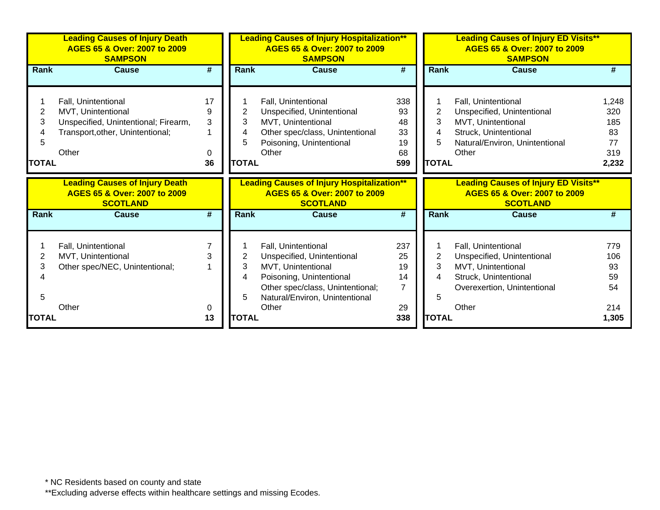|                             | <b>Leading Causes of Injury Death</b><br>AGES 65 & Over: 2007 to 2009<br><b>SAMPSON</b>                                        |                             | <b>Leading Causes of Injury Hospitalization**</b><br>AGES 65 & Over: 2007 to 2009<br><b>SAMPSON</b> |                                                                                                                                                 |                                          | <b>Leading Causes of Injury ED Visits**</b><br>AGES 65 & Over: 2007 to 2009<br><b>SAMPSON</b> |                                                                                                                                             |                                                 |  |
|-----------------------------|--------------------------------------------------------------------------------------------------------------------------------|-----------------------------|-----------------------------------------------------------------------------------------------------|-------------------------------------------------------------------------------------------------------------------------------------------------|------------------------------------------|-----------------------------------------------------------------------------------------------|---------------------------------------------------------------------------------------------------------------------------------------------|-------------------------------------------------|--|
| <b>Rank</b>                 | <b>Cause</b>                                                                                                                   | $\overline{\boldsymbol{t}}$ | Rank                                                                                                | <b>Cause</b>                                                                                                                                    | $\overline{\boldsymbol{t}}$              | <b>Rank</b>                                                                                   | <b>Cause</b>                                                                                                                                | #                                               |  |
| 2<br>3<br>5<br><b>TOTAL</b> | Fall, Unintentional<br>MVT, Unintentional<br>Unspecified, Unintentional; Firearm,<br>Transport, other, Unintentional;<br>Other | 17<br>9<br>3<br>0<br>36     | 2<br>3<br>4<br>5<br><b>TOTAL</b>                                                                    | Fall, Unintentional<br>Unspecified, Unintentional<br>MVT, Unintentional<br>Other spec/class, Unintentional<br>Poisoning, Unintentional<br>Other | 338<br>93<br>48<br>33<br>19<br>68<br>599 | 2<br>3<br>4<br>5<br><b>TOTAL</b>                                                              | Fall, Unintentional<br>Unspecified, Unintentional<br>MVT, Unintentional<br>Struck, Unintentional<br>Natural/Environ, Unintentional<br>Other | 1,248<br>320<br>185<br>83<br>77<br>319<br>2,232 |  |
|                             | <b>Leading Causes of Injury Death</b><br>AGES 65 & Over: 2007 to 2009<br><b>SCOTLAND</b>                                       |                             |                                                                                                     | <b>Leading Causes of Injury Hospitalization**</b><br>AGES 65 & Over: 2007 to 2009<br><b>SCOTLAND</b>                                            |                                          |                                                                                               | <b>Leading Causes of Injury ED Visits**</b><br>AGES 65 & Over: 2007 to 2009<br><b>SCOTLAND</b>                                              |                                                 |  |
| <b>Rank</b>                 | <b>Cause</b>                                                                                                                   | #                           | <b>Rank</b>                                                                                         | <b>Cause</b>                                                                                                                                    | #                                        | <b>Rank</b>                                                                                   | <b>Cause</b>                                                                                                                                | #                                               |  |
| 2                           | Fall, Unintentional<br>MVT, Unintentional<br>Other spec/NEC, Unintentional;                                                    | 3                           | 2<br>3                                                                                              | Fall, Unintentional<br>Unspecified, Unintentional<br>MVT, Unintentional                                                                         | 237<br>25                                | $\overline{2}$                                                                                | Fall, Unintentional<br>Unspecified, Unintentional<br>MVT, Unintentional                                                                     | 779<br>106<br>93                                |  |
| 3<br>5<br>TOTAL             | Other                                                                                                                          | 0<br>13                     | 4<br>5<br><b>TOTAL</b>                                                                              | Poisoning, Unintentional<br>Other spec/class, Unintentional;<br>Natural/Environ, Unintentional<br>Other                                         | 19<br>14<br>$\overline{7}$<br>29<br>338  | 3<br>4<br>5<br><b>TOTAL</b>                                                                   | Struck, Unintentional<br>Overexertion, Unintentional<br>Other                                                                               | 59<br>54<br>214<br>1,305                        |  |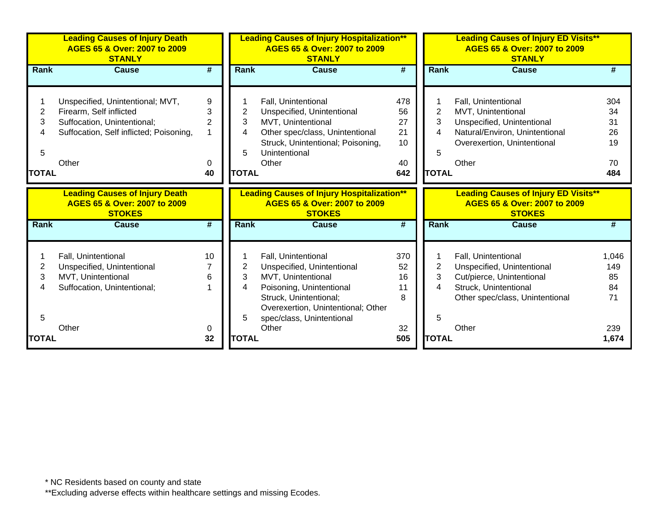|              | <b>Leading Causes of Injury Death</b><br>AGES 65 & Over: 2007 to 2009<br><b>STANLY</b> |    |              | <b>Leading Causes of Injury Hospitalization**</b><br>AGES 65 & Over: 2007 to 2009<br><b>STANLY</b> |     |              | <b>Leading Causes of Injury ED Visits**</b><br>AGES 65 & Over: 2007 to 2009<br><b>STANLY</b> |       |
|--------------|----------------------------------------------------------------------------------------|----|--------------|----------------------------------------------------------------------------------------------------|-----|--------------|----------------------------------------------------------------------------------------------|-------|
| Rank         | <b>Cause</b>                                                                           | #  | <b>Rank</b>  | <b>Cause</b>                                                                                       | #   | Rank         | <b>Cause</b>                                                                                 |       |
|              |                                                                                        |    |              |                                                                                                    |     |              |                                                                                              |       |
|              | Unspecified, Unintentional; MVT,                                                       | 9  |              | Fall, Unintentional                                                                                | 478 |              | Fall, Unintentional                                                                          | 304   |
| 2            | Firearm, Self inflicted                                                                | 3  | 2            | Unspecified, Unintentional                                                                         | 56  | 2            | MVT, Unintentional                                                                           | 34    |
| 3            | Suffocation, Unintentional;                                                            | 2  | 3            | MVT, Unintentional                                                                                 | 27  | 3            | Unspecified, Unintentional                                                                   | 31    |
| 4            | Suffocation, Self inflicted; Poisoning,                                                |    | 4            | Other spec/class, Unintentional                                                                    | 21  | 4            | Natural/Environ, Unintentional                                                               | 26    |
|              |                                                                                        |    |              | Struck, Unintentional; Poisoning,                                                                  | 10  |              | Overexertion, Unintentional                                                                  | 19    |
| 5            |                                                                                        |    | 5            | Unintentional                                                                                      |     | 5            |                                                                                              |       |
|              | Other                                                                                  | 0  |              | Other                                                                                              | 40  |              | Other                                                                                        | 70    |
| <b>TOTAL</b> |                                                                                        | 40 | <b>TOTAL</b> |                                                                                                    | 642 | <b>TOTAL</b> |                                                                                              | 484   |
|              | <b>Leading Causes of Injury Death</b><br>AGES 65 & Over: 2007 to 2009<br><b>STOKES</b> |    |              | <b>Leading Causes of Injury Hospitalization**</b><br>AGES 65 & Over: 2007 to 2009<br><b>STOKES</b> |     |              | <b>Leading Causes of Injury ED Visits**</b><br>AGES 65 & Over: 2007 to 2009<br><b>STOKES</b> |       |
| Rank         | <b>Cause</b>                                                                           | #  | Rank         | <b>Cause</b>                                                                                       | #   | Rank         | <b>Cause</b>                                                                                 |       |
|              | Fall, Unintentional                                                                    | 10 |              | Fall, Unintentional                                                                                | 370 |              | Fall, Unintentional                                                                          | 1,046 |
| 2            | Unspecified, Unintentional                                                             |    | 2            | Unspecified, Unintentional                                                                         | 52  | 2            | Unspecified, Unintentional                                                                   | 149   |
| 3            | MVT, Unintentional                                                                     | 6  | 3            | MVT, Unintentional                                                                                 | 16  | 3            | Cut/pierce, Unintentional                                                                    | 85    |
|              | Suffocation, Unintentional;                                                            |    | 4            | Poisoning, Unintentional                                                                           | 11  | 4            | Struck, Unintentional                                                                        | 84    |
|              |                                                                                        |    |              | Struck, Unintentional;                                                                             | 8   |              | Other spec/class, Unintentional                                                              | 71    |
|              |                                                                                        |    |              | Overexertion, Unintentional; Other                                                                 |     |              |                                                                                              |       |
| 5            |                                                                                        |    | 5            | spec/class, Unintentional                                                                          |     | 5            |                                                                                              |       |
|              | Other                                                                                  | 0  |              | Other                                                                                              | 32  |              | Other                                                                                        | 239   |
| <b>TOTAL</b> |                                                                                        | 32 | <b>TOTAL</b> |                                                                                                    | 505 | <b>TOTAL</b> |                                                                                              | 1,674 |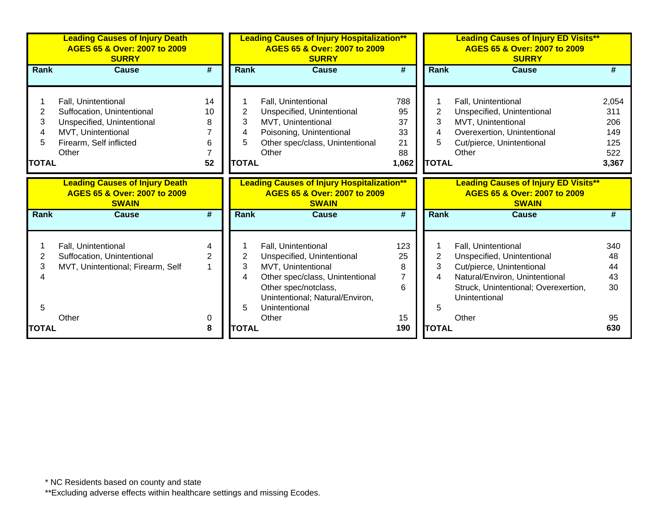|                             | <b>Leading Causes of Injury Death</b><br>AGES 65 & Over: 2007 to 2009<br><b>SURRY</b>                                                     |                             | <b>Leading Causes of Injury Hospitalization**</b><br>AGES 65 & Over: 2007 to 2009<br><b>SURRY</b> |                                                                                                                                                                                        |                                            | <b>Leading Causes of Injury ED Visits**</b><br>AGES 65 & Over: 2007 to 2009<br><b>SURRY</b> |                                                                                                                                                                           |                                                   |  |
|-----------------------------|-------------------------------------------------------------------------------------------------------------------------------------------|-----------------------------|---------------------------------------------------------------------------------------------------|----------------------------------------------------------------------------------------------------------------------------------------------------------------------------------------|--------------------------------------------|---------------------------------------------------------------------------------------------|---------------------------------------------------------------------------------------------------------------------------------------------------------------------------|---------------------------------------------------|--|
| <b>Rank</b>                 | <b>Cause</b>                                                                                                                              | #                           | <b>Rank</b>                                                                                       | <b>Cause</b>                                                                                                                                                                           | #                                          | <b>Rank</b>                                                                                 | <b>Cause</b>                                                                                                                                                              | #                                                 |  |
| 2<br>3<br>5<br><b>TOTAL</b> | Fall, Unintentional<br>Suffocation, Unintentional<br>Unspecified, Unintentional<br>MVT, Unintentional<br>Firearm, Self inflicted<br>Other | 14<br>10<br>8<br>6<br>52    | 2<br>3<br>4<br>5<br><b>TOTAL</b>                                                                  | Fall, Unintentional<br>Unspecified, Unintentional<br>MVT, Unintentional<br>Poisoning, Unintentional<br>Other spec/class, Unintentional<br>Other                                        | 788<br>95<br>37<br>33<br>21<br>88<br>1,062 | 2<br>3<br>4<br>5.<br><b>TOTAL</b>                                                           | Fall, Unintentional<br>Unspecified, Unintentional<br>MVT, Unintentional<br>Overexertion, Unintentional<br>Cut/pierce, Unintentional<br>Other                              | 2,054<br>311<br>206<br>149<br>125<br>522<br>3,367 |  |
|                             | <b>Leading Causes of Injury Death</b><br>AGES 65 & Over: 2007 to 2009<br><b>SWAIN</b>                                                     |                             |                                                                                                   | <b>Leading Causes of Injury Hospitalization**</b><br>AGES 65 & Over: 2007 to 2009<br><b>SWAIN</b>                                                                                      |                                            |                                                                                             | <b>Leading Causes of Injury ED Visits**</b><br>AGES 65 & Over: 2007 to 2009<br><b>SWAIN</b>                                                                               |                                                   |  |
| Rank                        | <b>Cause</b>                                                                                                                              | $\overline{\boldsymbol{t}}$ | <b>Rank</b>                                                                                       | <b>Cause</b>                                                                                                                                                                           | #                                          | Rank                                                                                        | <b>Cause</b>                                                                                                                                                              | #                                                 |  |
| 2<br>3<br>5                 | Fall, Unintentional<br>Suffocation, Unintentional<br>MVT, Unintentional; Firearm, Self                                                    | 4<br>$\overline{2}$         | 2<br>3<br>4<br>5                                                                                  | Fall, Unintentional<br>Unspecified, Unintentional<br>MVT, Unintentional<br>Other spec/class, Unintentional<br>Other spec/notclass,<br>Unintentional; Natural/Environ,<br>Unintentional | 123<br>25<br>8<br>$\overline{7}$<br>6      | 2<br>3<br>4<br>5                                                                            | Fall, Unintentional<br>Unspecified, Unintentional<br>Cut/pierce, Unintentional<br>Natural/Environ, Unintentional<br>Struck, Unintentional; Overexertion,<br>Unintentional | 340<br>48<br>44<br>43<br>30                       |  |
| <b>TOTAL</b>                | Other                                                                                                                                     | 0<br>8                      | <b>TOTAL</b>                                                                                      | Other                                                                                                                                                                                  | 15<br>190                                  | <b>TOTAL</b>                                                                                | Other                                                                                                                                                                     | 95<br>630                                         |  |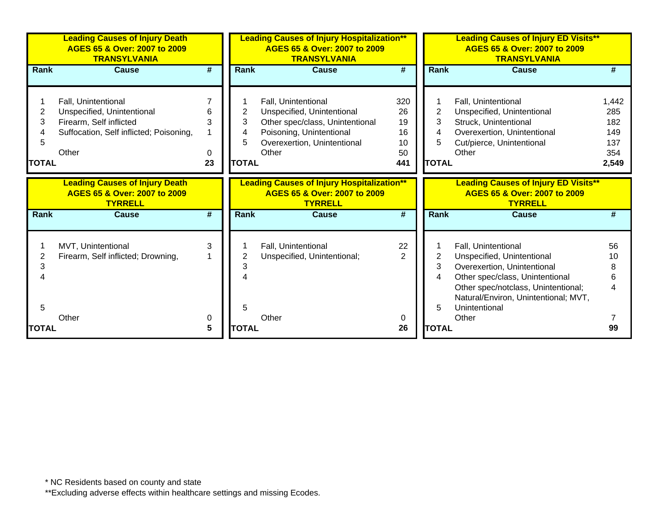|                             | <b>Leading Causes of Injury Death</b><br>AGES 65 & Over: 2007 to 2009<br><b>TRANSYLVANIA</b>                                     |                   | <b>Leading Causes of Injury Hospitalization**</b><br>AGES 65 & Over: 2007 to 2009<br><b>TRANSYLVANIA</b> |                                                                                                                                                          |                                          | <b>Leading Causes of Injury ED Visits**</b><br>AGES 65 & Over: 2007 to 2009<br><b>TRANSYLVANIA</b> |                                                                                                                                                                                                                              |                                                   |  |
|-----------------------------|----------------------------------------------------------------------------------------------------------------------------------|-------------------|----------------------------------------------------------------------------------------------------------|----------------------------------------------------------------------------------------------------------------------------------------------------------|------------------------------------------|----------------------------------------------------------------------------------------------------|------------------------------------------------------------------------------------------------------------------------------------------------------------------------------------------------------------------------------|---------------------------------------------------|--|
| Rank                        | <b>Cause</b>                                                                                                                     | #                 | Rank                                                                                                     | <b>Cause</b>                                                                                                                                             | #                                        | <b>Rank</b>                                                                                        | <b>Cause</b>                                                                                                                                                                                                                 | #                                                 |  |
| 2<br>3<br>5<br><b>TOTAL</b> | Fall, Unintentional<br>Unspecified, Unintentional<br>Firearm, Self inflicted<br>Suffocation, Self inflicted; Poisoning,<br>Other | 6<br>3<br>0<br>23 | 2<br>3<br>4<br>5<br><b>TOTAL</b>                                                                         | Fall, Unintentional<br>Unspecified, Unintentional<br>Other spec/class, Unintentional<br>Poisoning, Unintentional<br>Overexertion, Unintentional<br>Other | 320<br>26<br>19<br>16<br>10<br>50<br>441 | $\overline{2}$<br>3<br>4<br>5<br><b>TOTAL</b>                                                      | Fall, Unintentional<br>Unspecified, Unintentional<br>Struck, Unintentional<br>Overexertion, Unintentional<br>Cut/pierce, Unintentional<br>Other                                                                              | 1,442<br>285<br>182<br>149<br>137<br>354<br>2,549 |  |
|                             | <b>Leading Causes of Injury Death</b><br>AGES 65 & Over: 2007 to 2009<br><b>TYRRELL</b>                                          |                   |                                                                                                          | <b>Leading Causes of Injury Hospitalization**</b><br>AGES 65 & Over: 2007 to 2009<br><b>TYRRELL</b>                                                      |                                          |                                                                                                    | <b>Leading Causes of Injury ED Visits**</b><br>AGES 65 & Over: 2007 to 2009<br><b>TYRRELL</b>                                                                                                                                |                                                   |  |
| Rank                        | <b>Cause</b>                                                                                                                     | #                 | Rank                                                                                                     | <b>Cause</b>                                                                                                                                             | #                                        | <b>Rank</b>                                                                                        | Cause                                                                                                                                                                                                                        | #                                                 |  |
| 2<br>3<br>5                 | MVT, Unintentional<br>Firearm, Self inflicted; Drowning,<br>Other                                                                | 3<br>0            | 3<br>5                                                                                                   | Fall, Unintentional<br>Unspecified, Unintentional;<br>Other                                                                                              | 22<br>$\mathcal{P}$<br>0                 | 2<br>3<br>4<br>5                                                                                   | Fall, Unintentional<br>Unspecified, Unintentional<br>Overexertion, Unintentional<br>Other spec/class, Unintentional<br>Other spec/notclass, Unintentional;<br>Natural/Environ, Unintentional; MVT,<br>Unintentional<br>Other | 56<br>10                                          |  |
| <b>TOTAL</b>                |                                                                                                                                  | 5                 | <b>TOTAL</b>                                                                                             |                                                                                                                                                          | 26                                       | <b>TOTAL</b>                                                                                       |                                                                                                                                                                                                                              | 99                                                |  |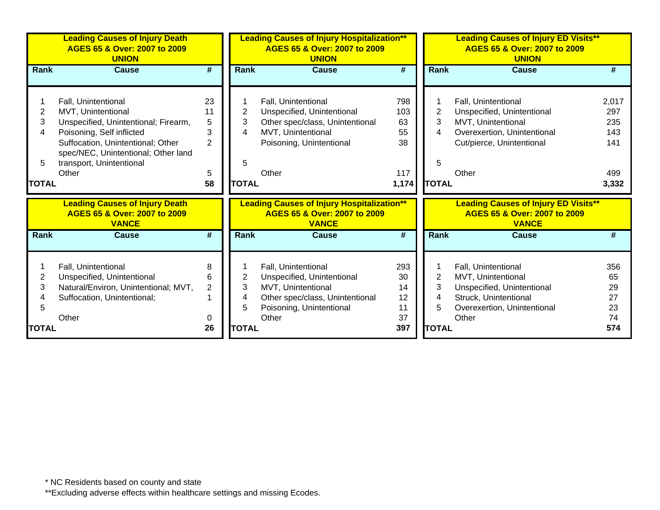|                                  | <b>Leading Causes of Injury Death</b><br>AGES 65 & Over: 2007 to 2009<br><b>UNION</b>                                                                                                                                           |                                                 | <b>Leading Causes of Injury Hospitalization**</b><br>AGES 65 & Over: 2007 to 2009<br><b>UNION</b> |                                                                                                                                                 |                                              | <b>Leading Causes of Injury ED Visits**</b><br>AGES 65 & Over: 2007 to 2009<br><b>UNION</b> |                                                                                                                                              |                                                   |  |
|----------------------------------|---------------------------------------------------------------------------------------------------------------------------------------------------------------------------------------------------------------------------------|-------------------------------------------------|---------------------------------------------------------------------------------------------------|-------------------------------------------------------------------------------------------------------------------------------------------------|----------------------------------------------|---------------------------------------------------------------------------------------------|----------------------------------------------------------------------------------------------------------------------------------------------|---------------------------------------------------|--|
| <b>Rank</b>                      | <b>Cause</b>                                                                                                                                                                                                                    | #                                               | Rank                                                                                              | <b>Cause</b>                                                                                                                                    | #                                            | Rank                                                                                        | <b>Cause</b>                                                                                                                                 |                                                   |  |
| 2<br>3<br>4<br>5<br><b>TOTAL</b> | Fall, Unintentional<br>MVT, Unintentional<br>Unspecified, Unintentional; Firearm,<br>Poisoning, Self inflicted<br>Suffocation, Unintentional; Other<br>spec/NEC, Unintentional; Other land<br>transport, Unintentional<br>Other | 23<br>11<br>5<br>3<br>$\overline{2}$<br>5<br>58 | $\overline{2}$<br>3<br>4<br>5<br><b>TOTAL</b>                                                     | Fall, Unintentional<br>Unspecified, Unintentional<br>Other spec/class, Unintentional<br>MVT, Unintentional<br>Poisoning, Unintentional<br>Other | 798<br>103<br>63<br>55<br>38<br>117<br>1,174 | $\overline{2}$<br>3<br>4<br>5<br><b>TOTAL</b>                                               | Fall, Unintentional<br>Unspecified, Unintentional<br>MVT, Unintentional<br>Overexertion, Unintentional<br>Cut/pierce, Unintentional<br>Other | 2,017<br>297<br>235<br>143<br>141<br>499<br>3,332 |  |
|                                  | <b>Leading Causes of Injury Death</b><br>AGES 65 & Over: 2007 to 2009<br><b>VANCE</b>                                                                                                                                           |                                                 |                                                                                                   | <b>Leading Causes of Injury Hospitalization**</b><br>AGES 65 & Over: 2007 to 2009<br><b>VANCE</b>                                               |                                              |                                                                                             | <b>Leading Causes of Injury ED Visits**</b><br>AGES 65 & Over: 2007 to 2009<br><b>VANCE</b>                                                  |                                                   |  |
| <b>Rank</b>                      | <b>Cause</b>                                                                                                                                                                                                                    | $\overline{\boldsymbol{t}}$                     | Rank                                                                                              | <b>Cause</b>                                                                                                                                    | $\overline{\boldsymbol{t}}$                  | Rank                                                                                        | <b>Cause</b>                                                                                                                                 |                                                   |  |
| 2<br>3<br>5<br><b>TOTAL</b>      | Fall, Unintentional<br>Unspecified, Unintentional<br>Natural/Environ, Unintentional; MVT,<br>Suffocation, Unintentional;<br>Other                                                                                               | 8<br>6<br>$\overline{2}$<br>0<br>26             | 2<br>3<br>4<br>5<br><b>TOTAL</b>                                                                  | Fall, Unintentional<br>Unspecified, Unintentional<br>MVT, Unintentional<br>Other spec/class, Unintentional<br>Poisoning, Unintentional<br>Other | 293<br>30<br>14<br>12<br>11<br>37<br>397     | $\overline{2}$<br>3<br>4<br>5<br><b>TOTAL</b>                                               | Fall, Unintentional<br>MVT, Unintentional<br>Unspecified, Unintentional<br>Struck, Unintentional<br>Overexertion, Unintentional<br>Other     | 356<br>65<br>29<br>27<br>23<br>74<br>574          |  |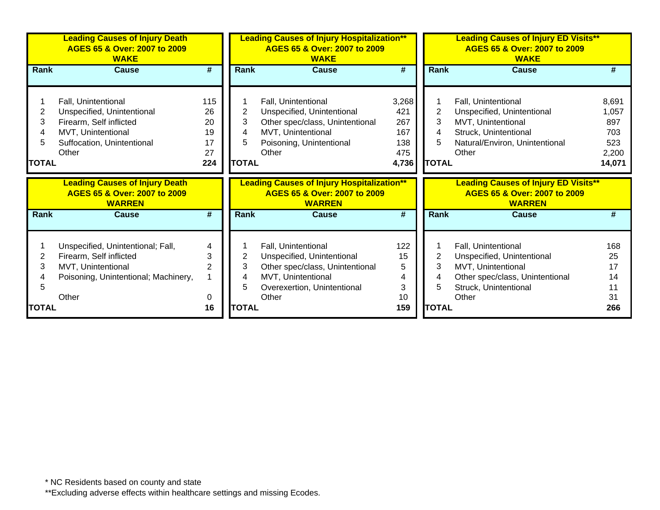|              | <b>Leading Causes of Injury Death</b><br>AGES 65 & Over: 2007 to 2009<br><b>WAKE</b>   |                | <b>Leading Causes of Injury Hospitalization**</b><br>AGES 65 & Over: 2007 to 2009<br><b>WAKE</b> |                                                                                                    |           | <b>Leading Causes of Injury ED Visits**</b><br>AGES 65 & Over: 2007 to 2009<br><b>WAKE</b> |                                                                                              |        |  |
|--------------|----------------------------------------------------------------------------------------|----------------|--------------------------------------------------------------------------------------------------|----------------------------------------------------------------------------------------------------|-----------|--------------------------------------------------------------------------------------------|----------------------------------------------------------------------------------------------|--------|--|
| Rank         | <b>Cause</b>                                                                           | #              | Rank                                                                                             | <b>Cause</b>                                                                                       | #         | Rank                                                                                       | <b>Cause</b>                                                                                 | #      |  |
|              |                                                                                        |                |                                                                                                  |                                                                                                    |           |                                                                                            |                                                                                              |        |  |
|              | Fall, Unintentional                                                                    | 115            |                                                                                                  | Fall, Unintentional                                                                                | 3,268     |                                                                                            | Fall, Unintentional                                                                          | 8,691  |  |
| 2            | Unspecified, Unintentional                                                             | 26             | 2                                                                                                | Unspecified, Unintentional                                                                         | 421       | 2                                                                                          | Unspecified, Unintentional                                                                   | 1,057  |  |
| 3            | Firearm, Self inflicted                                                                | 20             | 3                                                                                                | Other spec/class, Unintentional                                                                    | 267       | 3                                                                                          | MVT, Unintentional                                                                           | 897    |  |
| 4            | MVT, Unintentional                                                                     | 19             | 4                                                                                                | MVT, Unintentional                                                                                 | 167       | 4                                                                                          | Struck, Unintentional                                                                        | 703    |  |
| 5            | Suffocation, Unintentional                                                             | 17             | 5                                                                                                | Poisoning, Unintentional                                                                           | 138       | 5                                                                                          | Natural/Environ, Unintentional                                                               | 523    |  |
|              | Other                                                                                  | 27             |                                                                                                  | Other                                                                                              | 475       |                                                                                            | Other                                                                                        | 2,200  |  |
| <b>TOTAL</b> |                                                                                        | 224            | <b>TOTAL</b>                                                                                     |                                                                                                    | 4,736     | <b>TOTAL</b>                                                                               |                                                                                              | 14,071 |  |
|              |                                                                                        |                |                                                                                                  |                                                                                                    |           |                                                                                            |                                                                                              |        |  |
|              | <b>Leading Causes of Injury Death</b><br>AGES 65 & Over: 2007 to 2009<br><b>WARREN</b> |                |                                                                                                  | <b>Leading Causes of Injury Hospitalization**</b><br>AGES 65 & Over: 2007 to 2009<br><b>WARREN</b> |           |                                                                                            | <b>Leading Causes of Injury ED Visits**</b><br>AGES 65 & Over: 2007 to 2009<br><b>WARREN</b> |        |  |
| Rank         | <b>Cause</b>                                                                           | #              | <b>Rank</b>                                                                                      | <b>Cause</b>                                                                                       | #         | <b>Rank</b>                                                                                | <b>Cause</b>                                                                                 | #      |  |
|              |                                                                                        |                |                                                                                                  |                                                                                                    |           |                                                                                            |                                                                                              |        |  |
|              | Unspecified, Unintentional; Fall,                                                      | 4              |                                                                                                  | Fall, Unintentional                                                                                | 122       |                                                                                            | Fall, Unintentional                                                                          | 168    |  |
| 2            | Firearm, Self inflicted                                                                | 3              | 2                                                                                                | Unspecified, Unintentional                                                                         | 15        | $\overline{2}$                                                                             | Unspecified, Unintentional                                                                   | 25     |  |
| 3            | MVT, Unintentional                                                                     | $\overline{2}$ | 3                                                                                                | Other spec/class, Unintentional                                                                    | 5         | 3                                                                                          | MVT, Unintentional                                                                           | 17     |  |
|              | Poisoning, Unintentional; Machinery,                                                   |                | 4                                                                                                | MVT, Unintentional                                                                                 | 4         | 4                                                                                          | Other spec/class, Unintentional                                                              | 14     |  |
| 5            |                                                                                        |                | 5                                                                                                | Overexertion, Unintentional                                                                        | 3         | 5                                                                                          | Struck, Unintentional                                                                        |        |  |
| <b>TOTAL</b> | Other                                                                                  | 0<br>16        | <b>TOTAL</b>                                                                                     | Other                                                                                              | 10<br>159 | <b>TOTAL</b>                                                                               | Other                                                                                        | 31     |  |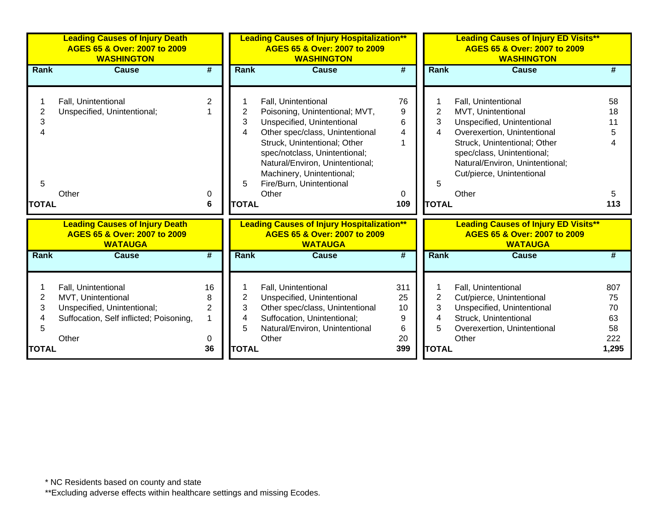|                                      | <b>WASHINGTON</b>                                                                                                                                                                                                                                                                                                |                                                            |                                                                                                                                                                        | <b>Leading Causes of Injury ED Visits**</b><br>AGES 65 & Over: 2007 to 2009<br><b>WASHINGTON</b>                                                                                                                                              |                                             |
|--------------------------------------|------------------------------------------------------------------------------------------------------------------------------------------------------------------------------------------------------------------------------------------------------------------------------------------------------------------|------------------------------------------------------------|------------------------------------------------------------------------------------------------------------------------------------------------------------------------|-----------------------------------------------------------------------------------------------------------------------------------------------------------------------------------------------------------------------------------------------|---------------------------------------------|
| $\overline{\boldsymbol{H}}$          | <b>Cause</b>                                                                                                                                                                                                                                                                                                     | $\overline{\boldsymbol{t}}$                                | <b>Rank</b>                                                                                                                                                            | <b>Cause</b>                                                                                                                                                                                                                                  |                                             |
| 2<br>$\Omega$<br>6                   | Fall, Unintentional<br>Poisoning, Unintentional; MVT,<br>2<br>3<br>Unspecified, Unintentional<br>Other spec/class, Unintentional<br>4<br>Struck, Unintentional; Other<br>spec/notclass, Unintentional;<br>Natural/Environ, Unintentional;<br>Machinery, Unintentional;<br>Fire/Burn, Unintentional<br>5<br>Other | 76<br>9<br>6<br>$\overline{4}$<br>0<br>109                 | $\overline{2}$<br>3<br>4<br>5                                                                                                                                          | Fall, Unintentional<br>MVT, Unintentional<br>Unspecified, Unintentional<br>Overexertion, Unintentional<br>Struck, Unintentional; Other<br>spec/class, Unintentional;<br>Natural/Environ, Unintentional;<br>Cut/pierce, Unintentional<br>Other | 58<br>18<br>11<br>5<br>5<br>113             |
|                                      | <b>WATAUGA</b>                                                                                                                                                                                                                                                                                                   |                                                            |                                                                                                                                                                        | <b>Leading Causes of Injury ED Visits**</b><br>AGES 65 & Over: 2007 to 2009<br><b>WATAUGA</b>                                                                                                                                                 |                                             |
| #                                    | Cause                                                                                                                                                                                                                                                                                                            | #                                                          | <b>Rank</b>                                                                                                                                                            | Cause                                                                                                                                                                                                                                         |                                             |
| 16<br>8<br>$\overline{2}$<br>0<br>36 | Fall, Unintentional<br>2<br>Unspecified, Unintentional<br>3<br>Other spec/class, Unintentional<br>Suffocation, Unintentional;<br>4<br>5<br>Natural/Environ, Unintentional<br>Other                                                                                                                               | 311<br>25<br>10<br>9<br>$\,6$<br>20<br>399                 | $\overline{2}$<br>3<br>4<br>5                                                                                                                                          | Fall, Unintentional<br>Cut/pierce, Unintentional<br>Unspecified, Unintentional<br>Struck, Unintentional<br>Overexertion, Unintentional<br>Other                                                                                               | 807<br>75<br>70<br>63<br>58<br>222<br>1,295 |
|                                      |                                                                                                                                                                                                                                                                                                                  | <b>Rank</b><br><b>TOTAL</b><br><b>Rank</b><br><b>TOTAL</b> | <b>Leading Causes of Injury Hospitalization**</b><br>AGES 65 & Over: 2007 to 2009<br><b>Leading Causes of Injury Hospitalization**</b><br>AGES 65 & Over: 2007 to 2009 |                                                                                                                                                                                                                                               | <b>TOTAL</b><br><b>TOTAL</b>                |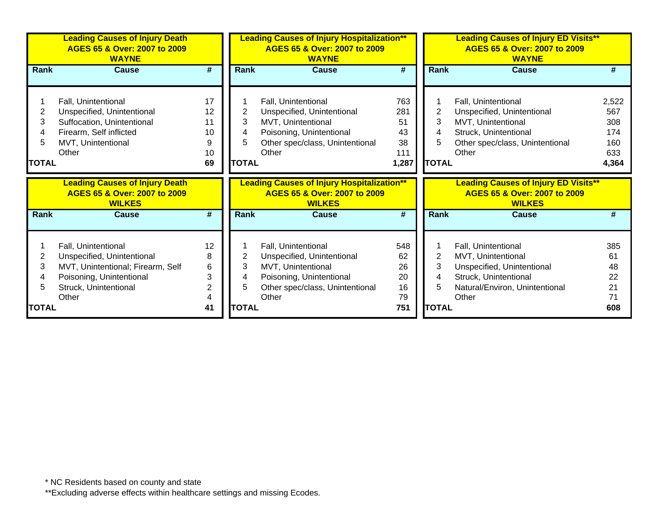|                                  | <b>Leading Causes of Injury Death</b><br>AGES 65 & Over: 2007 to 2009<br><b>WAYNE</b>                                                     |                                       | <b>Leading Causes of Injury Hospitalization**</b><br>AGES 65 & Over: 2007 to 2009<br><b>WAYNE</b> |                                                                                                                                                 |                                              | <b>Leading Causes of Injury ED Visits**</b><br>AGES 65 & Over: 2007 to 2009<br><b>WAYNE</b> |                                                                                                                                              |                                                   |  |
|----------------------------------|-------------------------------------------------------------------------------------------------------------------------------------------|---------------------------------------|---------------------------------------------------------------------------------------------------|-------------------------------------------------------------------------------------------------------------------------------------------------|----------------------------------------------|---------------------------------------------------------------------------------------------|----------------------------------------------------------------------------------------------------------------------------------------------|---------------------------------------------------|--|
| Rank                             | <b>Cause</b>                                                                                                                              | #                                     | Rank                                                                                              | <b>Cause</b>                                                                                                                                    | #                                            | Rank                                                                                        | Cause                                                                                                                                        | #                                                 |  |
| 2<br>3<br>4<br>5<br><b>TOTAL</b> | Fall, Unintentional<br>Unspecified, Unintentional<br>Suffocation, Unintentional<br>Firearm, Self inflicted<br>MVT, Unintentional<br>Other | 17<br>12<br>11<br>10<br>9<br>10<br>69 | 2<br>3<br>4<br>5<br><b>TOTAL</b>                                                                  | Fall, Unintentional<br>Unspecified, Unintentional<br>MVT, Unintentional<br>Poisoning, Unintentional<br>Other spec/class, Unintentional<br>Other | 763<br>281<br>51<br>43<br>38<br>111<br>1,287 | 2<br>3<br>4<br>5<br><b>TOTAL</b>                                                            | Fall, Unintentional<br>Unspecified, Unintentional<br>MVT, Unintentional<br>Struck, Unintentional<br>Other spec/class, Unintentional<br>Other | 2,522<br>567<br>308<br>174<br>160<br>633<br>4,364 |  |
|                                  | <b>Leading Causes of Injury Death</b><br>AGES 65 & Over: 2007 to 2009<br><b>WILKES</b>                                                    |                                       |                                                                                                   | <b>Leading Causes of Injury Hospitalization**</b><br>AGES 65 & Over: 2007 to 2009<br><b>WILKES</b>                                              |                                              |                                                                                             | <b>Leading Causes of Injury ED Visits**</b><br>AGES 65 & Over: 2007 to 2009<br><b>WILKES</b>                                                 |                                                   |  |
| <b>Rank</b>                      | <b>Cause</b>                                                                                                                              | #                                     | <b>Rank</b>                                                                                       | <b>Cause</b>                                                                                                                                    | #                                            | <b>Rank</b>                                                                                 | <b>Cause</b>                                                                                                                                 | #                                                 |  |
|                                  | Fall, Unintentional                                                                                                                       | 12                                    |                                                                                                   | Fall, Unintentional                                                                                                                             | 548                                          |                                                                                             | Fall, Unintentional                                                                                                                          | 385                                               |  |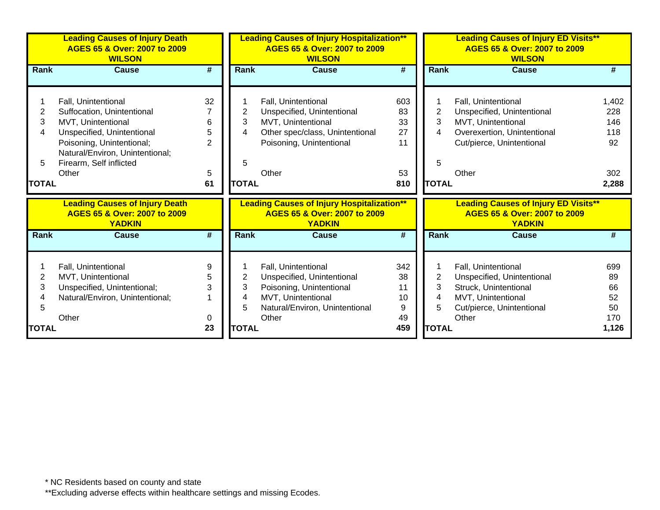|                                  | <b>Leading Causes of Injury Death</b><br>AGES 65 & Over: 2007 to 2009<br><b>WILSON</b>                                                                                                                    |                                           | <b>Leading Causes of Injury Hospitalization**</b><br>AGES 65 & Over: 2007 to 2009<br><b>WILSON</b> |                                                                                                                                                 |                                          | <b>Leading Causes of Injury ED Visits**</b><br>AGES 65 & Over: 2007 to 2009<br><b>WILSON</b> |                                                                                                                                              |                                                  |  |
|----------------------------------|-----------------------------------------------------------------------------------------------------------------------------------------------------------------------------------------------------------|-------------------------------------------|----------------------------------------------------------------------------------------------------|-------------------------------------------------------------------------------------------------------------------------------------------------|------------------------------------------|----------------------------------------------------------------------------------------------|----------------------------------------------------------------------------------------------------------------------------------------------|--------------------------------------------------|--|
| <b>Rank</b>                      | <b>Cause</b>                                                                                                                                                                                              | #                                         | <b>Rank</b>                                                                                        | <b>Cause</b>                                                                                                                                    | #                                        | Rank                                                                                         | <b>Cause</b>                                                                                                                                 |                                                  |  |
| 2<br>3<br>4<br>5<br><b>TOTAL</b> | Fall, Unintentional<br>Suffocation, Unintentional<br>MVT, Unintentional<br>Unspecified, Unintentional<br>Poisoning, Unintentional;<br>Natural/Environ, Unintentional;<br>Firearm, Self inflicted<br>Other | 32<br>6<br>5<br>$\overline{2}$<br>5<br>61 | 2<br>3<br>4<br>5<br><b>TOTAL</b>                                                                   | Fall, Unintentional<br>Unspecified, Unintentional<br>MVT, Unintentional<br>Other spec/class, Unintentional<br>Poisoning, Unintentional<br>Other | 603<br>83<br>33<br>27<br>11<br>53<br>810 | $\overline{2}$<br>3<br>4<br>5<br><b>TOTAL</b>                                                | Fall, Unintentional<br>Unspecified, Unintentional<br>MVT, Unintentional<br>Overexertion, Unintentional<br>Cut/pierce, Unintentional<br>Other | 1,402<br>228<br>146<br>118<br>92<br>302<br>2,288 |  |
|                                  | <b>Leading Causes of Injury Death</b><br>AGES 65 & Over: 2007 to 2009<br><b>YADKIN</b>                                                                                                                    |                                           |                                                                                                    | <b>Leading Causes of Injury Hospitalization**</b><br>AGES 65 & Over: 2007 to 2009<br><b>YADKIN</b>                                              |                                          |                                                                                              | <b>Leading Causes of Injury ED Visits**</b><br>AGES 65 & Over: 2007 to 2009<br><b>YADKIN</b>                                                 |                                                  |  |
| <b>Rank</b>                      | <b>Cause</b>                                                                                                                                                                                              | #                                         | Rank                                                                                               | <b>Cause</b>                                                                                                                                    | #                                        | <b>Rank</b>                                                                                  | <b>Cause</b>                                                                                                                                 |                                                  |  |
| 2<br>3<br>5<br>TOTAL             | Fall, Unintentional<br>MVT, Unintentional<br>Unspecified, Unintentional;<br>Natural/Environ, Unintentional;<br>Other                                                                                      | 9<br>5<br>3<br>0<br>23                    | 2<br>3<br>4<br>5<br><b>TOTAL</b>                                                                   | Fall, Unintentional<br>Unspecified, Unintentional<br>Poisoning, Unintentional<br>MVT, Unintentional<br>Natural/Environ, Unintentional<br>Other  | 342<br>38<br>11<br>10<br>9<br>49<br>459  | $\overline{2}$<br>3<br>4<br>5<br><b>TOTAL</b>                                                | Fall, Unintentional<br>Unspecified, Unintentional<br>Struck, Unintentional<br>MVT, Unintentional<br>Cut/pierce, Unintentional<br>Other       | 699<br>89<br>66<br>52<br>50<br>170<br>1,126      |  |